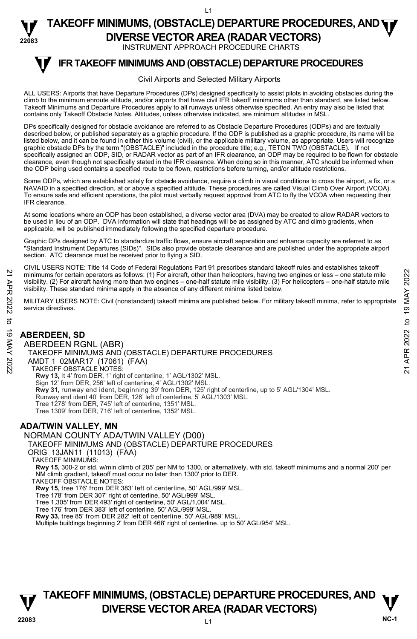### **22083 TAKEOFF MINIMUMS, (OBSTACLE) DEPARTURE PROCEDURES, AND <b>WE**<br>DIVERSE VECTOR AREA (BADAR VECTORS) **DIVERSE VECTOR AREA (RADAR VECTORS)**

INSTRUMENT APPROACH PROCEDURE CHARTS

### **IFR TAKEOFF MINIMUMS AND (OBSTACLE) DEPARTURE PROCEDURES T**

### Civil Airports and Selected Military Airports

ALL USERS: Airports that have Departure Procedures (DPs) designed specifically to assist pilots in avoiding obstacles during the climb to the minimum enroute altitude, and/or airports that have civil IFR takeoff minimums other than standard, are listed below. Takeoff Minimums and Departure Procedures apply to all runways unless otherwise specified. An entry may also be listed that contains only Takeoff Obstacle Notes. Altitudes, unless otherwise indicated, are minimum altitudes in MSL.

DPs specifically designed for obstacle avoidance are referred to as Obstacle Departure Procedures (ODPs) and are textually described below, or published separately as a graphic procedure. If the ODP is published as a graphic procedure, its name will be<br>listed below, and it can be found in either this volume (civil), or the applicable military graphic obstacle DPs by the term "(OBSTACLE)" included in the procedure title; e.g., TETON TWO (OBSTACLE). If not specifically assigned an ODP, SID, or RADAR vector as part of an IFR clearance, an ODP may be required to be flown for obstacle clearance, even though not specifically stated in the IFR clearance. When doing so in this manner, ATC should be informed when the ODP being used contains a specified route to be flown, restrictions before turning, and/or altitude restrictions.

Some ODPs, which are established solely for obstade avoidance, require a climb in visual conditions to cross the airport, a fix, or a<br>NAVAID in a specified direction, at or above a specified altitude. These procedures are To ensure safe and efficient operations, the pilot must verbally request approval from ATC to fly the VCOA when requesting their IFR clearance.

At some locations where an ODP has been established, a diverse vector area (DVA) may be created to allow RADAR vectors to be used in lieu of an ODP. DVA information will state that headings will be as assigned by ATC and climb gradients, when applicable, will be published immediately following the specified departure procedure.

Graphic DPs designed by ATC to standardize traffic flows, ensure aircraft separation and enhance capacity are referred to as "Standard Instrument Departures (SIDs)". SIDs also provide obstacle clearance and are published under the appropriate airport section. ATC clearance must be received prior to flying a SID.

CIVIL USERS NOTE: Title 14 Code of Federal Regulations Part 91 prescribes standard takeoff rules and establishes takeoff minimums for certain operators as follows: (1) For aircraft, other than helicopters, having two engines or less – one statute mile visibility. (2) For aircraft having more than two engines – one-half statute mile visibility. (3) For helicopters – one-half statute mile visibility. These standard minima apply in the absence of any different minima listed below.

MILITARY USERS NOTE: Civil (nonstandard) takeoff minima are published below. For military takeoff minima, refer to appropriate service directives.

## **ABERDEEN, SD**

ABERDEEN RGNL (ABR) TAKEOFF MINIMUMS AND (OBSTACLE) DEPARTURE PROCEDURES AMDT 1 02MAR17 (17061) (FAA) TAKEOFF OBSTACLE NOTES: **Rwy 13,** lt 4' from DER, 1' right of centerline, 1' AGL/1302' MSL. Sign 12' from DER, 256' left of centerline, 4' AGL/1302' MSL. **Rwy 31,** runway end ident, beginning 39' from DER, 125' right of centerline, up to 5' AGL/1304' MSL. Runway end ident 40' from DER, 126' left of centerline, 5' AGL/1303' MSL. Tree 1278' from DER, 745' left of centerline, 1351' MSL. Tree 1309' from DER, 716' left of centerline, 1352' MSL. 21 minimums for certain operators as follows: (1) For aircraft, other than helicopters, having two engines or less – one statute mile<br>
visibility. (2) For aircraft having more than two engines – one-half statute mile visi

## **ADA/TWIN VALLEY, MN**

NORMAN COUNTY ADA/TWIN VALLEY (D00)

TAKEOFF MINIMUMS AND (OBSTACLE) DEPARTURE PROCEDURES

ORIG 13JAN11 (11013) (FAA)

TAKEOFF MINIMUMS:

**Rwy 15,** 300-2 or std. w/min climb of 205' per NM to 1300, or alternatively, with std. takeoff minimums and a normal 200' per NM climb gradient, takeoff must occur no later than 1300' prior to DER. TAKEOFF OBSTACLE NOTES:

**Rwy 15,** tree 176' from DER 383' left of centerline, 50' AGL/999' MSL.

Tree 178' from DER 307' right of centerline, 50' AGL/999' MSL.

Tree 1,305' from DER 493' right of centerline, 50' AGL/1,004' MSL.

Tree 176' from DER 383' left of centerline, 50' AGL/999' MSL.

**Rwy 33,** tree 85' from DER 282' left of centerline. 50' AGL/989' MSL.

Multiple buildings beginning 2' from DER 468' right of centerline. up to 50' AGL/954' MSL.

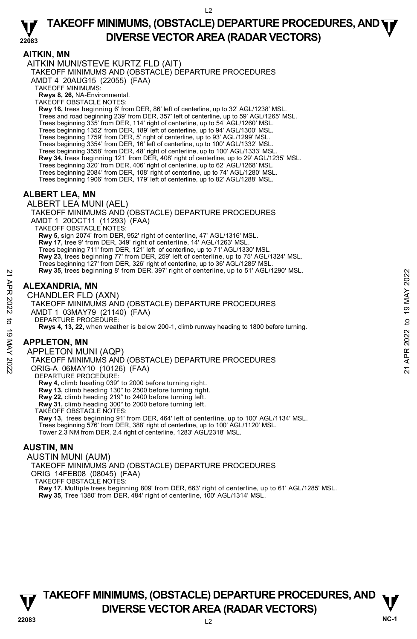## **AITKIN, MN**

AITKIN MUNI/STEVE KURTZ FLD (AIT)

TAKEOFF MINIMUMS AND (OBSTACLE) DEPARTURE PROCEDURES

AMDT 4 20AUG15 (22055) (FAA)

TAKEOFF MINIMUMS:

**Rwys 8, 26,** NA-Environmental. TAKEOFF OBSTACLE NOTES:

**Rwy 16,** trees beginning 6' from DER, 86' left of centerline, up to 32' AGL/1238' MSL. Trees and road beginning 239' from DER, 357' left of centerline, up to 59' AGL/1265' MSL. Trees beginning 335' from DER, 114' right of centerline, up to 54' AGL/1260' MSL. Trees beginning 1352' from DER, 189' left of centerline, up to 94' AGL/1300' MSL. Trees beginning 1759' from DER, 5' right of centerline, up to 93' AGL/1299' MSL. Trees beginning 3354' from DER, 16' left of centerline, up to 100' AGL/1332' MSL. Trees beginning 3558' from DER, 48' right of centerline, up to 100' AGL/1333' MSL. **Rwy 34,** trees beginning 121' from DER, 408' right of centerline, up to 29' AGL/1235' MSL. Trees beginning 320' from DER, 406' right of centerline, up to 62' AGL/1268' MSL. Trees beginning 2084' from DER, 108' right of centerline, up to 74' AGL/1280' MSL. Trees beginning 1906' from DER, 179' left of centerline, up to 82' AGL/1288' MSL.

## **ALBERT LEA, MN**

ALBERT LEA MUNI (AEL) TAKEOFF MINIMUMS AND (OBSTACLE) DEPARTURE PROCEDURES AMDT 1 20OCT11 (11293) (FAA) TAKEOFF OBSTACLE NOTES: **Rwy 5,** sign 2074' from DER, 952' right of centerline, 47' AGL/1316' MSL. **Rwy 17,** tree 9' from DER, 349' right of centerline, 14' AGL/1263' MSL. Trees beginning 711' from DER, 121' left of centerline, up to 71' AGL/1330' MSL. **Rwy 23,** trees beginning 77' from DER, 259' left of centerline, up to 75' AGL/1324' MSL. Trees beginning 127' from DER, 326' right of centerline, up to 36' AGL/1285' MSL.<br>**Rwy 35,** trees beginning 8' from DER, 397' right of centerline, up to 51' AGL/1290' MSL.

## **ALEXANDRIA, MN**

CHANDLER FLD (AXN) TAKEOFF MINIMUMS AND (OBSTACLE) DEPARTURE PROCEDURES AMDT 1 03MAY79 (21140) (FAA) DEPARTURE PROCEDURE: **Rwys 4, 13, 22,** when weather is below 200-1, climb runway heading to 1800 before turning. New 35, trees beginning 8' from DER, 397' right of centerline, up to 51' AGL/1290' MSL.<br>
21 **ALEXANDRIA, MN**<br>
CHANDLER FLD (AXN)<br>
TAKEOFF MINIMUMS AND (OBSTACLE) DEPARTURE PROCEDURES<br>
AMDIT 1 03MAY79 (21140) (FAA)<br>
TEPART

## **APPLETON, MN**

APPLETON MUNI (AQP) TAKEOFF MINIMUMS AND (OBSTACLE) DEPARTURE PROCEDURES ORIG-A 06MAY10 (10126) (FAA) DEPARTURE PROCEDURE: **Rwy 4,** climb heading 039° to 2000 before turning right. **Rwy 13,** climb heading 130° to 2500 before turning right. **Rwy 22,** climb heading 219° to 2400 before turning left. **Rwy 31,** climb heading 300° to 2000 before turning left. TAKEOFF OBSTACLE NOTES: **Rwy 13,** trees beginning 91' from DER, 464' left of centerline, up to 100' AGL/1134' MSL.

Trees beginning 576' from DER, 388' right of centerline, up to 100' AGL/1120' MSL. Tower 2.3 NM from DER, 2.4 right of centerline, 1283' AGL/2318' MSL.

## **AUSTIN, MN**

AUSTIN MUNI (AUM) TAKEOFF MINIMUMS AND (OBSTACLE) DEPARTURE PROCEDURES ORIG 14FEB08 (08045) (FAA) TAKEOFF OBSTACLE NOTES: **Rwy 17,** Multiple trees beginning 809' from DER, 663' right of centerline, up to 61' AGL/1285' MSL. **Rwy 35,** Tree 1380' from DER, 484' right of centerline, 100' AGL/1314' MSL.

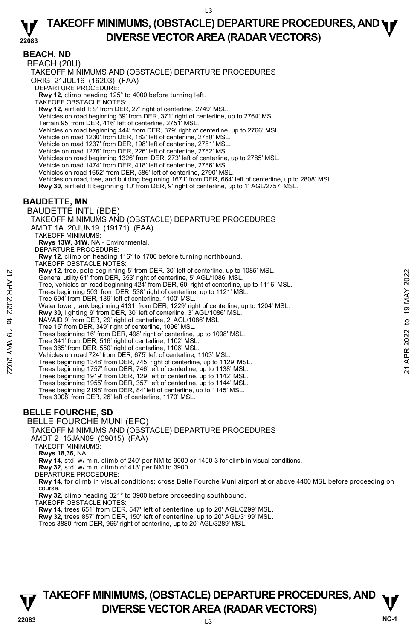**22083 BEACH, ND**  BEACH (20U) TAKEOFF MINIMUMS AND (OBSTACLE) DEPARTURE PROCEDURES ORIG 21JUL16 (16203) (FAA) DEPARTURE PROCEDURE: **Rwy 12,** climb heading 125° to 4000 before turning left. TAKEOFF OBSTACLE NOTES: **Rwy 12,** airfield lt 9' from DER, 27' right of centerline, 2749' MSL. Vehicles on road beginning 39' from DER, 371' right of centerline, up to 2764' MSL. Terrain 95' from DER, 416' left of centerline, 2751' MSL. Vehicles on road beginning 444' from DER, 379' right of centerline, up to 2766' MSL. Vehicle on road 1230' from DER, 182' left of centerline, 2780' MSL. Vehicle on road 1237' from DER, 198' left of centerline, 2781' MSL. Vehicle on road 1276' from DER, 226' left of centerline, 2782' MSL. Vehicles on road beginning 1326' from DER, 273' left of centerline, up to 2785' MSL. Vehicle on road 1474' from DER, 418' left of centerline, 2786' MSL. Vehicles on road 1652' from DER, 586' left of centerline, 2790' MSL. Vehicles on road, tree, and building beginning 1671' from DER, 664' left of centerline, up to 2808' MSL. **Rwy 30,** airfield lt beginning 10' from DER, 9' right of centerline, up to 1' AGL/2757' MSL. **BAUDETTE, MN**  BAUDETTE INTL (BDE) TAKEOFF MINIMUMS AND (OBSTACLE) DEPARTURE PROCEDURES AMDT 1A 20JUN19 (19171) (FAA) TAKEOFF MINIMUMS: **Rwys 13W, 31W,** NA - Environmental. DEPARTURE PROCEDURE: **Rwy 12,** climb on heading 116° to 1700 before turning northbound. TAKEOFF OBSTACLE NOTES: **Rwy 12,** tree, pole beginning 5' from DER, 30' left of centerline, up to 1085' MSL. General utility 61' from DER, 353' right of centerline, 5' AGL/1086' MSL. Tree, vehicles on road beginning 424' from DER, 60' right of centerline, up to 1116' MSL. Trees beginning 503' from DER, 538' right of centerline, up to 1121' MSL. Tree 594' from DER, 139' left of centerline, 1100' MSL. Water tower, tank beginning 4131' from DER, 1229' right of centerline, up to 1204' MSL. **Rwy 30,** lighting 9' from DER, 30' left of centerline, 3' AGL/1086' MSL. NAVAID 9' from DER, 29' right of centerline, 2' AGL/1086' MSL. Tree 15' from DER, 349' right of centerline, 1096' MSL. Trees beginning 16' from DER, 498' right of centerline, up to 1098' MSL. Tree 341' from DER, 516' right of centerline, 1102' MSL. Tree 365' from DER, 550' right of centerline, 1106' MSL. Vehicles on road 724' from DER, 675' left of centerline, 1103' MSL. Trees beginning 1348' from DER, 745' right of centerline, up to 1129' MSL. Trees beginning 1757' from DER, 746' left of centerline, up to 1138' MSL. Trees beginning 1919' from DER, 129' left of centerline, up to 1142' MSL. Trees beginning 1955' from DER, 357' left of centerline, up to 1144' MSL. Trees beginning 2198' from DER, 84' left of centerline, up to 1145' MSL. Tree 3008' from DER, 26' left of centerline, 1170' MSL. **BELLE FOURCHE, SD**  BELLE FOURCHE MUNI (EFC) TAKEOFF MINIMUMS AND (OBSTACLE) DEPARTURE PROCEDURES AMDT 2 15JAN09 (09015) (FAA) TAKEOFF MINIMUMS: **Rwys 18,36,** NA. **Rwy 14,** std. w/ min. climb of 240' per NM to 9000 or 1400-3 for climb in visual conditions. **Rwy 32,** std. w/ min. climb of 413' per NM to 3900. DEPARTURE PROCEDURE: **Rwy 14,** for climb in visual conditions: cross Belle Fourche Muni airport at or above 4400 MSL before proceeding on course. **Rwy 32,** climb heading 321° to 3900 before proceeding southbound. TAKEOFF OBSTACLE NOTES: **Rwy 14,** trees 651' from DER, 547' left of centerline, up to 20' AGL/3299' MSL. **Rwy 32,** trees 857' from DER, 150' left of centerline, up to 20' AGL/3199' MSL. Trees 3880' from DER, 966' right of centerline, up to 20' AGL/3289' MSL. 22 Tee altility 61' from DER, 353' right of center of center and the UNIS' MSL.<br>
The experiment of the center of the Center of Center of the UNIS' MSL.<br>
Tree seignining 503' from DER, 50' right of center ine, up to 1116'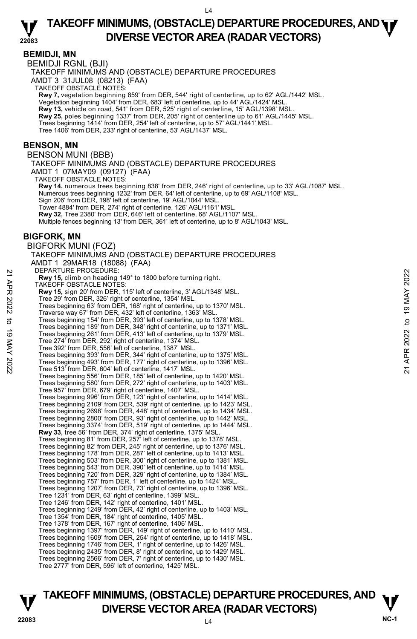### **BEMIDJI, MN**

BEMIDJI RGNL (BJI)

TAKEOFF MINIMUMS AND (OBSTACLE) DEPARTURE PROCEDURES

AMDT 3 31JUL08 (08213) (FAA)

TAKEOFF OBSTACLE NOTES:

**Rwy 7,** vegetation beginning 859' from DER, 544' right of centerline, up to 62' AGL/1442' MSL.

Vegetation beginning 1404' from DER, 683' left of centerline, up to 44' AGL/1424' MSL.

**Rwy 13,** vehicle on road, 541' from DER, 525' right of centerline, 15' AGL/1398' MSL.

**Rwy 25,** poles beginning 1337' from DER, 205' right of centerline up to 61' AGL/1445' MSL.

Trees beginning 1414' from DER, 254' left of centerline, up to 57' AGL/1441' MSL. Tree 1406' from DER, 233' right of centerline, 53' AGL/1437' MSL.

### **BENSON, MN**

BENSON MUNI (BBB)

TAKEOFF MINIMUMS AND (OBSTACLE) DEPARTURE PROCEDURES AMDT 1 07MAY09 (09127) (FAA)

TAKEOFF OBSTACLE NOTES:

**Rwy 14,** numerous trees beginning 838' from DER, 246' right of centerline, up to 33' AGL/1087' MSL.

Numerous trees beginning 1232' from DER, 64' left of centerline, up to 69' AGL/1108' MSL. Sign 206' from DER, 198' left of centerline, 19' AGL/1044' MSL.

Tower 4884' from DER, 274' right of centerline, 126' AGL/1161' MSL. **Rwy 32,** Tree 2380' from DER, 646' left of centerline, 68' AGL/1107' MSL.

Multiple fences beginning 13' from DER, 361' left of centerline, up to 8' AGL/1043' MSL.

## **BIGFORK, MN**

BIGFORK MUNI (FOZ) TAKEOFF MINIMUMS AND (OBSTACLE) DEPARTURE PROCEDURES AMDT 1 29MAR18 (18088) (FAA) DEPARTURE PROCEDURE: **Rwy 15,** climb on heading 149° to 1800 before turning right. TAKEOFF OBSTACLE NOTES: **Rwy 15,** sign 20' from DER, 115' left of centerline, 3' AGL/1348' MSL. Tree 29' from DER, 326' right of centerline, 1354' MSL. Trees beginning 63' from DER, 168' right of centerline, up to 1370' MSL. Traverse way 67' from DER, 432' left of centerline, 1363' MSL. Trees beginning 154' from DER, 393' left of centerline, up to 1378' MSL. Trees beginning 189' from DER, 348' right of centerline, up to 1371' MSL. Trees beginning 261' from DER, 413' left of centerline, up to 1379' MSL. Tree 274' from DER, 292' right of centerline, 1374' MSL. Tree 392' from DER, 556' left of centerline, 1387' MSL. Trees beginning 393' from DER, 344' right of centerline, up to 1375' MSL. Trees beginning 493' from DER, 177' right of centerline, up to 1396' MSL. Tree 513' from DER, 604' left of centerline, 1417' MSL. Trees beginning 556' from DER, 185' left of centerline, up to 1420' MSL. Trees beginning 580' from DER, 272' right of centerline, up to 1403' MSL. Tree 957' from DER, 679' right of centerline, 1407' MSL. Trees beginning 996' from DER, 123' right of centerline, up to 1414' MSL. Trees beginning 2109' from DER, 539' right of centerline, up to 1423' MSL. Trees beginning 2698' from DER, 448' right of centerline, up to 1434' MSL. Trees beginning 2800' from DER, 93' right of centerline, up to 1442' MSL. Trees beginning 3374' from DER, 519' right of centerline, up to 1444' MSL. **Rwy 33,** tree 56' from DER, 374' right of centerline, 1375' MSL.<br>Trees beginning 81' from DER, 257' left of centerline, up to 1378' MSL.<br>Trees beginning 82' from DER, 245' right of centerline, up to 1376' MSL. Trees beginning 178' from DER, 287' left of centerline, up to 1413' MSL.<br>Trees beginning 503' from DER, 300' right of centerline, up to 1431' MSL.<br>Trees beginning 543' from DER, 390' left of centerline, up to 1414' MSL. Trees beginning 720' from DER, 329' right of centerline, up to 1384' MSL. Trees beginning 757' from DER, 1' left of centerline, up to 1424' MSL. Trees beginning 1207' from DER, 73' right of centerline, up to 1396' MSL. Tree 1231' from DER, 63' right of centerline, 1399' MSL. Tree 1246' from DER, 142' right of centerline, 1401' MSL. Trees beginning 1249' from DER, 42' right of centerline, up to 1403' MSL. Tree 1354' from DER, 184' right of centerline, 1405' MSL. Tree 1378' from DER, 167' right of centerline, 1406' MSL. Trees beginning 1397' from DER, 149' right of centerline, up to 1410' MSL. Trees beginning 1609' from DER, 254' right of centerline, up to 1418' MSL. Trees beginning 1746' from DER, 1' right of centerline, up to 1426' MSL. Trees beginning 2435' from DER, 8' right of centerline, up to 1429' MSL. Trees beginning 2566' from DER, 7' right of centerline, up to 1430' MSL. Tree 2777' from DER, 596' left of centerline, 1425' MSL. 21 DEPARTUNE PROCEDURE:<br> **221 APR 202** TANCEDURES:<br> **232 APR 202** from DER, 115' left of centerline, 3' AGL/1348' MSL.<br> **232** Tree 29' from DER, 326' right of centerline, 1354' MSL.<br>
Tree 29' from DER, 326' right of cente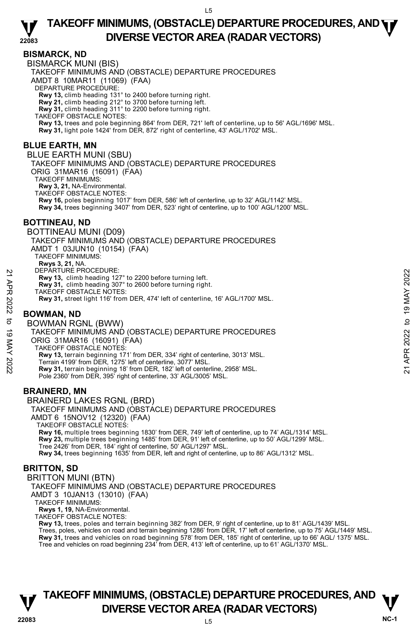## **BISMARCK, ND**

BISMARCK MUNI (BIS) TAKEOFF MINIMUMS AND (OBSTACLE) DEPARTURE PROCEDURES AMDT 8 10MAR11 (11069) (FAA) DEPARTURE PROCEDURE: **Rwy 13,** climb heading 131° to 2400 before turning right. **Rwy 21,** climb heading 212° to 3700 before turning left. **Rwy 31,** climb heading 311° to 2200 before turning right. TAKEOFF OBSTACLE NOTES: **Rwy 13,** trees and pole beginning 864' from DER, 721' left of centerline, up to 56' AGL/1696' MSL. **Rwy 31,** light pole 1424' from DER, 872' right of centerline, 43' AGL/1702' MSL. **BLUE EARTH, MN**  BLUE EARTH MUNI (SBU) TAKEOFF MINIMUMS AND (OBSTACLE) DEPARTURE PROCEDURES ORIG 31MAR16 (16091) (FAA) TAKEOFF MINIMUMS: **Rwy 3, 21,** NA-Environmental. TAKEOFF OBSTACLE NOTES: **Rwy 16,** poles beginning 1017' from DER, 586' left of centerline, up to 32' AGL/1142' MSL. **Rwy 34,** trees beginning 3407' from DER, 523' right of centerline, up to 100' AGL/1200' MSL. **BOTTINEAU, ND**  BOTTINEAU MUNI (D09) TAKEOFF MINIMUMS AND (OBSTACLE) DEPARTURE PROCEDURES AMDT 1 03JUN10 (10154) (FAA) TAKEOFF MINIMUMS: **Rwys 3, 21,** NA. DEPARTURE PROCEDURE: **Rwy 13,** climb heading 127° to 2200 before turning left. **Rwy 31,** climb heading 307° to 2600 before turning right. TAKEOFF OBSTACLE NOTES: **Rwy 31,** street light 116' from DER, 474' left of centerline, 16' AGL/1700' MSL. **BOWMAN, ND**  BOWMAN RGNL (BWW) TAKEOFF MINIMUMS AND (OBSTACLE) DEPARTURE PROCEDURES ORIG 31MAR16 (16091) (FAA) TAKEOFF OBSTACLE NOTES: **Rwy 13,** terrain beginning 171' from DER, 334' right of centerline, 3013' MSL. Terrain 4199' from DER, 1275' left of centerline, 3077' MSL. **Rwy 31,** terrain beginning 18' from DER, 182' left of centerline, 2958' MSL. Pole 2360' from DER, 395' right of centerline, 33' AGL/3005' MSL. 22 DEPARTURE PROCEDURE:<br>
22 Rwy 13, climb heading 307° to 2000 before turning left.<br>
22 Rwy 31, climb heading 307° to 2000 before turning right.<br>
22 Rwy 31, street light 116' from DER, 474' left of centerline, 16' AGL/170

## **BRAINERD, MN**

BRAINERD LAKES RGNL (BRD) TAKEOFF MINIMUMS AND (OBSTACLE) DEPARTURE PROCEDURES AMDT 6 15NOV12 (12320) (FAA) TAKEOFF OBSTACLE NOTES: **Rwy 16,** multiple trees beginning 1830' from DER, 749' left of centerline, up to 74' AGL/1314' MSL. **Rwy 23,** multiple trees beginning 1485' from DER, 91' left of centerline, up to 50' AGL/1299' MSL. Tree 2426' from DER, 184' right of centerline, 50' AGL/1297' MSL. **Rwy 34,** trees beginning 1635' from DER, left and right of centerline, up to 86' AGL/1312' MSL.

## **BRITTON, SD**

BRITTON MUNI (BTN)

TAKEOFF MINIMUMS AND (OBSTACLE) DEPARTURE PROCEDURES

AMDT 3 10JAN13 (13010) (FAA)

TAKEOFF MINIMUMS:

**Rwys 1, 19,** NA-Environmental.

TAKEOFF OBSTACLE NOTES:

**Rwy 13,** trees, poles and terrain beginning 382' from DER, 9' right of centerline, up to 81' AGL/1439' MSL. Trees, poles, vehicles on road and terrain beginning 1286' from DER, 17' left of centerline, up to 75' AGL/1449' MSL. **Rwy 31,** trees and vehicles on road beginning 578' from DER, 185' right of centerline, up to 66' AGL/ 1375' MSL. Tree and vehicles on road beginning 234' from DER, 413' left of centerline, up to 61' AGL/1370' MSL.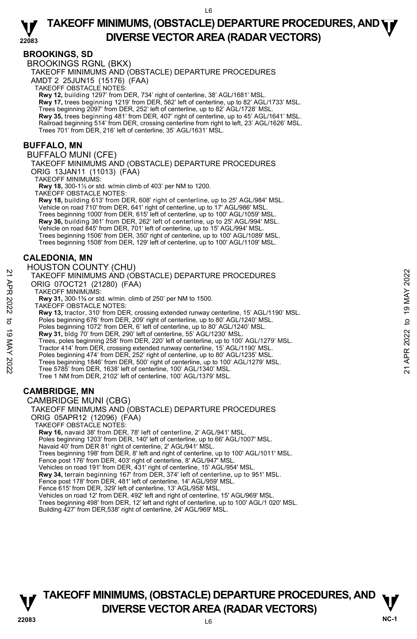## **BROOKINGS, SD**

BROOKINGS RGNL (BKX)

TAKEOFF MINIMUMS AND (OBSTACLE) DEPARTURE PROCEDURES

AMDT 2 25JUN15 (15176) (FAA)

TAKEOFF OBSTACLE NOTES:

**Rwy 12,** building 1297' from DER, 734' right of centerline, 38' AGL/1681' MSL.<br>**Rwy 17,** trees beginning 1219' from DER, 562' left of centerline, up to 82' AGL/1733' MSL.

Trees beginning 2097' from DER, 252' left of centerline, up to 82' AGL/1728' MSL.

**Rwy 35,** trees beginning 481' from DER, 407' right of centerline, up to 45' AGL/1641' MSL. Railroad beginning 514' from DER, crossing centerline from right to left, 23' AGL/1626' MSL.<br>Trees 701' from DER, 216' left of centerline, 35' AGL/1631' MSL.

## **BUFFALO, MN**

BUFFALO MUNI (CFE)

TAKEOFF MINIMUMS AND (OBSTACLE) DEPARTURE PROCEDURES ORIG 13JAN11 (11013) (FAA)

TAKEOFF MINIMUMS:

**Rwy 18,** 300-1½ or std. w/min climb of 403' per NM to 1200.

TAKEOFF OBSTACLE NOTES:

**Rwy 18,** building 613' from DER, 608' right of centerline, up to 25' AGL/984' MSL. Vehicle on road 710' from DER, 641' right of centerline, up to 17' AGL/986' MSL Trees beginning 1000' from DER, 615' left of centerline, up to 100' AGL/1059' MSL **Rwy 36,** building 361' from DER, 262' left of centerline, up to 25' AGL/994' MSL. Vehicle on road 845' from DER, 701' left of centerline, up to 15' AGL/994' MSL. Trees beginning 1506' from DER, 350' right of centerline, up to 100' AGL/1089' MSL. Trees beginning 1508' from DER, 129' left of centerline, up to 100' AGL/1109' MSL.

## **CALEDONIA, MN**

### HOUSTON COUNTY (CHU) TAKEOFF MINIMUMS AND (OBSTACLE) DEPARTURE PROCEDURES ORIG 07OCT21 (21280) (FAA) TAKEOFF MINIMUMS: **Rwy 31,** 300-1⅜ or std. w/min. climb of 250' per NM to 1500. TAKEOFF OBSTACLE NOTES: **Rwy 13,** tractor, 310' from DER, crossing extended runway centerline, 15' AGL/1190' MSL.<br>Poles beginning 676' from DER, 209' right of centerline, up to 80' AGL/1240' MSL. Poles beginning 1072' from DER, 6' left of centerline, up to 80' AGL/1240' MSL. **Rwy 31,** bldg 70' from DER, 290' left of centerline, 55' AGL/1230' MSL. Trees, poles beginning 258' from DER, 220' left of centerline, up to 100' AGL/1279' MSL. Tractor 414' from DER, crossing extended runway centerline, 15' AGL/1190' MSL. Poles beginning 474' from DER, 252' right of centerline, up to 80' AGL/1235' MSL. Trees beginning 1846' from DER, 500' right of centerline, up to 100' AGL/1279' MSL.<br>Tree 5785' from DER, 1638' left of centerline, 100' AGL/1340' MSL. Tree 1 NM from DER, 2102' left of centerline, 100' AGL/1379' MSL. 21<br>
TAKEOFF MINIMUMS AND (OBSTACLE) DEPARTURE PROCEDURES<br>
ORIG 07OCT21 (21280) (FAA)<br>
TAKEOFF MINIMUMS:<br>
Navy 31, 300-1<sup>3</sup>6 or std. w/min. climb of 250' per NM to 1500.<br>
TAKEOFF OBSTACLE NOTES:<br>
Ray 13, 300-1<sup>3</sup>6 or std.

## **CAMBRIDGE, MN**

CAMBRIDGE MUNI (CBG) TAKEOFF MINIMUMS AND (OBSTACLE) DEPARTURE PROCEDURES ORIG 05APR12 (12096) (FAA) TAKEOFF OBSTACLE NOTES: **Rwy 16,** navaid 38' from DER, 78' left of centerline, 2' AGL/941' MSL. Poles beginning 1203' from DER, 140' left of centerline, up to 66' AGL/1007' MSL. Navaid 40' from DER 81' right of centerline, 2' AGL/941' MSL. Trees beginning 198' from DER, 8' left and right of centerline, up to 100' AGL/1011' MSL. Fence post 176' from DER, 403' right of centerline, 8' AGL/947' MSL. Vehicles on road 191' from DER, 431' right of centerline, 15' AGL/954' MSL. **Rwy 34,** terrain beginning 167' from DER, 374' left of centerline, up to 951' MSL. Fence post 178' from DER, 481' left of centerline, 14' AGL/959' MSL. Fence 615' from DER, 329' left of centerline, 13' AGL/958' MSL. Vehicles on road 12' from DER, 492' left and right of centerline, 15' AGL/969' MSL.

Trees beginning 498' from DER, 12' left and right of centerline, up to 100' AGL/1 020' MSL.

Building 427' from DER,538' right of centerline, 24' AGL/969' MSL.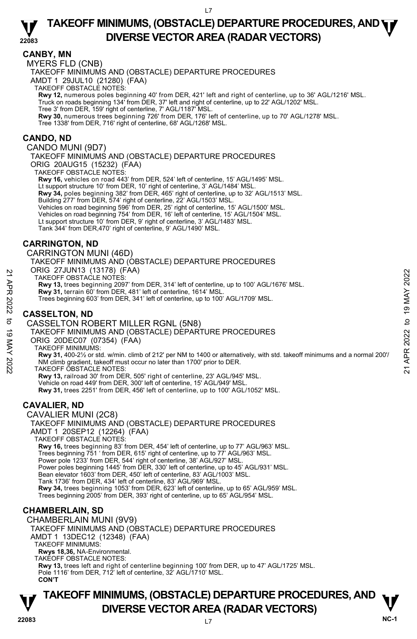## **CANBY, MN**

MYERS FLD (CNB)

TAKEOFF MINIMUMS AND (OBSTACLE) DEPARTURE PROCEDURES

AMDT 1 29JUL10 (21280) (FAA)

TAKEOFF OBSTACLE NOTES:

**Rwy 12,** numerous poles beginning 40' from DER, 421' left and right of centerline, up to 36' AGL/1216' MSL.<br>Truck on roads beginning 134' from DER, 37' left and right of centerline, up to 22' AGL/1202' MSL.

Tree 3' from DER, 159' right of centerline, 7' AGL/1187' MSL.

**Rwy 30,** numerous trees beginning 726' from DER, 176' left of centerline, up to 70' AGL/1278' MSL. Tree 1338' from DER, 716' right of centerline, 68' AGL/1268' MSL.

**CANDO, ND** 

CANDO MUNI (9D7)

TAKEOFF MINIMUMS AND (OBSTACLE) DEPARTURE PROCEDURES ORIG 20AUG15 (15232) (FAA)

TAKEOFF OBSTACLE NOTES:

**Rwy 16,** vehicles on road 443' from DER, 524' left of centerline, 15' AGL/1495' MSL.

Lt support structure 10' from DER, 10' right of centerline, 3' AGL/1484' MSL.

**Rwy 34,** poles beginning 382' from DER, 465' right of centerline, up to 32' AGL/1513' MSL.<br>Building 277' from DER, 574' right of centerline, 22' AGL/1503' MSL.<br>Vehicles on road beginning 596' from DER, 25' right of center

Vehicles on road beginning 754' from DER, 16' left of centerline, 15' AGL/1504' MSL. Lt support structure 10' from DER, 9' right of centerline, 3' AGL/1483' MSL.

Tank 344' from DER,470' right of centerline, 9' AGL/1490' MSL.

## **CARRINGTON, ND**

CARRINGTON MUNI (46D)

TAKEOFF MINIMUMS AND (OBSTACLE) DEPARTURE PROCEDURES

ORIG 27JUN13 (13178) (FAA) TAKEOFF OBSTACLE NOTES:

**Rwy 13,** trees beginning 2097' from DER, 314' left of centerline, up to 100' AGL/1676' MSL.

**Rwy 31,** terrain 60' from DER, 481' left of centerline, 1614' MSL.

Trees beginning 603' from DER, 341' left of centerline, up to 100' AGL/1709' MSL.

## **CASSELTON, ND**

CASSELTON ROBERT MILLER RGNL (5N8) TAKEOFF MINIMUMS AND (OBSTACLE) DEPARTURE PROCEDURES ORIG 20DEC07 (07354) (FAA) TAKEOFF MINIMUMS: **Rwy 31,** 400-2½ or std. w/min. climb of 212' per NM to 1400 or alternatively, with std. takeoff minimums and a normal 200'/ NM climb gradient, takeoff must occur no later than 1700' prior to DER. TAKEOFF OBSTACLE NOTES: **Rwy 13,** railroad 30' from DER, 505' right of centerline, 23' AGL/945' MSL. Vehicle on road 449' from DER, 300' left of centerline, 15' AGL/949' MSL.<br>**Rwy 31,** trees 2251' from DER, 456' left of centerline, up to 100' AGL/1052' MSL. TAKEOFF OBSTACLE NOTES:<br>
TAKEOFF OBSTACLE NOTES:<br> **21 TAKEOFF OBSTACLE NOTES:**<br> **22 Rwy 31,** terrain 60' from DER, 481' left of centerline, 1614' MSL.<br>
Trees beginning 603' from DER, 481' left of centerline, 1614' MSL.<br>
Tr

## **CAVALIER, ND**

CAVALIER MUNI (2C8) TAKEOFF MINIMUMS AND (OBSTACLE) DEPARTURE PROCEDURES AMDT 1 20SEP12 (12264) (FAA) TAKEOFF OBSTACLE NOTES: **Rwy 16,** trees beginning 83' from DER, 454' left of centerline, up to 77' AGL/963' MSL. Trees beginning 751 ' from DER, 615' right of centerline, up to 77' AGL/963' MSL.<br>Power pole 1233' from DER, 544' right of centerline, 38' AGL/927' MSL.<br>Power poles beginning 1445' from DER, 330' left of centerline, up to Bean elevator 1603' from DER, 450' left of centerline, 83' AGL/1003' MSL. Tank 1736' from DER, 434' left of centerline, 83' AGL/969' MSL.<br>**Rwy 34,** trees beginning 1053' from DER, 623' left of centerline, up to 65' AGL/959' MSL. Trees beginning 2005' from DER, 393' right of centerline, up to 65' AGL/954' MSL.

## **CHAMBERLAIN, SD**

CHAMBERLAIN MUNI (9V9)

TAKEOFF MINIMUMS AND (OBSTACLE) DEPARTURE PROCEDURES AMDT 1 13DEC12 (12348) (FAA) TAKEOFF MINIMUMS:

**Rwys 18,36,** NA-Environmental.

TAKEOFF OBSTACLE NOTES:

**Rwy 13,** trees left and right of centerline beginning 100' from DER, up to 47' AGL/1725' MSL. Pole 1116' from DER, 712' left of centerline, 32' AGL/1710' MSL. **CON'T**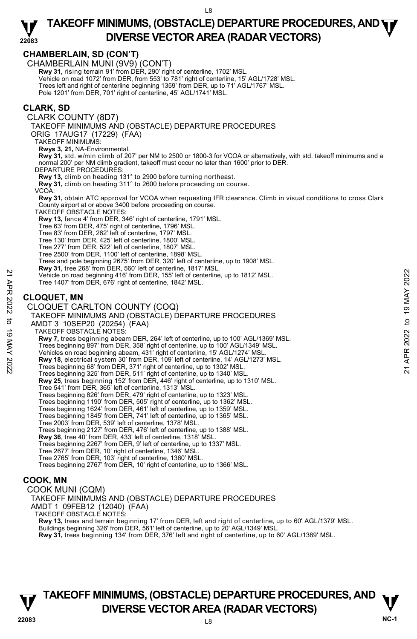|                                 | <b>CHAMBERLAIN, SD (CON'T)</b><br>CHAMBERLAIN MUNI (9V9) (CON'T)<br>Rwy 31, rising terrain 91' from DER, 290' right of centerline, 1702' MSL.<br>Vehicle on road 1072' from DER, from 553' to 781' right of centerline, 15' AGL/1728' MSL.<br>Trees left and right of centerline beginning 1359' from DER, up to 71' AGL/1767' MSL.<br>Pole 1201' from DER, 701' right of centerline, 45' AGL/1741' MSL.                                                                                                                                                                                                                                                                                                                                                                                                                                                                                                                                                                                                                                                                                                                                                                                                                                                                                                                                                                                                                                                                                                                                                                                                                                               |                                                     |
|---------------------------------|--------------------------------------------------------------------------------------------------------------------------------------------------------------------------------------------------------------------------------------------------------------------------------------------------------------------------------------------------------------------------------------------------------------------------------------------------------------------------------------------------------------------------------------------------------------------------------------------------------------------------------------------------------------------------------------------------------------------------------------------------------------------------------------------------------------------------------------------------------------------------------------------------------------------------------------------------------------------------------------------------------------------------------------------------------------------------------------------------------------------------------------------------------------------------------------------------------------------------------------------------------------------------------------------------------------------------------------------------------------------------------------------------------------------------------------------------------------------------------------------------------------------------------------------------------------------------------------------------------------------------------------------------------|-----------------------------------------------------|
|                                 | CLARK, SD<br>CLARK COUNTY (8D7)<br>TAKEOFF MINIMUMS AND (OBSTACLE) DEPARTURE PROCEDURES<br>ORIG 17AUG17 (17229) (FAA)<br><b>TAKEOFF MINIMUMS:</b><br>Rwys 3, 21, NA-Environmental.<br>Rwy 31, std. w/min climb of 207' per NM to 2500 or 1800-3 for VCOA or alternatively, with std. takeoff minimums and a<br>normal 200' per NM climb gradient, takeoff must occur no later than 1600' prior to DER.<br>DEPARTURE PROCEDURES:<br>Rwy 13, climb on heading 131° to 2900 before turning northeast.<br><b>Rwy 31, climb on heading 311° to 2600 before proceeding on course.</b><br>VCOA:<br>Rwy 31, obtain ATC approval for VCOA when requesting IFR clearance. Climb in visual conditions to cross Clark<br>County airport at or above 3400 before proceeding on course.<br>TAKEOFF OBSTACLE NOTES:<br>Rwy 13, fence 4' from DER, 346' right of centerline, 1791' MSL.<br>Tree 63' from DER, 475' right of centerline, 1796' MSL.<br>Tree 83' from DER, 262' left of centerline, 1797' MSL.<br>Tree 130' from DER, 425' left of centerline, 1800' MSL.<br>Tree 277' from DER, 522' left of centerline, 1807' MSL.<br>Tree 2500' from DER, 1100' left of centerline, 1898' MSL.<br>Trees and pole beginning 2675' from DER, 320' left of centerline, up to 1908' MSL.<br>Rwy 31, tree 268' from DER, 560' left of centerline, 1817' MSL.<br>Vehicle on road beginning 416' from DER, 155' left of centerline, up to 1812' MSL.<br>Tree 1407' from DER, 676' right of centerline, 1842' MSL.                                                                                                                                                            | 2022                                                |
| 21 APR 2022<br>ರ<br>19 MAY 2022 | <b>CLOQUET, MN</b><br>CLOQUET CARLTON COUNTY (COQ)<br>TAKEOFF MINIMUMS AND (OBSTACLE) DEPARTURE PROCEDURES<br>AMDT 3 10SEP20 (20254) (FAA)<br>TAKEOFF OBSTACLE NOTES:<br>Rwy 7, trees beginning abeam DER, 264' left of centerline, up to 100' AGL/1369' MSL.<br>Trees beginning 897' from DER, 358' right of centerline, up to 100' AGL/1349' MSL.<br>Vehicles on road beginning abeam, 431' right of centerline, 15' AGL/1274' MSL.<br>Rwy 18, electrical system 30' from DER, 109' left of centerline, 14' AGL/1273' MSL.<br>Trees beginning 68' from DER, 371' right of centerline, up to 1302' MSL.<br>Trees beginning 325' from DER, 511' right of centerline, up to 1340' MSL.<br>Rwy 25, trees beginning 152' from DER, 446' right of centerline, up to 1310' MSL.<br>Tree 541' from DER, 365' left of centerline, 1313' MSL.<br>Trees beginning 826' from DER, 479' right of centerline, up to 1323' MSL.<br>Trees beginning 1190' from DER, 505' right of centerline, up to 1362' MSL.<br>Trees beginning 1624' from DER, 461' left of centerline, up to 1359' MSL.<br>Trees beginning 1845' from DER, 741' left of centerline, up to 1365' MSL.<br>Tree 2003' from DER, 539' left of centerline, 1378' MSL.<br>Trees beginning 2127' from DER, 476' left of centerline, up to 1388' MSL.<br>Rwy 36, tree 40' from DER, 433' left of centerline, 1318' MSL.<br>Trees beginning 2267' from DER, 9' left of centerline, up to 1337' MSL.<br>Tree 2677' from DER, 10' right of centerline, 1346' MSL.<br>Tree 2765' from DER, 103' right of centerline, 1360' MSL.<br>Trees beginning 2767' from DER, 10' right of centerline, up to 1366' MSL. | <b>19 MAY</b><br>$\mathbf{a}$<br>2022<br>APR:<br>21 |
|                                 | COOK, MN<br>COOK MUNI (CQM)<br>TAKEOFF MINIMUMS AND (OBSTACLE) DEPARTURE PROCEDURES<br>AMDT 1 09FEB12 (12040) (FAA)<br><b>TAKEOFF OBSTACLE NOTES:</b>                                                                                                                                                                                                                                                                                                                                                                                                                                                                                                                                                                                                                                                                                                                                                                                                                                                                                                                                                                                                                                                                                                                                                                                                                                                                                                                                                                                                                                                                                                  |                                                     |

**Rwy 13,** trees and terrain beginning 17' from DER, left and right of centerline, up to 60' AGL/1379' MSL.

Buildings beginning 326' from DER, 561' left of centerline, up to 20' AGL/1349' MSL.<br>**Rwy 31,** trees beginning 134' from DER, 376' left and right of centerline, up to 60' AGL/1389' MSL.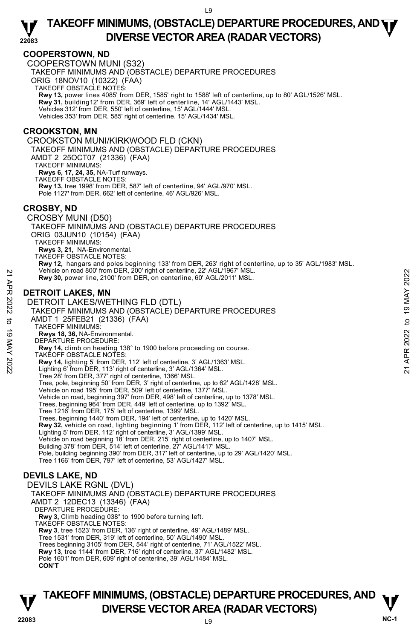## **COOPERSTOWN, ND**

COOPERSTOWN MUNI (S32)

TAKEOFF MINIMUMS AND (OBSTACLE) DEPARTURE PROCEDURES

ORIG 18NOV10 (10322) (FAA)

TAKEOFF OBSTACLE NOTES:

**Rwy 13,** power lines 4085' from DER, 1585' right to 1588' left of centerline, up to 80' AGL/1526' MSL. **Rwy 31,** building12' from DER, 369' left of centerline, 14' AGL/1443' MSL.

Vehicles 312' from DER, 550' left of centerline, 15' AGL/1444' MSL.

Vehicles 353' from DER, 585' right of centerline, 15' AGL/1434' MSL.

### **CROOKSTON, MN**

CROOKSTON MUNI/KIRKWOOD FLD (CKN) TAKEOFF MINIMUMS AND (OBSTACLE) DEPARTURE PROCEDURES AMDT 2 25OCT07 (21336) (FAA) TAKEOFF MINIMUMS: **Rwys 6, 17, 24, 35,** NA-Turf runways. TAKEOFF OBSTACLE NOTES: **Rwy 13,** tree 1998' from DER, 587' left of centerline, 94' AGL/970' MSL. Pole 1127' from DER, 662' left of centerline, 46' AGL/926' MSL. **CROSBY, ND**  CROSBY MUNI (D50) TAKEOFF MINIMUMS AND (OBSTACLE) DEPARTURE PROCEDURES ORIG 03JUN10 (10154) (FAA) TAKEOFF MINIMUMS: **Rwys 3, 21,** NA-Environmental. TAKEOFF OBSTACLE NOTES: **Rwy 12,** hangars and poles beginning 133' from DER, 263' right of centerline, up to 35' AGL/1983' MSL.<br>Vehicle on road 800' from DER, 200' right of centerline, 22' AGL/1967' MSL. **Rwy 30,** power line, 2100' from DER, on centerline, 60' AGL/2011' MSL. **DETROIT LAKES, MN**  DETROIT LAKES/WETHING FLD (DTL) TAKEOFF MINIMUMS AND (OBSTACLE) DEPARTURE PROCEDURES AMDT 1 25FEB21 (21336) (FAA) TAKEOFF MINIMUMS: **Rwys 18, 36,** NA-Environmental. DEPARTURE PROCEDURE: **Rwy 14,** climb on heading 138° to 1900 before proceeding on course. TAKEOFF OBSTACLE NOTES: **Rwy 14,** lighting 5' from DER, 112' left of centerline, 3' AGL/1363' MSL.<br>Lighting 6' from DER, 113' right of centerline, 3' AGL/1364' MSL. Tree 28' from DER, 377' right of centerline, 1366' MSL. Tree, pole, beginning 50' from DER, 3' right of centerline, up to 62' AGL/1428' MSL. Vehicle on road 195' from DER, 509' left of centerline, 1377' MSL. Vehicle on road, beginning 397' from DER, 498' left of centerline, up to 1378' MSL. Trees, beginning 964' from DER, 449' left of centerline, up to 1392' MSL. Tree 1216' from DER, 175' left of centerline, 1399' MSL. Trees, beginning 1440' from DER, 194' left of centerline, up to 1420' MSL. **Rwy 32,** vehicle on road, lighting beginning 1' from DER, 112' left of centerline, up to 1415' MSL. Lighting 5' from DER, 112' right of centerline, 3' AGL/1399' MSL. Vehicle on road beginning 18' from DER, 215' right of centerline, up to 1407' MSL. Building 378' from DER, 514' left of centerline, 27' AGL/1417' MSL. Pole, building beginning 390' from DER, 317' left of centerline, up to 29' AGL/1420' MSL. Tree 1166' from DER, 797' left of centerline, 53' AGL/1427' MSL. Price on road 800' from DER, 200' right of centerline, 22' AGL/1967' MSL.<br>
22<br> **DETROIT LAKES, MN**<br>
DETROIT LAKES/WETHING FLD (DTL)<br>
22<br>
TAKEOFF MINIMUMS AND (OBSTACLE) DEPARTURE PROCEDURES<br>
AMDT 1 25FEB21 (21336) (FAA)<br>

## **DEVILS LAKE, ND**

DEVILS LAKE RGNL (DVL) TAKEOFF MINIMUMS AND (OBSTACLE) DEPARTURE PROCEDURES AMDT 2 12DEC13 (13346) (FAA) DEPARTURE PROCEDURE: **Rwy 3,** Climb heading 038° to 1900 before turning left. TAKEOFF OBSTACLE NOTES: **Rwy 3**, tree 1523' from DER, 136' right of centerline, 49' AGL/1489' MSL. Tree 1531' from DER, 319' left of centerline, 50' AGL/1490' MSL. Trees beginning 3105' from DER, 544' right of centerline, 71' AGL/1522' MSL. **Rwy 13**, tree 1144' from DER, 716' right of centerline, 37' AGL/1482' MSL. Pole 1601' from DER, 609' right of centerline, 39' AGL/1484' MSL. **CON'T**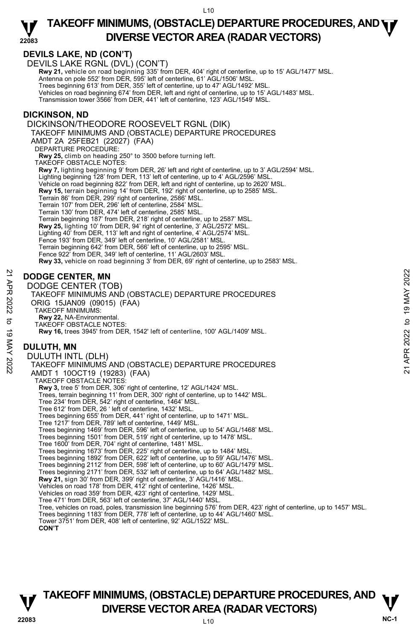### **22083 TAKEOFF MINIMUMS, (OBSTACLE) DEPARTURE PROCEDURES, AND <b>WE**<br>DIVERSE VECTOR AREA (BADAR VECTORS) **DIVERSE VECTOR AREA (RADAR VECTORS)**

## **DEVILS LAKE, ND (CON'T)**

DEVILS LAKE RGNL (DVL) (CON'T)

**Rwy 21,** vehicle on road beginning 335' from DER, 404' right of centerline, up to 15' AGL/1477' MSL.<br>Antenna on pole 552' from DER, 595' left of centerline, 61' AGL/1506' MSL. Trees beginning 613' from DER, 355' left of centerline, up to 47' AGL/1492' MSL. Vehicles on road beginning 674' from DER, left and right of centerline, up to 15' AGL/1483' MSL. Transmission tower 3566' from DER, 441' left of centerline, 123' AGL/1549' MSL.

## **DICKINSON, ND**

DICKINSON/THEODORE ROOSEVELT RGNL (DIK) TAKEOFF MINIMUMS AND (OBSTACLE) DEPARTURE PROCEDURES AMDT 2A 25FEB21 (22027) (FAA) DEPARTURE PROCEDURE: **Rwy 25,** climb on heading 250° to 3500 before turning left. TAKEOFF OBSTACLE NOTES:  **Rwy 7,** lighting beginning 9' from DER, 26' left and right of centerline, up to 3' AGL/2594' MSL. Lighting beginning 128' from DER, 113' left of centerline, up to 4' AGL/2596' MSL. Vehicle on road beginning 822' from DER, left and right of centerline, up to 2620' MSL. **Rwy 15,** terrain beginning 14' from DER, 192' right of centerline, up to 2585' MSL.<br>Terrain 86' from DER, 299' right of centerline, 2586' MSL. Terrain 107' from DER, 296' left of centerline, 2584' MSL. Terrain 130' from DER, 474' left of centerline, 2585' MSL. Terrain beginning 187' from DER, 218' right of centerline, up to 2587' MSL.  **Rwy 25,** lighting 10' from DER, 94' right of centerline, 3' AGL/2572' MSL. Lighting 40' from DER, 113' left and right of centerline, 4' AGL/2574' MSL. Fence 193' from DER, 349' left of centerline, 10' AGL/2581' MSL. Terrain beginning 642' from DER, 566' left of centerline, up to 2595' MSL. Fence 922' from DER, 349' left of centerline, 11' AGL/2603' MSL. **Rwy 33,** vehicle on road beginning 3' from DER, 69' right of centerline, up to 2583' MSL.

## **DODGE CENTER, MN**

DODGE CENTER (TOB) TAKEOFF MINIMUMS AND (OBSTACLE) DEPARTURE PROCEDURES ORIG 15JAN09 (09015) (FAA) TAKEOFF MINIMUMS: **Rwy 22,** NA-Environmental. TAKEOFF OBSTACLE NOTES: **Rwy 16,** trees 3945' from DER, 1542' left of centerline, 100' AGL/1409' MSL. **DULUTH, MN**  DULUTH INTL (DLH) TAKEOFF MINIMUMS AND (OBSTACLE) DEPARTURE PROCEDURES AMDT 1 10OCT19 (19283) (FAA) TAKEOFF OBSTACLE NOTES: **Rwy 3,** tree 5' from DER, 306' right of centerline, 12' AGL/1424' MSL. Trees, terrain beginning 11' from DER, 300' right of centerline, up to 1442' MSL. Tree 234' from DER, 542' right of centerline, 1464' MSL. Tree 612' from DER, 26 ' left of centerline, 1432' MSL. Trees beginning 655' from DER, 441' right of centerline, up to 1471' MSL. Tree 1217' from DER, 789' left of centerline, 1449' MSL. Trees beginning 1469' from DER, 596' left of centerline, up to 54' AGL/1468' MSL. Trees beginning 1501' from DER, 519' right of centerline, up to 1478' MSL. Tree 1600' from DER, 704' right of centerline, 1481' MSL. Trees beginning 1673' from DER, 225' right of centerline, up to 1484' MSL. Trees beginning 1892' from DER, 622' left of centerline, up to 59' AGL/1476' MSL. Trees beginning 2112' from DER, 598' left of centerline, up to 60' AGL/1479' MSL. Trees beginning 2171' from DER, 532' left of centerline, up to 64' AGL/1482' MSL. **Rwy 21,** sign 30' from DER, 399' right of centerline, 3' AGL/1416' MSL.<br>Vehicles on road 178' from DER, 412' right of centerline, 1426' MSL. Vehicles on road 359' from DER, 423' right of centerline, 1429' MSL. Tree 471' from DER, 563' left of centerline, 37' AGL/1440' MSL. 22 **DODGE CENTER, MN**<br>
22 DODGE CENTER (TOB)<br>
TAKEOFF MINIMUMS AND (OBSTACLE) DEPARTURE PROCEDURES<br>
22 ORIG 15JAN09 (09015) (FAA)<br>
TAKEOFF MINIMUMS:<br>
TAKEOFF OBSTACLE NOTES:<br>
22 TAKEOFF OBSTACLE NOTES:<br>
22 TAKEOFF OBSTACL

Tree, vehicles on road, poles, transmission line beginning 576' from DER, 423' right of centerline, up to 1457' MSL.<br>Trees beginning 1183' from DER, 778' left of centerline, up to 44' AGL/1460' MSL. Tower 3751' from DER, 408' left of centerline, 92' AGL/1522' MSL.

**CON'T**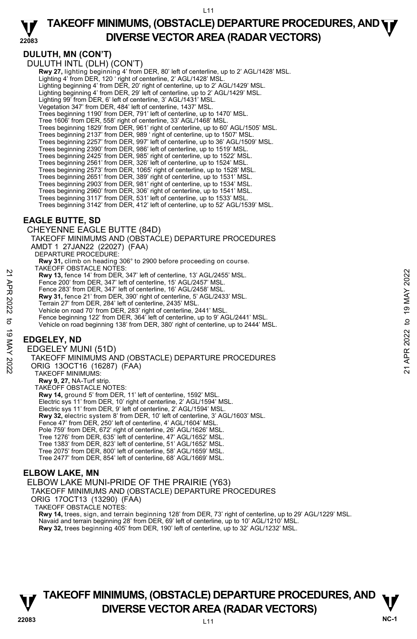### **22083 TAKEOFF MINIMUMS, (OBSTACLE) DEPARTURE PROCEDURES, AND <b>WE**<br>DIVERSE VECTOR AREA (BADAR VECTORS) **DIVERSE VECTOR AREA (RADAR VECTORS)**

## **DULUTH, MN (CON'T)**

DULUTH INTL (DLH) (CON'T) **Rwy 27,** lighting beginning 4' from DER, 80' left of centerline, up to 2' AGL/1428' MSL. Lighting 4' from DER, 120 ' right of centerline, 2' AGL/1428' MSL. Lighting beginning 4' from DER, 20' right of centerline, up to 2' AGL/1429' MSL. Lighting beginning 4' from DER, 29' left of centerline, up to 2' AGL/1429' MSL. Lighting 99' from DER, 6' left of centerline, 3' AGL/1431' MSL. Vegetation 347' from DER, 484' left of centerline, 1437' MSL. Trees beginning 1190' from DER, 791' left of centerline, up to 1470' MSL. Tree 1606' from DER, 558' right of centerline, 33' AGL/1468' MSL. Trees beginning 1829' from DER, 961' right of centerline, up to 60' AGL/1505' MSL. Trees beginning 2137' from DER, 989 ' right of centerline, up to 1507' MSL. Trees beginning 2257' from DER, 997' left of centerline, up to 36' AGL/1509' MSL. Trees beginning 2390' from DER, 986' left of centerline, up to 1519' MSL. Trees beginning 2425' from DER, 985' right of centerline, up to 1522' MSL. Trees beginning 2561' from DER, 326' left of centerline, up to 1524' MSL. Trees beginning 2573' from DER, 1065' right of centerline, up to 1528' MSL. Trees beginning 2651' from DER, 389' right of centerline, up to 1531' MSL. Trees beginning 2903' from DER, 981' right of centerline, up to 1534' MSL. Trees beginning 2960' from DER, 306' right of centerline, up to 1541' MSL. Trees beginning 3117' from DER, 531' left of centerline, up to 1533' MSL. Trees beginning 3142' from DER, 412' left of centerline, up to 52' AGL/1539' MSL.

## **EAGLE BUTTE, SD**

CHEYENNE EAGLE BUTTE (84D) TAKEOFF MINIMUMS AND (OBSTACLE) DEPARTURE PROCEDURES AMDT 1 27JAN22 (22027) (FAA) DEPARTURE PROCEDURE:  **Rwy 31,** climb on heading 306° to 2900 before proceeding on course. TAKEOFF OBSTACLE NOTES: **Rwy 13,** fence 14' from DER, 347' left of centerline, 13' AGL/2455' MSL. Fence 200' from DER, 347' left of centerline, 15' AGL/2457' MSL. Fence 283' from DER, 347' left of centerline, 16' AGL/2458' MSL. **Rwy 31,** fence 21' from DER, 390' right of centerline, 5' AGL/2433' MSL. Terrain 27' from DER, 284' left of centerline, 2435' MSL. Vehicle on road 70' from DER, 283' right of centerline, 2441' MSL. Fence beginning 122' from DER, 364' left of centerline, up to 9' AGL/2441' MSL. Vehicle on road beginning 138' from DER, 380' right of centerline, up to 2444' MSL. **EDGELEY, ND**  EDGELEY MUNI (51D) TAKEOFF MINIMUMS AND (OBSTACLE) DEPARTURE PROCEDURES ORIG 13OCT16 (16287) (FAA) TAKEOFF MINIMUMS: **Rwy 9, 27,** NA-Turf strip. TAKEOFF OBSTACLE NOTES: Rwy 13, fence 14 from DER, 347' left of centerline, 13' AGL/2455' MSL.<br>
Fence 200' from DER, 347' left of centerline, 16' AGL/2457' MSL.<br>
Fence 203' from DER, 347' left of centerline, 16' AGL/2458' MSL.<br> **Rwy 31**, fence 21

**Rwy 14,** ground 5' from DER, 11' left of centerline, 1592' MSL. Electric sys 11' from DER, 10' right of centerline, 2' AGL/1594' MSL. Electric sys 11' from DER, 9' left of centerline, 2' AGL/1594' MSL. **Rwy 32,** electric system 8' from DER, 10' left of centerline, 3' AGL/1603' MSL. Fence 47' from DER, 250' left of centerline, 4' AGL/1604' MSL. Pole 759' from DER, 672' right of centerline, 26' AGL/1626' MSL. Tree 1276' from DER, 635' left of centerline, 47' AGL/1652' MSL. Tree 1383' from DER, 823' left of centerline, 51' AGL/1652' MSL. Tree 2075' from DER, 800' left of centerline, 58' AGL/1659' MSL. Tree 2477' from DER, 854' left of centerline, 68' AGL/1669' MSL.

## **ELBOW LAKE, MN**

## ELBOW LAKE MUNI-PRIDE OF THE PRAIRIE (Y63)

TAKEOFF MINIMUMS AND (OBSTACLE) DEPARTURE PROCEDURES

ORIG 17OCT13 (13290) (FAA)

TAKEOFF OBSTACLE NOTES:

**Rwy 14,** trees, sign, and terrain beginning 128' from DER, 73' right of centerline, up to 29' AGL/1229' MSL. Navaid and terrain beginning 28' from DER, 69' left of centerline, up to 10' AGL/1210' MSL. **Rwy 32,** trees beginning 405' from DER, 190' left of centerline, up to 32' AGL/1232' MSL.

# **TAKEOFF MINIMUMS, (OBSTACLE) DEPARTURE PROCEDURES, AND**  $\mathbf{\nabla}$ **DIVERSE VECTOR AREA (RADAR VECTORS) WELL WELL WELL WELL AREA**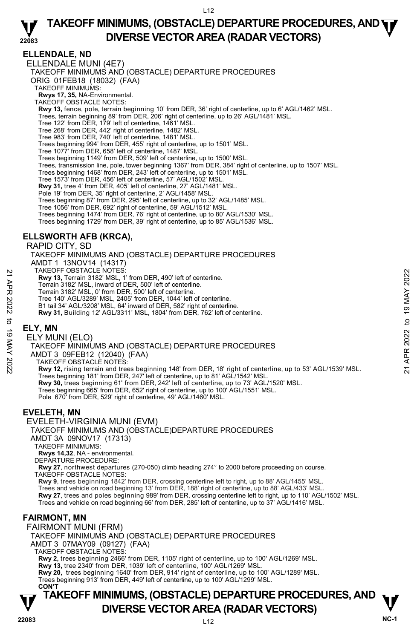## **ELLENDALE, ND**

ELLENDALE MUNI (4E7) TAKEOFF MINIMUMS AND (OBSTACLE) DEPARTURE PROCEDURES ORIG 01FEB18 (18032) (FAA) TAKEOFF MINIMUMS: **Rwys 17, 35,** NA-Environmental. TAKEOFF OBSTACLE NOTES: **Rwy 13,** fence, pole, terrain beginning 10' from DER, 36' right of centerline, up to 6' AGL/1462' MSL. Trees, terrain beginning 89' from DER, 206' right of centerline, up to 26' AGL/1481' MSL. Tree 122' from DER, 179' left of centerline, 1461' MSL. Tree 268' from DER, 442' right of centerline, 1482' MSL. Tree 983' from DER, 740' left of centerline, 1481' MSL. Trees beginning 994' from DER, 455' right of centerline, up to 1501' MSL. Tree 1077' from DER, 658' left of centerline, 1487' MSL. Trees beginning 1149' from DER, 509' left of centerline, up to 1500' MSL. Trees, transmission line, pole, tower beginning 1367' from DER, 384' right of centerline, up to 1507' MSL. Trees beginning 1468' from DER, 243' left of centerline, up to 1501' MSL. Tree 1573' from DER, 456' left of centerline, 57' AGL/1502' MSL. **Rwy 31,** tree 4' from DER, 405' left of centerline, 27' AGL/1481' MSL. Pole 19' from DER, 35' right of centerline, 2' AGL/1458' MSL. Trees beginning 87' from DER, 295' left of centerline, up to 32' AGL/1485' MSL. Tree 1056' from DER, 692' right of centerline, 59' AGL/1512' MSL. Trees beginning 1474' from DER, 76' right of centerline, up to 80' AGL/1530' MSL. Trees beginning 1729' from DER, 39' right of centerline, up to 85' AGL/1536' MSL. **ELLSWORTH AFB (KRCA),** 

RAPID CITY, SD TAKEOFF MINIMUMS AND (OBSTACLE) DEPARTURE PROCEDURES AMDT 1 13NOV14 (14317) TAKEOFF OBSTACLE NOTES: **Rwy 13,** Terrain 3182' MSL, 1' from DER, 490' left of centerline. Terrain 3182' MSL, inward of DER, 500' left of centerline. Terrain 3182' MSL, 0' from DER, 500' left of centerline. Tree 140' AGL/3289' MSL, 2405' from DER, 1044' left of centerline. B1 tail 34' AGL/3208' MSL, 64' inward of DER, 582' right of centerline. **Rwy 31,** Building 12' AGL/3311' MSL, 1804' from DER, 762' left of centerline. 21 AKEOFF OBSTACLE NOTES:<br>
22 Terrain 3182' MSL, itward of DER, 500' left of centerline.<br>
22 Terrain 3182' MSL, inward of DER, 500' left of centerline.<br>
22 Terrain 3182' MSL, 0 from DER, 1044' left of centerline.<br>
22 Terr

## **ELY, MN**

ELY MUNI (ELO)

TAKEOFF MINIMUMS AND (OBSTACLE) DEPARTURE PROCEDURES

AMDT 3 09FEB12 (12040) (FAA)

TAKEOFF OBSTACLE NOTES:

**Rwy 12,** rising terrain and trees beginning 148' from DER, 18' right of centerline, up to 53' AGL/1539' MSL. Trees beginning 181' from DER, 247' left of centerline, up to 81' AGL/1542' MSL. **Rwy 30,** trees beginning 61' from DER, 242' left of centerline, up to 73' AGL/1520' MSL. Trees beginning 665' from DER, 652' right of centerline, up to 100' AGL/1551' MSL. Pole 670' from DER, 529' right of centerline, 49' AGL/1460' MSL.

## **EVELETH, MN**

EVELETH-VIRGINIA MUNI (EVM) TAKEOFF MINIMUMS AND (OBSTACLE)DEPARTURE PROCEDURES AMDT 3A 09NOV17 (17313) TAKEOFF MINIMUMS: **Rwys 14,32**, NA - environmental. DEPARTURE PROCEDURE: **Rwy 27**, northwest departures (270-050) climb heading 274° to 2000 before proceeding on course. TAKEOFF OBSTACLE NOTES:

**Rwy 9**, trees beginning 1842' from DER, crossing centerline left to right, up to 88' AGL/1455' MSL.<br>Trees and vehicle on road beginning 13' from DER, 188' right of centerline, up to 88' AGL/433' MSL. **Rwy 27**, trees and poles beginning 989' from DER, crossing centerline left to right, up to 110' AGL/1502' MSL. Trees and vehicle on road beginning 66' from DER, 285' left of centerline, up to 37' AGL/1416' MSL.

## **FAIRMONT, MN**

FAIRMONT MUNI (FRM)

TAKEOFF MINIMUMS AND (OBSTACLE) DEPARTURE PROCEDURES

AMDT 3 07MAY09 (09127) (FAA)

TAKEOFF OBSTACLE NOTES:

**Rwy 2,** trees beginning 2466' from DER, 1105' right of centerline, up to 100' AGL/1269' MSL.

**Rwy 13,** tree 2340' from DER, 1039' left of centerline, 100' AGL/1269' MSL.

**Rwy 20,** trees beginning 1640' from DER, 914' right of centerline, up to 100' AGL/1289' MSL.<br>Trees beginning 913' from DER, 449' left of centerline, up to 100' AGL/1299' MSL.

**CON'T**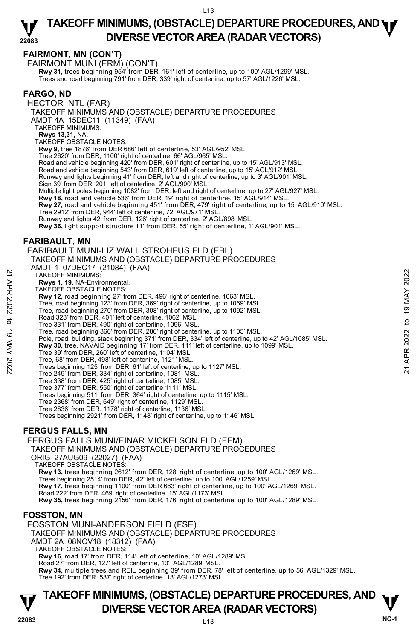## **FAIRMONT, MN (CON'T)**

FAIRMONT MUNI (FRM) (CON'T) **Rwy 31,** trees beginning 954' from DER, 161' left of centerline, up to 100' AGL/1299' MSL.<br>Trees and road beginning 791' from DER, 339' right of centerline, up to 57' AGL/1226' MSL.

## **FARGO, ND**

HECTOR INTL (FAR)

TAKEOFF MINIMUMS AND (OBSTACLE) DEPARTURE PROCEDURES

AMDT 4A 15DEC11 (11349) (FAA)

TAKEOFF MINIMUMS:

**Rwys 13,31,** NA.

TAKEOFF OBSTACLE NOTES:

**Rwy 9,** tree 1876' from DER 686' left of centerline, 53' AGL/952' MSL.

Tree 2620' from DER, 1100' right of centerline, 66' AGL/965' MSL.

Road and vehicle beginning 420' from DER, 601' right of centerline, up to 15' AGL/913' MSL.

Road and vehicle beginning 543' from DER, 619' left of centerline, up to 15' AGL/912' MSL.

Runway end lights beginning 41' from DER, left and right of centerline, up to 3' AGL/901' MSL.

Sign 39' from DER, 201' left of centerline, 2' AGL/900' MSL.

Multiple light poles beginning 1082' from DER, left and right of centerline, up to 27' AGL/927' MSL.<br>**Rwy 18,** road and vehicle 536' from DER, 19' right of centerline, 15' AGL/914' MSL.

**Rwy 27,** road and vehicle beginning 451' from DER, 479' right of centerline, up to 15' AGL/910' MSL.

Tree 2912' from DER, 944' left of centerline, 72' AGL/971' MSL.

Runway end lights 42' from DER, 126' right of centerline, 2' AGL/898' MSL.

**Rwy 36,** light support structure 11' from DER, 55' right of centerline, 1' AGL/901' MSL.

## **FARIBAULT, MN**

FARIBAULT MUNI-LIZ WALL STROHFUS FLD (FBL)

- TAKEOFF MINIMUMS AND (OBSTACLE) DEPARTURE PROCEDURES
- AMDT 1 07DEC17 (21084) (FAA)

TAKEOFF MINIMUMS:

**Rwys 1, 19,** NA-Environmental.

- TAKEOFF OBSTACLE NOTES:
- **Rwy 12,** road beginning 27' from DER, 496' right of centerline, 1063' MSL.
- Tree, road beginning 123' from DER, 369' right of centerline, up to 1069' MSL.
- 
- Tree, road beginning 270' from DER, 308' right of centerline, up to 1092' MSL. Road 323' from DER, 401' left of centerline, 1062' MSL.
- Tree 331' from DER, 490' right of centerline, 1096' MSL.
- Tree, road beginning 366' from DER, 286' right of centerline, up to 1105' MSL.

Pole, road, building, stack beginning 371' from DER, 334' left of centerline, up to 42' AGL/1085' MSL. TAKE OFF MINIMUMS:<br>
TAKE OFF MINIMUMS:<br>
TRAVE AT 19, NA-Environmental.<br>
TAKE OFF OBSTACLE NOTES:<br>
Tree, road beginning 27' from DER, 496' right of centerline, 1063' MSL.<br>
Tree, road beginning 27' from DER, 308' right of c

- **Rwy 30,** tree, NAVAID beginning 17' from DER, 111' left of centerline, up to 1099' MSL.
- Tree 39' from DER, 260' left of centerline, 1104' MSL.
- Tree, 68' from DER, 498' left of centerline, 1121' MSL.
- Trees beginning 125' from DER, 61' left of centerline, up to 1127' MSL.
- Tree 249' from DER, 334' right of centerline, 1081' MSL.
- Tree 338' from DER, 425' right of centerline, 1085' MSL.
- Tree 377' from DER, 550' right of centerline 1111' MSL.
- Trees beginning 511' from DER, 364' right of centerline, up to 1115' MSL.
- Tree 2368' from DER, 649' right of centerline, 1129' MSL.
- 
- Tree 2836' from DER, 1178' right of centerline, 1136' MSL. Trees beginning 2921' from DER, 1148' right of centerline, up to 1146' MSL.

## **FERGUS FALLS, MN**

FERGUS FALLS MUNI/EINAR MICKELSON FLD (FFM)

TAKEOFF MINIMUMS AND (OBSTACLE) DEPARTURE PROCEDURES

ORIG 27AUG09 (22027) (FAA) TAKEOFF OBSTACLE NOTES:

**Rwy 13,** trees beginning 2612' from DER, 128' right of centerline, up to 100' AGL/1269' MSL.

Trees beginning 2514' from DER, 42' left of centerline, up to 100' AGL/1259' MSL.

**Rwy 17,** trees beginning 1100' from DER 663' right of centerline, up to 100' AGL/1269' MSL.<br>Road 222' from DER, 469' right of centerline, 15' AGL/1173' MSL.

**Rwy 35,** trees beginning 2156' from DER, 176' right of centerline, up to 100' AGL/1289' MSL.

## **FOSSTON, MN**

FOSSTON MUNI-ANDERSON FIELD (FSE) TAKEOFF MINIMUMS AND (OBSTACLE) DEPARTURE PROCEDURES AMDT 2A 08NOV18 (18312) (FAA) TAKEOFF OBSTACLE NOTES: **Rwy 16,** road 17' from DER, 114' left of centerline, 10' AGL/1289' MSL. Road 27' from DER, 127' left of centerline, 10' AGL/1289' MSL. **Rwy 34,** multiple trees and REIL beginning 39' from DER, 78' left of centerline, up to 56' AGL/1329' MSL. Tree 192' from DER, 537' right of centerline, 13' AGL/1273' MSL.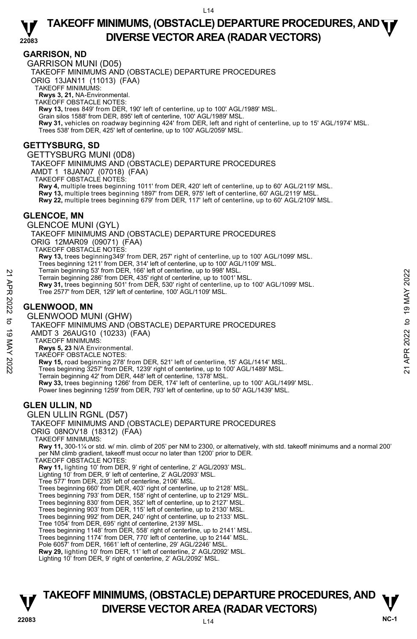## **GARRISON, ND**

GARRISON MUNI (D05) TAKEOFF MINIMUMS AND (OBSTACLE) DEPARTURE PROCEDURES ORIG 13JAN11 (11013) (FAA) TAKEOFF MINIMUMS: **Rwys 3, 21,** NA-Environmental. TAKEOFF OBSTACLE NOTES: **Rwy 13,** trees 849' from DER, 190' left of centerline, up to 100' AGL/1989' MSL. Grain silos 1588' from DER, 895' left of centerline, 100' AGL/1989' MSL. **Rwy 31,** vehicles on roadway beginning 424' from DER, left and right of centerline, up to 15' AGL/1974' MSL. Trees 538' from DER, 425' left of centerline, up to 100' AGL/2059' MSL. **GETTYSBURG, SD**  GETTYSBURG MUNI (0D8) TAKEOFF MINIMUMS AND (OBSTACLE) DEPARTURE PROCEDURES AMDT 1 18JAN07 (07018) (FAA) TAKEOFF OBSTACLE NOTES: **Rwy 4,** multiple trees beginning 1011' from DER, 420' left of centerline, up to 60' AGL/2119' MSL. **Rwy 13,** multiple trees beginning 1897' from DER, 975' left of centerline, 60' AGL/2119' MSL. **Rwy 22,** multiple trees beginning 679' from DER, 117' left of centerline, up to 60' AGL/2109' MSL. **GLENCOE, MN**  GLENCOE MUNI (GYL) TAKEOFF MINIMUMS AND (OBSTACLE) DEPARTURE PROCEDURES ORIG 12MAR09 (09071) (FAA) TAKEOFF OBSTACLE NOTES: **Rwy 13,** trees beginning349' from DER, 257' right of centerline, up to 100' AGL/1099' MSL. Trees beginning 1211' from DER, 314' left of centerline, up to 100' AGL/1109' MSL. Terrain beginning 53' from DER, 166' left of centerline, up to 998' MSL. Terrain beginning 286' from DER, 435' right of centerline, up to 1001' MSL. **Rwy 31,** trees beginning 501' from DER, 530' right of centerline, up to 100' AGL/1099' MSL.<br>Tree 2577' from DER, 129' left of centerline, 100' AGL/1109' MSL. **GLENWOOD, MN**  GLENWOOD MUNI (GHW) TAKEOFF MINIMUMS AND (OBSTACLE) DEPARTURE PROCEDURES AMDT 3 26AUG10 (10233) (FAA) TAKEOFF MINIMUMS: **Rwys 5, 23** N/A Environmental. TAKEOFF OBSTACLE NOTES: **Rwy 15,** road beginning 278' from DER, 521' left of centerline, 15' AGL/1414' MSL. Trees beginning 3257' from DER, 1239' right of centerline, up to 100' AGL/1489' MSL. Terrain beginning 42' from DER, 448' left of centerline, 1378' MSL. **Rwy 33,** trees beginning 1266' from DER, 174' left of centerline, up to 100' AGL/1499' MSL.<br>Power lines beginning 1259' from DER, 793' left of centerline, up to 50' AGL/1439' MSL. **GLEN ULLIN, ND**  GLEN ULLIN RGNL (D57) TAKEOFF MINIMUMS AND (OBSTACLE) DEPARTURE PROCEDURES ORIG 08NOV18 (18312) (FAA) TAKEOFF MINIMUMS: **Rwy 11,** 300-1¼ or std. w/ min. climb of 205' per NM to 2300, or alternatively, with std. takeoff minimums and a normal 200' per NM climb gradient, takeoff must occur no later than 1200' prior to DER. TAKEOFF OBSTACLE NOTES: **Rwy 11,** lighting 10' from DER, 9' right of centerline, 2' AGL/2093' MSL. Lighting 10' from DER, 9' left of centerline, 2' AGL/2093' MSL. Tree 577' from DER, 235' left of centerline, 2106' MSL. Trees beginning 660' from DER, 403' right of centerline, up to 2128' MSL. Trees beginning 793' from DER, 158' right of centerline, up to 2129' MSL. Trees beginning 830' from DER, 352' left of centerline, up to 2127' MSL. Trees beginning 903' from DER, 115' left of centerline, up to 2130' MSL. Trees beginning 992' from DER, 240' right of centerline, up to 2133' MSL. Tree 1054' from DER, 695' right of centerline, 2139' MSL. Trees beginning 1148' from DER, 558' right of centerline, up to 2141' MSL. Trees beginning 1174' from DER, 770' left of centerline, up to 2144' MSL. Pole 6057' from DER, 1661' left of centerline, 29' AGL/2246' MSL. **Rwy 29,** lighting 10' from DER, 11' left of centerline, 2' AGL/2092' MSL. Lighting 10' from DER, 9' right of centerline, 2' AGL/2092' MSL. Ferrain beginning 33' from DER, 435' right of centerline, up to 190' MSL.<br>
Terrain beginning 286' from DER, 435' right of centerline, up to 1001' MSL.<br> **Rwy 31,** trees beginning 501' from DER, 530' right of centerline, up

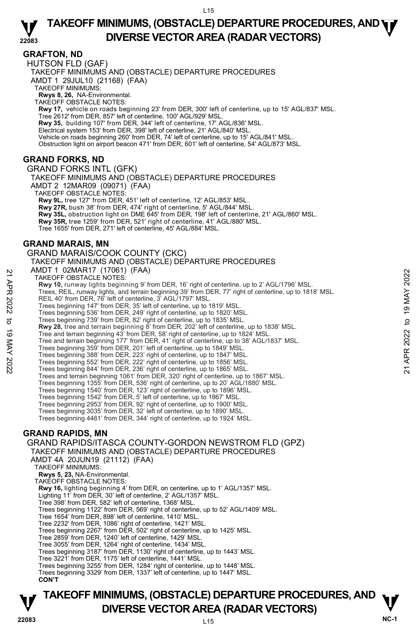**GRAFTON, ND** 

HUTSON FLD (GAF) TAKEOFF MINIMUMS AND (OBSTACLE) DEPARTURE PROCEDURES AMDT 1 29JUL10 (21168) (FAA) TAKEOFF MINIMUMS:

**Rwys 8, 26,** NA-Environmental. TAKEOFF OBSTACLE NOTES:

**Rwy 17,** vehicle on roads beginning 23' from DER, 300' left of centerline, up to 15' AGL/837' MSL. Tree 2612' from DER, 857' left of centerline, 100' AGL/929' MSL. **Rwy 35,** building 107' from DER, 344' left of centerline, 17' AGL/836' MSL.<br>Electrical system 153' from DER, 398' left of centerline, 21' AGL/840' MSL. Vehicle on roads beginning 260' from DER, 74' left of centerline, up to 15' AGL/841' MSL. Obstruction light on airport beacon 471' from DER, 601' left of centerline, 54' AGL/873' MSL.

## **GRAND FORKS, ND**

GRAND FORKS INTL (GFK) TAKEOFF MINIMUMS AND (OBSTACLE) DEPARTURE PROCEDURES AMDT 2 12MAR09 (09071) (FAA) TAKEOFF OBSTACLE NOTES: **Rwy 9L,** tree 127' from DER, 451' left of centerline, 12' AGL/853' MSL. **Rwy 27R,** bush 38' from DER, 474' right of centerline, 5' AGL/844' MSL. **Rwy 35L,** obstruction light on DME 645' from DER, 198' left of centerline, 21' AGL/860' MSL. **Rwy 35R,** tree 1259' from DER, 521' right of centerline, 41' AGL/880' MSL. Tree 1655' from DER, 271' left of centerline, 45' AGL/884' MSL.

## **GRAND MARAIS, MN**

GRAND MARAIS/COOK COUNTY (CKC)

TAKEOFF MINIMUMS AND (OBSTACLE) DEPARTURE PROCEDURES

AMDT 1 02MAR17 (17061) (FAA)

TAKEOFF OBSTACLE NOTES:

**Rwy 10,** runway lights beginning 9' from DER, 16' right of centerline, up to 2' AGL/1796' MSL. Trees, REIL, runway lights, and terrain beginning 39' from DER, 77' right of centerline, up to 1818' MSL. REIL 40' from DER, 76' left of centerline, 3' AGL/1797' MSL. 22 AWDT TUZWARY (TIV OUT) (FAX+)<br>
TAKEOFF OBSTACLE NOTES:<br>
These, REIL, runway lights beginning 9' from DER, 16' right of centerline, up to 2' AGL/1796' MSL.<br>
Trees beginning 147' from DER, 35' left of centerline, up to 1

Trees beginning 147' from DER, 35' left of centerline, up to 1819' MSL.

Trees beginning 536' from DER, 249' right of centerline, up to 1820' MSL.<br>Trees beginning 739' from DER, 82' right of centerline, up to 1835' MSL.<br>**Rwy 28,** tree and terrain beginning 8' from DER, 202' left of centerline,

Tree and terrain beginning 43' from DER, 58' right of centerline, up to 1824' MSL. Tree and terrain beginning 177' from DER, 41' right of centerline, up to 38' AGL/1837' MSL.

Trees beginning 359' from DER, 201' left of centerline, up to 1849' MSL.

Trees beginning 388' from DER, 223' right of centerline, up to 1847' MSL.

Trees beginning 552' from DER, 222' right of centerline, up to 1856' MSL. Trees beginning 844' from DER, 236' right of centerline, up to 1865' MSL.

Trees and terrain beginning 1061' from DER, 320' right of centerline, up to 1867' MSL.

Trees beginning 1355' from DER, 536' right of centerline, up to 20' AGL/1880' MSL. Trees beginning 1540' from DER, 123' right of centerline, up to 1896' MSL.

Trees beginning 1542' from DER, 5' left of centerline, up to 1867' MSL.

Trees beginning 2953' from DER, 92' right of centerline, up to 1900' MSL. Trees beginning 3035' from DER, 32' left of centerline, up to 1890' MSL.

Trees beginning 4461' from DER, 344' right of centerline, up to 1924' MSL.

## **GRAND RAPIDS, MN**

GRAND RAPIDS/ITASCA COUNTY-GORDON NEWSTROM FLD (GPZ) TAKEOFF MINIMUMS AND (OBSTACLE) DEPARTURE PROCEDURES AMDT 4A 20JUN19 (21112) (FAA) TAKEOFF MINIMUMS: **Rwys 5, 23,** NA-Environmental. TAKEOFF OBSTACLE NOTES: **Rwy 16,** lighting beginning 4' from DER, on centerline, up to 1' AGL/1357' MSL. Lighting 11' from DER, 30' left of centerline, 2' AGL/1357' MSL. Tree 398' from DER, 582' left of centerline, 1368' MSL. Trees beginning 1122' from DER, 569' right of centerline, up to 52' AGL/1409' MSL. Tree 1654' from DER, 898' left of centerline, 1410' MSL. Tree 2232' from DER, 1086' right of centerline, 1421' MSL. Trees beginning 2267' from DER, 502' right of centerline, up to 1425' MSL. Tree 2859' from DER, 1240' left of centerline, 1429' MSL. Tree 3055' from DER, 1264' right of centerline, 1434' MSL. Trees beginning 3187' from DER, 1130' right of centerline, up to 1443' MSL. Tree 3221' from DER, 1175' left of centerline, 1441' MSL. Trees beginning 3255' from DER, 1284' right of centerline, up to 1448' MSL. Trees beginning 3329' from DER, 1337' left of centerline, up to 1447' MSL. **CON'T**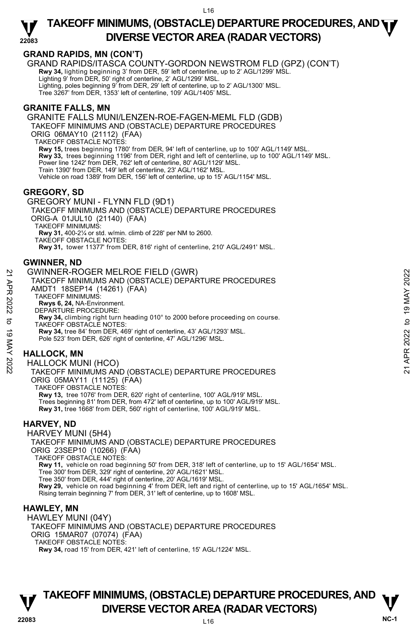

## **GRAND RAPIDS, MN (CON'T)**

GRAND RAPIDS/ITASCA COUNTY-GORDON NEWSTROM FLD (GPZ) (CON'T) **Rwy 34,** lighting beginning 3' from DER, 59' left of centerline, up to 2' AGL/1299' MSL. Lighting 9' from DER, 50' right of centerline, 2' AGL/1299' MSL. Lighting, poles beginning 9' from DER, 29' left of centerline, up to 2' AGL/1300' MSL. Tree 3267' from DER, 1353' left of centerline, 109' AGL/1405' MSL.

## **GRANITE FALLS, MN**

GRANITE FALLS MUNI/LENZEN-ROE-FAGEN-MEML FLD (GDB) TAKEOFF MINIMUMS AND (OBSTACLE) DEPARTURE PROCEDURES ORIG 06MAY10 (21112) (FAA) TAKEOFF OBSTACLE NOTES: **Rwy 15,** trees beginning 1780' from DER, 94' left of centerline, up to 100' AGL/1149' MSL. **Rwy 33,** trees beginning 1196' from DER, right and left of centerline, up to 100' AGL/1149' MSL. Power line 1242' from DER, 762' left of centerline, 80' AGL/1129' MSL. Train 1390' from DER, 149' left of centerline, 23' AGL/1162' MSL. Vehicle on road 1389' from DER, 156' left of centerline, up to 15' AGL/1154' MSL.

## **GREGORY, SD**

GREGORY MUNI - FLYNN FLD (9D1) TAKEOFF MINIMUMS AND (OBSTACLE) DEPARTURE PROCEDURES ORIG-A 01JUL10 (21140) (FAA) TAKEOFF MINIMUMS: **Rwy 31,** 400-2¼ or std. w/min. climb of 228' per NM to 2600. TAKEOFF OBSTACLE NOTES:

**Rwy 31,** tower 11377' from DER, 816' right of centerline, 210' AGL/2491' MSL.

## **GWINNER, ND**

GWINNER-ROGER MELROE FIELD (GWR)

- TAKEOFF MINIMUMS AND (OBSTACLE) DEPARTURE PROCEDURES AMDT1 18SEP14 (14261) (FAA) TAKEOFF MINIMUMS: **Rwys 6, 24,** NA-Environment. DEPARTURE PROCEDURE: 22 GWINNER-ROGER MELROE FIELD (GWR)<br>
TAKEOFF MINIMUMS AND (OBSTACLE) DEPARTURE PROCEDURES<br>
AMDT1 18SEP14 (14261) (FAA)<br>
TAKEOFF MINIMUMS:<br>
RWS 6, 24, NA-Environment.<br>
DEPARTURE PROCEDURE:<br>
DEPARTURE PROCEDURE:<br>
TAKEOFF OBS
	- **Rwy 34,** climbing right turn heading 010° to 2000 before proceeding on course. TAKEOFF OBSTACLE NOTES: **Rwy 34,** tree 84' from DER, 469' right of centerline, 43' AGL/1293' MSL.
	- Pole 523' from DER, 626' right of centerline, 47' AGL/1296' MSL.

## **HALLOCK, MN**

HALLOCK MUNI (HCO) TAKEOFF MINIMUMS AND (OBSTACLE) DEPARTURE PROCEDURES ORIG 05MAY11 (11125) (FAA) TAKEOFF OBSTACLE NOTES: **Rwy 13,** tree 1076' from DER, 620' right of centerline, 100' AGL/919' MSL. Trees beginning 81' from DER, from 472' left of centerline, up to 100' AGL/919' MSL. **Rwy 31,** tree 1668' from DER, 560' right of centerline, 100' AGL/919' MSL.

## **HARVEY, ND**

HARVEY MUNI (5H4) TAKEOFF MINIMUMS AND (OBSTACLE) DEPARTURE PROCEDURES ORIG 23SEP10 (10266) (FAA) TAKEOFF OBSTACLE NOTES: **Rwy 11,** vehicle on road beginning 50' from DER, 318' left of centerline, up to 15' AGL/1654' MSL. Tree 300' from DER, 329' right of centerline, 20' AGL/1621' MSL. Tree 350' from DER, 444' right of centerline, 20' AGL/1619' MSL. **Rwy 29,** vehicle on road beginning 4' from DER, left and right of centerline, up to 15' AGL/1654' MSL. Rising terrain beginning 7' from DER, 31' left of centerline, up to 1608' MSL.

## **HAWLEY, MN**

HAWLEY MUNI (04Y) TAKEOFF MINIMUMS AND (OBSTACLE) DEPARTURE PROCEDURES ORIG 15MAR07 (07074) (FAA) TAKEOFF OBSTACLE NOTES: **Rwy 34,** road 15' from DER, 421' left of centerline, 15' AGL/1224' MSL.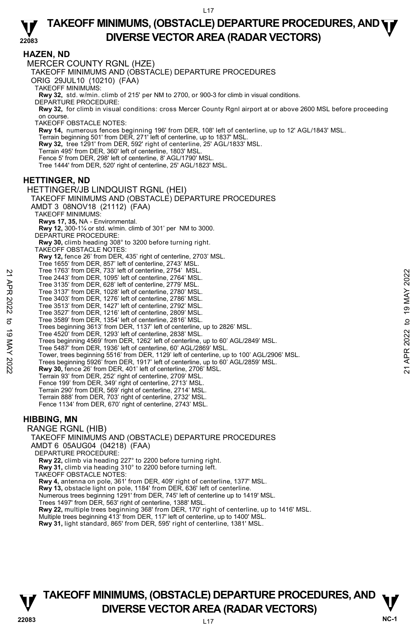### **22083 TAKEOFF MINIMUMS, (OBSTACLE) DEPARTURE PROCEDURES, AND <b>WE**<br>DIVERSE VECTOR AREA (BADAR VECTORS) **DIVERSE VECTOR AREA (RADAR VECTORS)**

**HAZEN, ND**  MERCER COUNTY RGNL (HZE) TAKEOFF MINIMUMS AND (OBSTACLE) DEPARTURE PROCEDURES ORIG 29JUL10 (10210) (FAA) TAKEOFF MINIMUMS: **Rwy 32,** std. w/min. climb of 215' per NM to 2700, or 900-3 for climb in visual conditions. DEPARTURE PROCEDURE: **Rwy 32,** for climb in visual conditions: cross Mercer County Rgnl airport at or above 2600 MSL before proceeding on course. TAKEOFF OBSTACLE NOTES: **Rwy 14,** numerous fences beginning 196' from DER, 108' left of centerline, up to 12' AGL/1843' MSL. Terrain beginning 501' from DER, 271' left of centerline, up to 1837' MSL. **Rwy 32,** tree 1291' from DER, 592' right of centerline, 25' AGL/1833' MSL. Terrain 495' from DER, 360' left of centerline, 1803' MSL. Fence 5' from DER, 298' left of centerline, 8' AGL/1790' MSL. Tree 1444' from DER, 520' right of centerline, 25' AGL/1823' MSL. **HETTINGER, ND**  HETTINGER/JB LINDQUIST RGNL (HEI) TAKEOFF MINIMUMS AND (OBSTACLE) DEPARTURE PROCEDURES AMDT 3 08NOV18 (21112) (FAA) TAKEOFF MINIMUMS: **Rwys 17, 35,** NA - Environmental. **Rwy 12,** 300-1¼ or std. w/min. climb of 301' per NM to 3000. DEPARTURE PROCEDURE: **Rwy 30,** climb heading 308° to 3200 before turning right. TAKEOFF OBSTACLE NOTES: **Rwy 12,** fence 26' from DER, 435' right of centerline, 2703' MSL. Tree 1655' from DER, 857' left of centerline, 2743' MSL. Tree 1763' from DER, 733' left of centerline, 2754' MSL. Tree 2443' from DER, 1095' left of centerline, 2764' MSL. Tree 3135' from DER, 628' left of centerline, 2779' MSL. Tree 3137' from DER, 1028' left of centerline, 2780' MSL. Tree 3403' from DER, 1276' left of centerline, 2786' MSL. Tree 3513' from DER, 1427' left of centerline, 2792' MSL. Tree 3527' from DER, 1216' left of centerline, 2809' MSL.<br>Tree 3589' from DER, 1354' left of centerline, 2816' MSL.<br>Trees beginning 3613' from DER, 1137' left of centerline, up to 2826' MSL. Tree 4520' from DER, 1293' left of centerline, 2838' MSL. Trees beginning 4569' from DER, 1262' left of centerline, up to 60' AGL/2849' MSL. Tree 5487' from DER, 1936' left of centerline, 60' AGL/2869' MSL. Tower, trees beginning 5516' from DER, 1129' left of centerline, up to 100' AGL/2906' MSL. Trees beginning 5926' from DER, 1917' left of centerline, up to 60' AGL/2859' MSL.<br>**Rwy 30,** fence 26' from DER, 401' left of centerline, 2706' MSL. Terrain 93' from DER, 252' right of centerline, 2709' MSL. Fence 199' from DER, 349' right of centerline, 2713' MSL. Terrain 290' from DER, 569' right of centerline, 2714' MSL. Terrain 888' from DER, 703' right of centerline, 2732' MSL. Fence 1134' from DER, 670' right of centerline, 2743' MSL. **HIBBING, MN**  RANGE RGNL (HIB) TAKEOFF MINIMUMS AND (OBSTACLE) DEPARTURE PROCEDURES AMDT 6 05AUG04 (04218) (FAA) DEPARTURE PROCEDURE: **Rwy 22,** climb via heading 227° to 2200 before turning right. **Rwy 31,** climb via heading 310° to 2200 before turning left. TAKEOFF OBSTACLE NOTES: **Rwy 4,** antenna on pole, 361' from DER, 409' right of centerline, 1377' MSL. **Rwy 13,** obstacle light on pole, 1184' from DER, 636' left of centerline. Numerous trees beginning 1291' from DER, 745' left of centerline up to 1419' MSL. Trees 1497' from DER, 563' right of centerline, 1388' MSL. **Rwy 22,** multiple trees beginning 368' from DER, 170' right of centerline, up to 1416' MSL. Multiple trees beginning 413' from DER, 117' left of centerline, up to 1400' MSL. **Rwy 31,** light standard, 865' from DER, 595' right of centerline, 1381' MSL. Tree 1443' from DER, 733' left of centerline, 2764' MSL.<br>
Tree 2443' from DER, 1095' left of centerline, 2779' MSL.<br>
Tree 3135' from DER, 1028' left of centerline, 2779' MSL.<br>
Tree 3427' from DER, 1276' left of centerline

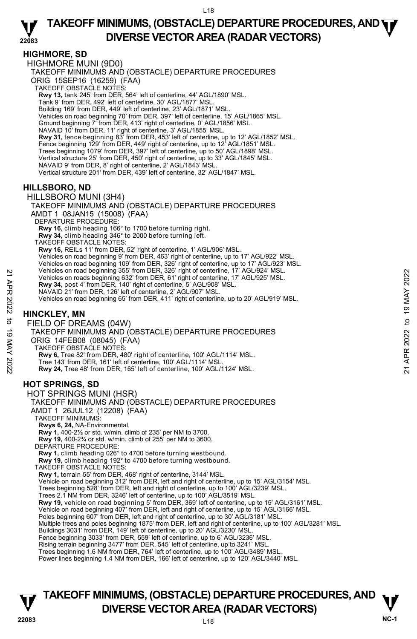## **HIGHMORE, SD**

HIGHMORE MUNI (9D0) TAKEOFF MINIMUMS AND (OBSTACLE) DEPARTURE PROCEDURES ORIG 15SEP16 (16259) (FAA) TAKEOFF OBSTACLE NOTES: **Rwy 13,** tank 245' from DER, 564' left of centerline, 44' AGL/1890' MSL. Tank 9' from DER, 492' left of centerline, 30' AGL/1877' MSL. Building 169' from DER, 449' left of centerline, 23' AGL/1871' MSL. Vehicles on road beginning 70' from DER, 397' left of centerline, 15' AGL/1865' MSL. Ground beginning 7' from DER, 413' right of centerline, 0' AGL/1856' MSL. NAVAID 10' from DER, 11' right of centerline, 3' AGL/1855' MSL. **Rwy 31,** fence beginning 83' from DER, 453' left of centerline, up to 12' AGL/1852' MSL. Fence beginning 129' from DER, 449' right of centerline, up to 12' AGL/1851' MSL. Trees beginning 1079' from DER, 397' left of centerline, up to 50' AGL/1898' MSL. Vertical structure 25' from DER, 450' right of centerline, up to 33' AGL/1845' MSL. NAVAID 9' from DER, 8' right of centerline, 2' AGL/1843' MSL. Vertical structure 201' from DER, 439' left of centerline, 32' AGL/1847' MSL.

## **HILLSBORO, ND**

HILLSBORO MUNI (3H4)

TAKEOFF MINIMUMS AND (OBSTACLE) DEPARTURE PROCEDURES AMDT 1 08JAN15 (15008) (FAA) DEPARTURE PROCEDURE: **Rwy 16,** climb heading 166° to 1700 before turning right. **Rwy 34,** climb heading 346° to 2000 before turning left. TAKEOFF OBSTACLE NOTES: **Rwy 16,** REILs 11' from DER, 52' right of centerline, 1' AGL/906' MSL. Vehicles on road beginning 9' from DER, 463' right of centerline, up to 17' AGL/922' MSL. Vehicles on road beginning 109' from DER, 326' right of centerline, up to 17' AGL/923' MSL. Vehicles on road beginning 355' from DER, 326' right of centerline, 17' AGL/924' MSL. Vehicles on roads beginning 632' from DER, 61' right of centerline, 17' AGL/925' MSL. **Rwy 34,** post 4' from DER, 140' right of centerline, 5' AGL/908' MSL. NAVAID 21' from DER, 126' left of centerline, 2' AGL/907' MSL. Vehicles on road beginning 65' from DER, 411' right of centerline, up to 20' AGL/919' MSL. **HINCKLEY, MN** 

FIELD OF DREAMS (04W) TAKEOFF MINIMUMS AND (OBSTACLE) DEPARTURE PROCEDURES ORIG 14FEB08 (08045) (FAA) TAKEOFF OBSTACLE NOTES: **Rwy 6,** Tree 82' from DER, 480' right of centerline, 100' AGL/1114' MSL. Tree 143' from DER, 161' left of centerline, 100' AGL/1114' MSL. **Rwy 24,** Tree 48' from DER, 165' left of centerline, 100' AGL/1124' MSL. **HOT SPRINGS, SD**  HOT SPRINGS MUNI (HSR) TAKEOFF MINIMUMS AND (OBSTACLE) DEPARTURE PROCEDURES AMDT 1 26JUL12 (12208) (FAA) TAKEOFF MINIMUMS: Venicles on road beginning 352 from DER, 32 right of centerline, 17' AGL/925' MSL.<br>
21 Yehicles on road beginning 632' from DER, 61' right of centerline, 17' AGL/925' MSL.<br>
22 NAVAID 21' from DER, 140' right of centerline

**Rwys 6, 24,** NA-Environmental.

**Rwy 1,** 400-2½ or std. w/min. climb of 235' per NM to 3700. **Rwy 19,** 400-2¾ or std. w/min. climb of 255' per NM to 3600.

DEPARTURE PROCEDURE:

**Rwy 1,** climb heading 026° to 4700 before turning westbound.

**Rwy 19,** climb heading 192° to 4700 before turning westbound.

TAKEOFF OBSTACLE NOTES:

**Rwy 1,** terrain 55' from DER, 468' right of centerline, 3144' MSL.

Vehicle on road beginning 312' from DER, left and right of centerline, up to 15' AGL/3154' MSL.<br>Trees beginning 528' from DER, left and right of centerline, up to 100' AGL/3239' MSL.

Trees 2.1 NM from DER, 3246' left of centerline, up to 100' AGL/3519' MSL.

**Rwy 19,** vehicle on road beginning 5' from DER, 369' left of centerline, up to 15' AGL/3161' MSL.<br>Vehicle on road beginning 407' from DER, left and right of centerline, up to 15' AGL/3166' MSL.

Poles beginning 607' from DER, left and right of centerline, up to 30' AGL/3181' MSL

Multiple trees and poles beginning 1875' from DER, left and right of centerline, up to 100' AGL/3281' MSL.<br>Buildings 3031' from DER, 149' left of centerline, up to 20' AGL/3230' MSL.

Fence beginning 3033' from DER, 559' left of centerline, up to 6' AGL/3236' MSL. Rising terrain beginning 3477' from DER, 545' left of centerline, up to 3241' MSL.

Trees beginning 1.6 NM from DER, 764' left of centerline, up to 100' AGL/3489' MSL.

Power lines beginning 1.4 NM from DER, 166' left of centerline, up to 120' AGL/3440' MSL.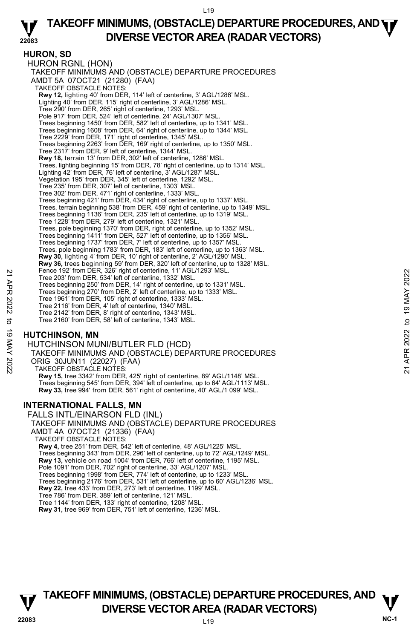## **HURON, SD**

HURON RGNL (HON) TAKEOFF MINIMUMS AND (OBSTACLE) DEPARTURE PROCEDURES AMDT 5A 07OCT21 (21280) (FAA) TAKEOFF OBSTACLE NOTES: **Rwy 12,** lighting 40' from DER, 114' left of centerline, 3' AGL/1286' MSL.<br>Lighting 40' from DER, 115' right of centerline, 3' AGL/1286' MSL. Tree 290' from DER, 265' right of centerline, 1293' MSL. Pole 917' from DER, 524' left of centerline, 24' AGL/1307' MSL. Trees beginning 1450' from DER, 582' left of centerline, up to 1341' MSL. Trees beginning 1608' from DER, 64' right of centerline, up to 1344' MSL. Tree 2229' from DER, 171' right of centerline, 1345' MSL. Trees beginning 2263' from DER, 169' right of centerline, up to 1350' MSL. Tree 2317' from DER, 9' left of centerline, 1344' MSL. **Rwy 18,** terrain 13' from DER, 302' left of centerline, 1286' MSL. Trees, lighting beginning 15' from DER, 78' right of centerline, up to 1314' MSL. Lighting 42' from DER, 76' left of centerline, 3' AGL/1287' MSL. Vegetation 195' from DER, 345' left of centerline, 1292' MSL. Tree 235' from DER, 307' left of centerline, 1303' MSL. Tree 302' from DER, 471' right of centerline, 1333' MSL. Trees beginning 421' from DER, 434' right of centerline, up to 1337' MSL. Trees, terrain beginning 538' from DER, 459' right of centerline, up to 1349' MSL. Trees beginning 1136' from DER, 235' left of centerline, up to 1319' MSL. Tree 1228' from DER, 279' left of centerline, 1321' MSL. Trees, pole beginning 1370' from DER, right of centerline, up to 1352' MSL. Trees beginning 1411' from DER, 527' left of centerline, up to 1356' MSL. Trees beginning 1737' from DER, 7' left of centerline, up to 1357' MSL. Trees, pole beginning 1783' from DER, 183' left of centerline, up to 1363' MSL. **Rwy 30,** lighting 4' from DER, 10' right of centerline, 2' AGL/1290' MSL. **Rwy 36,** trees beginning 59' from DER, 320' left of centerline, up to 1328' MSL.<br>Fence 192' from DER, 326' right of centerline, 11' AGL/1293' MSL. Tree 203' from DER, 534' left of centerline, 1332' MSL. Trees beginning 250' from DER, 14' right of centerline, up to 1331' MSL. Trees beginning 270' from DER, 2' left of centerline, up to 1333' MSL. Tree 1961' from DER, 105' right of centerline, 1333' MSL. Tree 2116' from DER, 4' left of centerline, 1340' MSL. Tree 2142' from DER, 8' right of centerline, 1343' MSL. Tree 2160' from DER, 58' left of centerline, 1343' MSL. Pence 192 from DER, 324 left of centerline, 1324 MSL.<br>
Tree 203' from DER, 534' left of centerline, 1321 MSL.<br>
Trees beginning 250' from DER, 14' right of centerline, up to 1331' MSL.<br>
Trees beginning 270' from DER, 14' r

## **HUTCHINSON, MN**

HUTCHINSON MUNI/BUTLER FLD (HCD) TAKEOFF MINIMUMS AND (OBSTACLE) DEPARTURE PROCEDURES ORIG 30JUN11 (22027) (FAA) TAKEOFF OBSTACLE NOTES: **Rwy 15,** tree 3342' from DER, 425' right of centerline, 89' AGL/1148' MSL. Trees beginning 545' from DER, 394' left of centerline, up to 64' AGL/1113' MSL. **Rwy 33,** tree 994' from DER, 561' right of centerline, 40' AGL/1 099' MSL.

## **INTERNATIONAL FALLS, MN**

FALLS INTL/EINARSON FLD (INL) TAKEOFF MINIMUMS AND (OBSTACLE) DEPARTURE PROCEDURES AMDT 4A 07OCT21 (21336) (FAA) TAKEOFF OBSTACLE NOTES: **Rwy 4,** tree 251' from DER, 542' left of centerline, 48' AGL/1225' MSL. Trees beginning 343' from DER, 296' left of centerline, up to 72' AGL/1249' MSL. **Rwy 13,** vehicle on road 1004' from DER, 766' left of centerline, 1195' MSL. Pole 1091' from DER, 702' right of centerline, 33' AGL/1207' MSL. Trees beginning 1998' from DER, 774' left of centerline, up to 1233' MSL. Trees beginning 2176' from DER, 531' left of centerline, up to 60' AGL/1236' MSL.<br>**Rwy 22,** tree 433' from DER, 273' left of centerline, 1199' MSL. Tree 786' from DER, 389' left of centerline, 121' MSL. Tree 1144' from DER, 133' right of centerline, 1208' MSL. **Rwy 31,** tree 969' from DER, 751' left of centerline, 1236' MSL.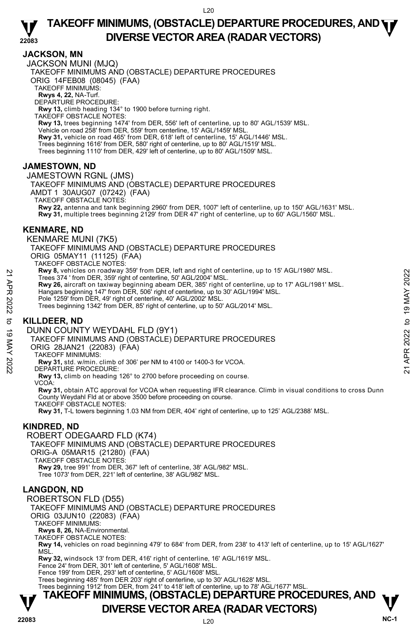## **JACKSON, MN**

JACKSON MUNI (MJQ) TAKEOFF MINIMUMS AND (OBSTACLE) DEPARTURE PROCEDURES ORIG 14FEB08 (08045) (FAA) TAKEOFF MINIMUMS: **Rwys 4, 22,** NA-Turf. DEPARTURE PROCEDURE: **Rwy 13,** climb heading 134° to 1900 before turning right. TAKEOFF OBSTACLE NOTES: **Rwy 13,** trees beginning 1474' from DER, 556' left of centerline, up to 80' AGL/1539' MSL.<br>Vehicle on road 258' from DER, 559' from centerline, 15' AGL/1459' MSL. **Rwy 31,** vehicle on road 465' from DER, 618' left of centerline, 15' AGL/1446' MSL. Trees beginning 1616' from DER, 580' right of centerline, up to 80' AGL/1519' MSL. Trees beginning 1110' from DER, 429' left of centerline, up to 80' AGL/1509' MSL.

## **JAMESTOWN, ND**

JAMESTOWN RGNL (JMS)

TAKEOFF MINIMUMS AND (OBSTACLE) DEPARTURE PROCEDURES AMDT 1 30AUG07 (07242) (FAA) TAKEOFF OBSTACLE NOTES:

**Rwy 22,** antenna and tank beginning 2960' from DER, 1007' left of centerline, up to 150' AGL/1631' MSL. **Rwy 31,** multiple trees beginning 2129' from DER 47' right of centerline, up to 60' AGL/1560' MSL.

## **KENMARE, ND**

KENMARE MUNI (7K5)

TAKEOFF MINIMUMS AND (OBSTACLE) DEPARTURE PROCEDURES

ORIG 05MAY11 (11125) (FAA)

TAKEOFF OBSTACLE NOTES:

**Rwy 8,** vehicles on roadway 359' from DER, left and right of centerline, up to 15' AGL/1980' MSL.

Trees 374 ' from DER, 359' right of centerline, 50' AGL/2004' MSL.

**Rwy 26,** aircraft on taxiway beginning abeam DER, 385' right of centerline, up to 17' AGL/1981' MSL.<br>Hangars beginning 147' from DER, 506' right of centerline, up to 30' AGL/1994' MSL. 22 AW 32 venicles on roadway 359 from DER, 1ert and right of centerline, 00 AGL/1980' MSL.<br>
Trees 374 ' from DER, 359' right of centerline, 00 AGL/2004' MSL.<br>
22 Hangas beginning abeam DER, 385' right of centerline, up to

Pole 1259' from DER, 49' right of centerline, 40' AGL/2002' MSL.

Trees beginning 1342' from DER, 85' right of centerline, up to 50' AGL/2014' MSL.

## **KILLDEER, ND**

DUNN COUNTY WEYDAHL FLD (9Y1)

TAKEOFF MINIMUMS AND (OBSTACLE) DEPARTURE PROCEDURES

ORIG 28JAN21 (22083) (FAA)

TAKEOFF MINIMUMS:

**Rwy 31,** std. w/min. climb of 306' per NM to 4100 or 1400-3 for VCOA. DEPARTURE PROCEDURE:

**Rwy 13,** climb on heading 126° to 2700 before proceeding on course.

VCOA:

 **Rwy 31,** obtain ATC approval for VCOA when requesting IFR clearance. Climb in visual conditions to cross Dunn County Weydahl Fld at or above 3500 before proceeding on course.

TAKEOFF OBSTACLE NOTES:

**Rwy 31,** T-L towers beginning 1.03 NM from DER, 404' right of centerline, up to 125' AGL/2388' MSL.

## **KINDRED, ND**

## ROBERT ODEGAARD FLD (K74)

TAKEOFF MINIMUMS AND (OBSTACLE) DEPARTURE PROCEDURES ORIG-A 05MAR15 (21280) (FAA) TAKEOFF OBSTACLE NOTES: **Rwy 29,** tree 991' from DER, 367' left of centerline, 38' AGL/982' MSL. Tree 1073' from DER, 221' left of centerline, 38' AGL/982' MSL.

## **LANGDON, ND**

ROBERTSON FLD (D55)

TAKEOFF MINIMUMS AND (OBSTACLE) DEPARTURE PROCEDURES ORIG 03JUN10 (22083) (FAA)

TAKEOFF MINIMUMS:

**Rwys 8, 26,** NA-Environmental.

TAKEOFF OBSTACLE NOTES:

**Rwy 14,** vehicles on road beginning 479' to 684' from DER, from 238' to 413' left of centerline, up to 15' AGL/1627' MSL.

**Rwy 32,** windsock 13' from DER, 416' right of centerline, 16' AGL/1619' MSL.

Fence 24' from DER, 301' left of centerline, 5' AGL/1608' MSL.

Fence 199' from DER, 293' left of centerline, 5' AGL/1608' MSL. Trees beginning 485' from DER 203' right of centerline, up to 30' AGL/1628' MSL.

Trees beginning 1912' from DER, from 241' to 418' left of centerline, up to 78' AGL/1677' MSL.

# **T T TAKEOFF MINIMUMS, (OBSTACLE) DEPARTURE PROCEDURES, AND**

# **DIVERSE VECTOR AREA (RADAR VECTORS)** V<br>NC-1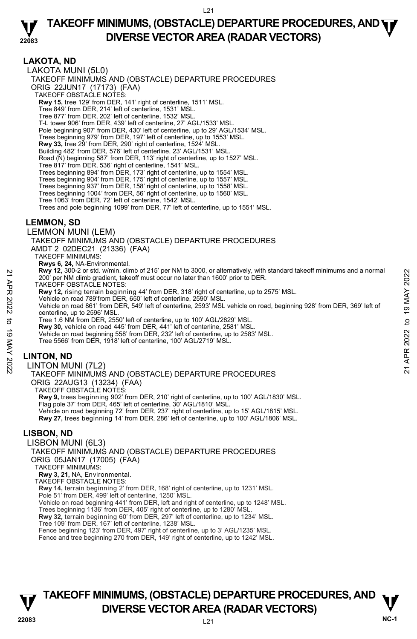### **22083 TAKEOFF MINIMUMS, (OBSTACLE) DEPARTURE PROCEDURES, AND <b>WE**<br>DIVERSE VECTOR AREA (BADAR VECTORS) **DIVERSE VECTOR AREA (RADAR VECTORS)**

## **LAKOTA, ND**

LAKOTA MUNI (5L0) TAKEOFF MINIMUMS AND (OBSTACLE) DEPARTURE PROCEDURES ORIG 22JUN17 (17173) (FAA) TAKEOFF OBSTACLE NOTES: **Rwy 15,** tree 129' from DER, 141' right of centerline, 1511' MSL. Tree 849' from DER, 214' left of centerline, 1531' MSL. Tree 877' from DER, 202' left of centerline, 1532' MSL. T-L tower 906' from DER, 439' left of centerline, 27' AGL/1533' MSL. Pole beginning 907' from DER, 430' left of centerline, up to 29' AGL/1534' MSL. Trees beginning 979' from DER, 197' left of centerline, up to 1553' MSL. **Rwy 33,** tree 29' from DER, 290' right of centerline, 1524' MSL. Building 482' from DER, 576' left of centerline, 23' AGL/1531' MSL. Road (N) beginning 587' from DER, 113' right of centerline, up to 1527' MSL. Tree 817' from DER, 536' right of centerline, 1541' MSL. Trees beginning 894' from DER, 173' right of centerline, up to 1554' MSL. Trees beginning 904' from DER, 175' right of centerline, up to 1557' MSL. Trees beginning 937' from DER, 158' right of centerline, up to 1558' MSL. Trees beginning 1004' from DER, 56' right of centerline, up to 1560' MSL. Tree 1063' from DER, 72' left of centerline, 1542' MSL. Trees and pole beginning 1099' from DER, 77' left of centerline, up to 1551' MSL.

## **LEMMON, SD**

LEMMON MUNI (LEM)

TAKEOFF MINIMUMS AND (OBSTACLE) DEPARTURE PROCEDURES AMDT 2 02DEC21 (21336) (FAA)

TAKEOFF MINIMUMS:

**Rwys 6, 24,** NA-Environmental. **Rwy 12,** 300-2 or std. w/min. climb of 215' per NM to 3000, or alternatively, with standard takeoff minimums and a normal 200' per NM climb gradient, takeoff must occur no later than 1600' prior to DER.

TAKEOFF OBSTACLE NOTES:

**Rwy 12,** rising terrain beginning 44' from DER, 318' right of centerline, up to 2575' MSL.

Vehicle on road 789'from DER, 650' left of centerline, 2590' MSL.

Vehicle on road 861' from DER, 549' left of centerline, 2593' MSL vehicle on road, beginning 928' from DER, 369' left of centerline, up to 2596' MSL. 2200 per NM climb gradient, takeoff more of 215 per NM of all out or attenting with standard takeoff minimums and a normal<br>
200 per NM climb gradient, takeoff more correlation of all of prior to DER.<br>
TAKEOFF OBSTACLE NOT

Tree 1.6 NM from DER, 2550' left of centerline, up to 100' AGL/2829' MSL.

**Rwy 30,** vehicle on road 445' from DER, 441' left of centerline, 2581' MSL. Vehicle on road beginning 558' from DER, 232' left of centerline, up to 2583' MSL.

Tree 5566' from DER, 1918' left of centerline, 100' AGL/2719' MSL.

## **LINTON, ND**

LINTON MUNI (7L2) TAKEOFF MINIMUMS AND (OBSTACLE) DEPARTURE PROCEDURES ORIG 22AUG13 (13234) (FAA) TAKEOFF OBSTACLE NOTES: **Rwy 9,** trees beginning 902' from DER, 210' right of centerline, up to 100' AGL/1830' MSL.

Flag pole 37' from DER, 465' left of centerline, 30' AGL/1810' MSL. Vehicle on road beginning 72' from DER, 237' right of centerline, up to 15' AGL/1815' MSL. **Rwy 27,** trees beginning 14' from DER, 286' left of centerline, up to 100' AGL/1806' MSL.

## **LISBON, ND**

LISBON MUNI (6L3) TAKEOFF MINIMUMS AND (OBSTACLE) DEPARTURE PROCEDURES ORIG 05JAN17 (17005) (FAA) TAKEOFF MINIMUMS: **Rwy 3, 21,** NA, Environmental. TAKEOFF OBSTACLE NOTES: **Rwy 14,** terrain beginning 2' from DER, 168' right of centerline, up to 1231' MSL. Pole 51' from DER, 499' left of centerline, 1250' MSL. Vehicle on road beginning 441' from DER, left and right of centerline, up to 1248' MSL. Trees beginning 1136' from DER, 405' right of centerline, up to 1280' MSL. **Rwy 32,** terrain beginning 60' from DER, 297' left of centerline, up to 1234' MSL. Tree 109' from DER, 167' left of centerline, 1238' MSL. Fence beginning 123' from DER, 497' right of centerline, up to 3' AGL/1235' MSL. Fence and tree beginning 270 from DER, 149' right of centerline, up to 1242' MSL.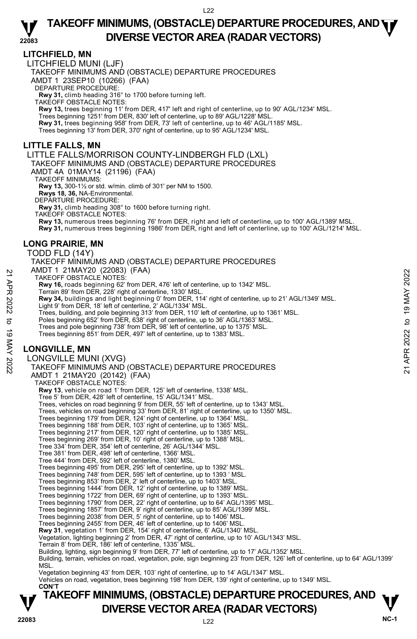## **LITCHFIELD, MN**

LITCHFIELD MUNI (LJF)

TAKEOFF MINIMUMS AND (OBSTACLE) DEPARTURE PROCEDURES

AMDT 1 23SEP10 (10266) (FAA)

DEPARTURE PROCEDURE:

**Rwy 31,** climb heading 316° to 1700 before turning left. TAKEOFF OBSTACLE NOTES:

**Rwy 13,** trees beginning 11' from DER, 417' left and right of centerline, up to 90' AGL/1234' MSL.

Trees beginning 1251' from DER, 830' left of centerline, up to 89' AGL/1228' MSL.

**Rwy 31,** trees beginning 958' from DER, 73' left of centerline, up to 46' AGL/1185' MSL. Trees beginning 13' from DER, 370' right of centerline, up to 95' AGL/1234' MSL.

## **LITTLE FALLS, MN**

LITTLE FALLS/MORRISON COUNTY-LINDBERGH FLD (LXL)

TAKEOFF MINIMUMS AND (OBSTACLE) DEPARTURE PROCEDURES

AMDT 4A 01MAY14 (21196) (FAA)

TAKEOFF MINIMUMS:

**Rwy 13,** 300-1½ or std. w/min. climb of 301' per NM to 1500.

**Rwys 18, 36,** NA-Environmental. DEPARTURE PROCEDURE:

**Rwy 31,** climb heading 308° to 1600 before turning right.

TAKEOFF OBSTACLE NOTES:

**Rwy 13,** numerous trees beginning 76' from DER, right and left of centerline, up to 100' AGL/1389' MSL.

**Rwy 31,** numerous trees beginning 1986' from DER, right and left of centerline, up to 100' AGL/1214' MSL.

## **LONG PRAIRIE, MN**

TODD FLD (14Y)

TAKEOFF MINIMUMS AND (OBSTACLE) DEPARTURE PROCEDURES AMDT 1 21MAY20 (22083) (FAA)

TAKEOFF OBSTACLE NOTES:

**Rwy 16,** roads beginning 62' from DER, 476' left of centerline, up to 1342' MSL. Terrain 89' from DER, 228' right of centerline, 1330' MSL.

- **Rwy 34,** buildings and light beginning 0' from DER, 114' right of centerline, up to 21' AGL/1349' MSL. X AWD T 2 IWM YOU (22003) (FAX)<br>
TAKEOFF OBSTACLE NOTES:<br>
THE TRAIN 89 from DER, 476 and the of centerline, the to 1342' MSL.<br>
Terms and flow the Star in the equinoment of 130° MSL.<br>
Note that in the set of center in the
	- Light 9' from DER, 18' left of centerline, 2' AGL/1334' MSL.
	- Trees, building, and pole beginning 313' from DER, 110' left of centerline, up to 1361' MSL. Poles beginning 652' from DER, 638' right of centerline, up to 36' AGL/1363' MSL.
	-
	- Trees and pole beginning 738' from DER, 98' left of centerline, up to 1375' MSL.
	- Trees beginning 851' from DER, 497' left of centerline, up to 1383' MSL.

## **LONGVILLE, MN**

LONGVILLE MUNI (XVG)

TAKEOFF MINIMUMS AND (OBSTACLE) DEPARTURE PROCEDURES AMDT 1 21MAY20 (20142) (FAA) TAKEOFF OBSTACLE NOTES: **Rwy 13**, vehicle on road 1' from DER, 125' left of centerline, 1338' MSL. Tree 5' from DER, 428' left of centerline, 15' AGL/1341' MSL.

Trees, vehicles on road beginning 9' from DER, 55' left of centerline, up to 1343' MSL.

Trees, vehicles on road beginning 33' from DER, 81' right of centerline, up to 1350' MSL.

Trees beginning 179' from DER, 124' right of centerline, up to 1364' MSL.

Trees beginning 188' from DER, 103' right of centerline, up to 1365' MSL.

Trees beginning 217' from DER, 120' right of centerline, up to 1385' MSL. Trees beginning 269' from DER, 10' right of centerline, up to 1388' MSL.

Tree 334' from DER, 354' left of centerline, 26' AGL/1344' MSL.

Tree 381' from DER, 498' left of centerline, 1366' MSL.

Tree 444' from DER, 592' left of centerline, 1380' MSL.

Trees beginning 495' from DER, 295' left of centerline, up to 1392' MSL.

Trees beginning 748' from DER, 595' left of centerline, up to 1393 ' MSL.

Trees beginning 853' from DER, 2' left of centerline, up to 1403' MSL.

Trees beginning 1444' from DER, 12' right of centerline, up to 1389' MSL.

Trees beginning 1722' from DER, 69' right of centerline, up to 1393' MSL.

Trees beginning 1790' from DER, 22' right of centerline, up to 64' AGL/1395' MSL. Trees beginning 1857' from DER, 9' right of centerline, up to 85' AGL/1399' MSL.

Trees beginning 2038' from DER, 5' right of centerline, up to 1406' MSL.

Trees beginning 2455' from DER, 46' left of centerline, up to 1406' MSL. **Rwy 31**, vegetation 1' from DER, 154' right of centerline, 6' AGL/1340' MSL.

Vegetation, lighting beginning 2' from DER, 47' right of centerline, up to 10' AGL/1343' MSL.

Terrain 8' from DER, 186' left of centerline, 1335' MSL.

Building, lighting, sign beginning 9' from DER, 77' left of centerline, up to 17' AGL/1352' MSL.

Building, terrain, vehicles on road, vegetation, pole, sign beginning 23' from DER, 126' left of centerline, up to 64' AGL/1399'

MSL.

Vegetation beginning 43' from DER, 103' right of centerline, up to 14' AGL/1347' MSL. Vehicles on road, vegetation, trees beginning 198' from DER, 139' right of centerline, up to 1349' MSL.

 **CON'T**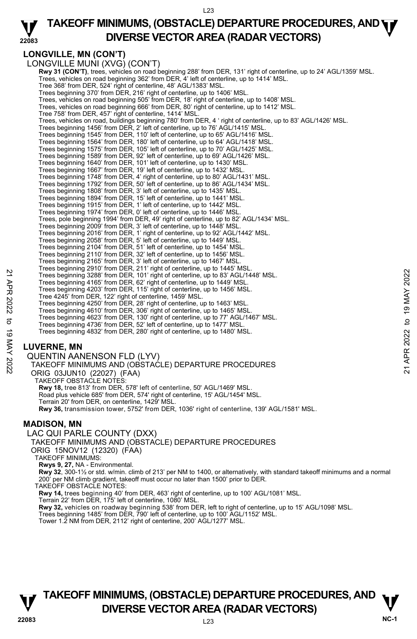### **22083 TAKEOFF MINIMUMS, (OBSTACLE) DEPARTURE PROCEDURES, AND <b>WE**<br>DIVERSE VECTOR AREA (BADAR VECTORS) **DIVERSE VECTOR AREA (RADAR VECTORS)**

## **LONGVILLE, MN (CON'T)**

LONGVILLE MUNI (XVG) (CON'T) **Rwy 31 (CON'T)**, trees, vehicles on road beginning 288' from DER, 131' right of centerline, up to 24' AGL/1359' MSL.<br>Trees, vehicles on road beginning 362' from DER, 4' left of centerline, up to 1414' MSL. Tree 368' from DER, 524' right of centerline, 48' AGL/1383' MSL. Trees beginning 370' from DER, 216' right of centerline, up to 1406' MSL. Trees, vehicles on road beginning 505' from DER, 18' right of centerline, up to 1408' MSL. Trees, vehicles on road beginning 666' from DER, 80' right of centerline, up to 1412' MSL. Tree 758' from DER, 457' right of centerline, 1414' MSL. Trees, vehicles on road, buildings beginning 780' from DER, 4 ' right of centerline, up to 83' AGL/1426' MSL.<br>Trees beginning 1456' from DER, 2' left of centerline, up to 76' AGL/1415' MSL. Trees beginning 1545' from DER, 110' left of centerline, up to 65' AGL/1416' MSL. Trees beginning 1564' from DER, 180' left of centerline, up to 64' AGL/1418' MSL. Trees beginning 1575' from DER, 105' left of centerline, up to 70' AGL/1425' MSL. Trees beginning 1589' from DER, 92' left of centerline, up to 69' AGL/1426' MSL. Trees beginning 1640' from DER, 101' left of centerline, up to 1430' MSL. Trees beginning 1667' from DER, 19' left of centerline, up to 1432' MSL. Trees beginning 1748' from DER, 4' right of centerline, up to 80' AGL/1431' MSL. Trees beginning 1792' from DER, 50' left of centerline, up to 86' AGL/1434' MSL. Trees beginning 1808' from DER, 3' left of centerline, up to 1435' MSL. Trees beginning 1894' from DER, 15' left of centerline, up to 1441' MSL. Trees beginning 1915' from DER, 1' left of centerline, up to 1442' MSL. Trees beginning 1974' from DER, 0' left of centerline, up to 1446' MSL. Trees, pole beginning 1994' from DER, 49' right of centerline, up to 82' AGL/1434' MSL. Trees beginning 2009' from DER, 3' left of centerline, up to 1448' MSL. Trees beginning 2016' from DER, 1' right of centerline, up to 92' AGL/1442' MSL. Trees beginning 2058' from DER, 5' left of centerline, up to 1449' MSL. Trees beginning 2104' from DER, 51' left of centerline, up to 1454' MSL. Trees beginning 2110' from DER, 32' left of centerline, up to 1456' MSL. Trees beginning 2165' from DER, 3' left of centerline, up to 1467' MSL. Trees beginning 2910' from DER, 211' right of centerline, up to 1445' MSL. Trees beginning 3288' from DER, 101' right of centerline, up to 83' AGL/1448' MSL. Trees beginning 4165' from DER, 62' right of centerline, up to 1449' MSL. Trees beginning 4203' from DER, 115' right of centerline, up to 1456' MSL. Tree 4245' from DER, 122' right of centerline, 1459' MSL. Trees beginning 4250' from DER, 28' right of centerline, up to 1463' MSL. Trees beginning 4610' from DER, 306' right of centerline, up to 1465' MSL. Trees beginning 4623' from DER, 130' right of centerline, up to 77' AGL/1467' MSL. Trees beginning 4736' from DER, 52' left of centerline, up to 1477' MSL. Trees beginning 4832' from DER, 280' right of centerline, up to 1480' MSL. Trees beginning 3288 from DER, 101 right of centerline, up to 132 AGL/1448' MSL.<br>
Trees beginning 3288 from DER, 101 right of centerline, up to 1449' MSL.<br>
Trees beginning 4263' from DER, 115' right of centerline, up to 1

## **LUVERNE, MN**

QUENTIN AANENSON FLD (LYV) TAKEOFF MINIMUMS AND (OBSTACLE) DEPARTURE PROCEDURES ORIG 03JUN10 (22027) (FAA) TAKEOFF OBSTACLE NOTES: **Rwy 18,** tree 813' from DER, 578' left of centerline, 50' AGL/1469' MSL. Road plus vehicle 685' from DER, 574' right of centerline, 15' AGL/1454' MSL. Terrain 20' from DER, on centerline, 1429' MSL. **Rwy 36,** transmission tower, 5752' from DER, 1036' right of centerline, 139' AGL/1581' MSL.

## **MADISON, MN**

LAC QUI PARLE COUNTY (DXX) TAKEOFF MINIMUMS AND (OBSTACLE) DEPARTURE PROCEDURES

ORIG 15NOV12 (12320) (FAA)

TAKEOFF MINIMUMS:

**Rwys 9, 27,** NA - Environmental.

**Rwy 32**, 300-1½ or std. w/min. climb of 213' per NM to 1400, or alternatively, with standard takeoff minimums and a normal 200' per NM climb gradient, takeoff must occur no later than 1500' prior to DER. TAKEOFF OBSTACLE NOTES:

**Rwy 14,** trees beginning 40' from DER, 463' right of centerline, up to 100' AGL/1081' MSL.

Terrain 22' from DER, 175' left of centerline, 1080' MSL.

**Rwy 32,** vehicles on roadway beginning 538' from DER, left to right of centerline, up to 15' AGL/1098' MSL.<br>Trees beginning 1485' from DER, 790' left of centerline, up to 100' AGL/1152' MSL.

Tower 1.2 NM from DER, 2112' right of centerline, 200' AGL/1277' MSL.



```
TAKEOFF MINIMUMS, (OBSTACLE) DEPARTURE PROCEDURES, AND \mathbf{\nabla}DIVERSE VECTOR AREA (RADAR VECTORS) V<br>NC-1
```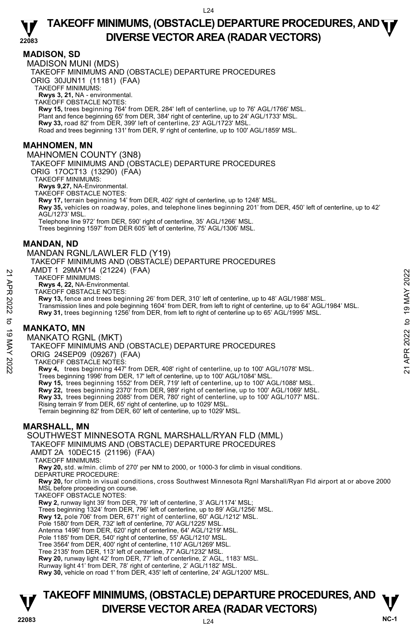## **MADISON, SD**

**22083**  MADISON MUNI (MDS) TAKEOFF MINIMUMS AND (OBSTACLE) DEPARTURE PROCEDURES ORIG 30JUN11 (11181) (FAA) TAKEOFF MINIMUMS: **Rwys 3, 21,** NA - environmental. TAKEOFF OBSTACLE NOTES: **Rwy 15,** trees beginning 764' from DER, 284' left of centerline, up to 76' AGL/1766' MSL. Plant and fence beginning 65' from DER, 384' right of centerline, up to 24' AGL/1733' MSL. **Rwy 33,** road 82' from DER, 399' left of centerline, 23' AGL/1723' MSL. Road and trees beginning 131' from DER, 9' right of centerline, up to 100' AGL/1859' MSL. **MAHNOMEN, MN**  MAHNOMEN COUNTY (3N8) TAKEOFF MINIMUMS AND (OBSTACLE) DEPARTURE PROCEDURES ORIG 17OCT13 (13290) (FAA) TAKEOFF MINIMUMS: **Rwys 9,27,** NA-Environmental. TAKEOFF OBSTACLE NOTES: **Rwy 17,** terrain beginning 14' from DER, 402' right of centerline, up to 1248' MSL. **Rwy 35,** vehicles on roadway, poles, and telephone lines beginning 201' from DER, 450' left of centerline, up to 42' AGL/1273' MSL. Telephone line 972' from DER, 590' right of centerline, 35' AGL/1266' MSL. Trees beginning 1597' from DER 605' left of centerline, 75' AGL/1306' MSL. **MANDAN, ND**  MANDAN RGNL/LAWLER FLD (Y19) TAKEOFF MINIMUMS AND (OBSTACLE) DEPARTURE PROCEDURES AMDT 1 29MAY14 (21224) (FAA) TAKEOFF MINIMUMS: **Rwys 4, 22,** NA-Environmental. TAKEOFF OBSTACLE NOTES: **Rwy 13,** fence and trees beginning 26' from DER, 310' left of centerline, up to 48' AGL/1988' MSL. Transmission lines and pole beginning 1604' from DER, from left to right of centerline, up to 64' AGL/1984' MSL. **Rwy 31,** trees beginning 1256' from DER, from left to right of centerline up to 65' AGL/1995' MSL. **MANKATO, MN**  MANKATO RGNL (MKT) TAKEOFF MINIMUMS AND (OBSTACLE) DEPARTURE PROCEDURES ORIG 24SEP09 (09267) (FAA) TAKEOFF OBSTACLE NOTES: **Rwy 4,** trees beginning 447' from DER, 408' right of centerline, up to 100' AGL/1078' MSL. Trees beginning 1996' from DER, 17' left of centerline, up to 100' AGL/1084' MSL. **Rwy 15,** trees beginning 1552' from DER, 719' left of centerline, up to 100' AGL/1088' MSL. **Rwy 22,** trees beginning 2370' from DER, 989' right of centerline, up to 100' AGL/1069' MSL. **Rwy 33,** trees beginning 2085' from DER, 780' right of centerline, up to 100' AGL/1077' MSL. Rising terrain 9' from DER, 65' right of centerline, up to 1029' MSL. Terrain beginning 82' from DER, 60' left of centerline, up to 1029' MSL. **MARSHALL, MN**  SOUTHWEST MINNESOTA RGNL MARSHALL/RYAN FLD (MML) TAKEOFF MINIMUMS AND (OBSTACLE) DEPARTURE PROCEDURES AMDT 2A 10DEC15 (21196) (FAA) TAKEOFF MINIMUMS: **Rwy 20,** std. w/min. climb of 270' per NM to 2000, or 1000-3 for climb in visual conditions. DEPARTURE PROCEDURE: **Rwy 20,** for climb in visual conditions, cross Southwest Minnesota Rgnl Marshall/Ryan Fld airport at or above 2000<br>MSL before proceeding on course. N AWID I 29MM THE (21224) (FAA)<br>
TAKEOFF MINIMUMS:<br>
TAKEOFF MINIMUMS:<br>
TAKEOFF MINIMUMS:<br>
TAKEOFF MINIMUMS:<br>
Now 13, free and trees beginning 26' from DER, 110' left of centerline, up to 48' AGL/1988' MSL.<br>
Transmission l

TAKEOFF OBSTACLE NOTES:

**Rwy 2,** runway light 39' from DER, 79' left of centerline, 3' AGL/1174' MSL;<br>Trees beginning 1324' from DER, 796' left of centerline, up to 89' AGL/1256' MSL.

**Rwy 12,** pole 706' from DER, 671' right of centerline, 60' AGL/1212' MSL.

Pole 1580' from DER, 732' left of centerline, 70' AGL/1225' MSL.

Antenna 1496' from DER, 620' right of centerline, 64' AGL/1219' MSL.

Pole 1185' from DER, 540' right of centerline, 55' AGL/1210' MSL.

Tree 3564' from DER, 400' right of centerline, 110' AGL/1269' MSL. Tree 2135' from DER, 113' left of centerline, 77' AGL/1232' MSL.

**Rwy 20,** runway light 42' from DER, 77' left of centerline, 2' AGL, 1183' MSL.

Runway light 41' from DER, 78' right of centerline, 2' AGL/1182' MSL.

**Rwy 30,** vehicle on road 1' from DER, 435' left of centerline, 24' AGL/1200' MSL.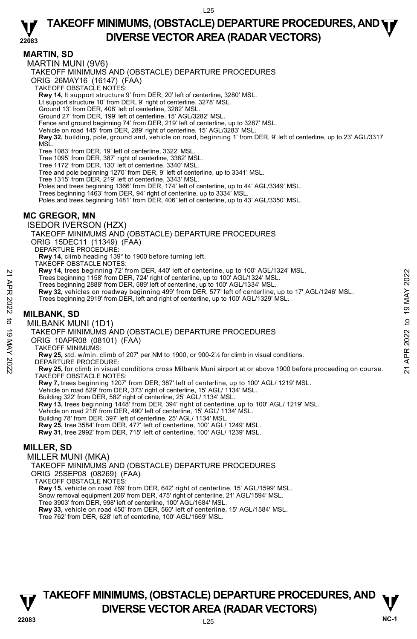## **TAKEOFF MINIMUMS, (OBSTACLE) DEPARTURE PROCEDURES, AND <b>WE**<br>DIVERSE VECTOR AREA (BADAR VECTORS) **DIVERSE VECTOR AREA (RADAR VECTORS)**

**MARTIN, SD** 

**22083**  MARTIN MUNI (9V6) TAKEOFF MINIMUMS AND (OBSTACLE) DEPARTURE PROCEDURES ORIG 26MAY16 (16147) (FAA) TAKEOFF OBSTACLE NOTES: **Rwy 14,** lt support structure 9' from DER, 20' left of centerline, 3280' MSL. Lt support structure 10' from DER, 9' right of centerline, 3278' MSL. Ground 13' from DER, 408' left of centerline, 3282' MSL. Ground 27' from DER, 199' left of centerline, 15' AGL/3282' MSL. Fence and ground beginning 74' from DER, 219' left of centerline, up to 3287' MSL. Vehicle on road 145' from DER, 289' right of centerline, 15' AGL/3283' MSL. **Rwy 32,** building, pole, ground and, vehicle on road, beginning 1' from DER, 9' left of centerline, up to 23' AGL/3317 MSL. Tree 1083' from DER, 19' left of centerline, 3322' MSL. Tree 1095' from DER, 387' right of centerline, 3382' MSL. Tree 1172' from DER, 130' left of centerline, 3340' MSL. Tree and pole beginning 1270' from DER, 9' left of centerline, up to 3341' MSL. Tree 1315' from DER, 219' left of centerline, 3343' MSL. Poles and trees beginning 1366' from DER, 174' left of centerline, up to 44' AGL/3349' MSL. Trees beginning 1463' from DER, 94' right of centerline, up to 3334' MSL. Poles and trees beginning 1481' from DER, 406' left of centerline, up to 43' AGL/3350' MSL. **MC GREGOR, MN**  ISEDOR IVERSON (HZX) TAKEOFF MINIMUMS AND (OBSTACLE) DEPARTURE PROCEDURES ORIG 15DEC11 (11349) (FAA) DEPARTURE PROCEDURE: **Rwy 14,** climb heading 139° to 1900 before turning left. TAKEOFF OBSTACLE NOTES: **Rwy 14,** trees beginning 72' from DER, 440' left of centerline, up to 100' AGL/1324' MSL. Trees beginning 1158' from DER, 724' right of centerline, up to 100' AGL/1324' MSL. Trees beginning 2888' from DER, 589' left of centerline, up to 100' AGL/1334' MSL. **Rwy 32,** vehicles on roadway beginning 499' from DER, 577' left of centerline, up to 17' AGL/1246' MSL. Trees beginning 2919' from DER, left and right of centerline, up to 100' AGL/1329' MSL. **MILBANK, SD**  MILBANK MUNI (1D1) TAKEOFF MINIMUMS AND (OBSTACLE) DEPARTURE PROCEDURES ORIG 10APR08 (08101) (FAA) TAKEOFF MINIMUMS: **Rwy 25,** std. w/min. climb of 207' per NM to 1900, or 900-2½ for climb in visual conditions. DEPARTURE PROCEDURE: **Rwy 25,** for climb in visual conditions cross Milbank Muni airport at or above 1900 before proceeding on course. TAKEOFF OBSTACLE NOTES: **Rwy 7,** trees beginning 1207' from DER, 387' left of centerline, up to 100' AGL/ 1219' MSL.<br>Vehicle on road 829' from DER, 373' right of centerline, 15' AGL/ 1134' MSL. Building 322' from DER, 582' right of centerline, 25' AGL/ 1134' MSL. **Rwy 13,** trees beginning 1448' from DER, 394' right of centerline, up to 100' AGL/ 1219' MSL. Vehicle on road 218' from DER, 490' left of centerline, 15' AGL/ 1134' MSL. Building 78' from DER, 397' left of centerline, 25' AGL/ 1134' MSL. **Rwy 25,** tree 3584' from DER, 477' left of centerline, 100' AGL/ 1249' MSL. **Rwy 31,** tree 2992' from DER, 715' left of centerline, 100' AGL/ 1239' MSL. **MILLER, SD**  MILLER MUNI (MKA) TAKEOFF MINIMUMS AND (OBSTACLE) DEPARTURE PROCEDURES ORIG 25SEP08 (08269) (FAA) 22 AW 14, trees beginning 1/2" from DER, 1244 viet of centerline, up to 100' AGL/1324' MSL.<br>
Trees beginning 1158' from DER, 724' right of centerline, up to 100' AGL/1324' MSL.<br>
Trees beginning 2888' from DER, 589' left o

TAKEOFF OBSTACLE NOTES: **Rwy 15,** vehicle on road 769' from DER, 642' right of centerline, 15' AGL/1599' MSL. Snow removal equipment 206' from DER, 475' right of centerline, 21' AGL/1594' MSL. Tree 3903' from DER, 998' left of centerline, 100' AGL/1684' MSL. **Rwy 33,** vehicle on road 450' from DER, 560' left of centerline, 15' AGL/1584' MSL. Tree 762' from DER, 628' left of centerline, 100' AGL/1669' MSL.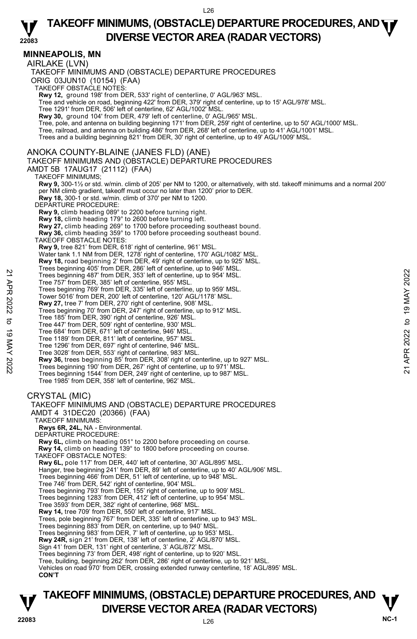## **MINNEAPOLIS, MN**

AIRLAKE (LVN)

TAKEOFF MINIMUMS AND (OBSTACLE) DEPARTURE PROCEDURES ORIG 03JUN10 (10154) (FAA) TAKEOFF OBSTACLE NOTES: **Rwy 12,** ground 198' from DER, 533' right of centerline, 0' AGL/963' MSL.<br>Tree and vehicle on road, beginning 422' from DER, 379' right of centerline, up to 15' AGL/978' MSL. Tree 1291' from DER, 506' left of centerline, 62' AGL/1002' MSL. **Rwy 30,** ground 104' from DER, 479' left of centerline, 0' AGL/965' MSL. Tree, pole, and antenna on building beginning 171' from DER, 259' right of centerline, up to 50' AGL/1000' MSL.<br>Tree, railroad, and antenna on building 486' from DER, 268' left of centerline, up to 41' AGL/1001' MSL. Trees and a building beginning 821' from DER, 30' right of centerline, up to 49' AGL/1009' MSL. ANOKA COUNTY-BLAINE (JANES FLD) (ANE) TAKEOFF MINIMUMS AND (OBSTACLE) DEPARTURE PROCEDURES AMDT 5B 17AUG17 (21112) (FAA) TAKEOFF MINIMUMS; **Rwy 9,** 300-1½ or std. w/min. climb of 205' per NM to 1200, or alternatively, with std. takeoff minimums and a normal 200' per NM climb gradient, takeoff must occur no later than 1200' prior to DER. **Rwy 18,** 300-1 or std. w/min. climb of 370' per NM to 1200. DEPARTURE PROCEDURE: **Rwy 9,** climb heading 089° to 2200 before turning right. **Rwy 18,** climb heading 179° to 2600 before turning left. **Rwy 27,** climb heading 269° to 1700 before proceeding southeast bound. **Rwy 36,** climb heading 359° to 1700 before proceeding southeast bound. TAKEOFF OBSTACLE NOTES: **Rwy 9,** tree 821' from DER, 618' right of centerline, 961' MSL. Water tank 1.1 NM from DER, 1278' right of centerline, 170' AGL/1082' MSL. **Rwy 18,** road beginning 2' from DER, 49' right of centerline, up to 925' MSL. Trees beginning 405' from DER, 286' left of centerline, up to 946' MSL. Trees beginning 487' from DER, 353' left of centerline, up to 954' MSL. Tree 757' from DER, 385' left of centerline, 955' MSL. Trees beginning 769' from DER, 335' left of centerline, up to 959' MSL. Tower 5016' from DER, 200' left of centerline, 120' AGL/1178' MSL. **Rwy 27,** tree 7' from DER, 270' right of centerline, 908' MSL. Trees beginning 70' from DER, 247' right of centerline, up to 912' MSL. Tree 185' from DER, 390' right of centerline, 926' MSL. Tree 447' from DER, 509' right of centerline, 930' MSL. Tree 684' from DER, 671' left of centerline, 946' MSL. Tree 1189' from DER, 811' left of centerline, 957' MSL. Tree 1296' from DER, 697' right of centerline, 946' MSL. Tree 3028' from DER, 553' right of centerline, 983' MSL. **Rwy 36,** trees beginning 85' from DER, 308' right of centerline, up to 927' MSL. Trees beginning 190' from DER, 267' right of centerline, up to 971' MSL. Trees beginning 1544' from DER, 249' right of centerline, up to 987' MSL. Tree 1985' from DER, 358' left of centerline, 962' MSL. CRYSTAL (MIC) TAKEOFF MINIMUMS AND (OBSTACLE) DEPARTURE PROCEDURES AMDT 4 31DEC20 (20366) (FAA) TAKEOFF MINIMUMS: **Rwys 6R, 24L,** NA - Environmental. DEPARTURE PROCEDURE: **Rwy 6L,** climb on heading 051° to 2200 before proceeding on course.  **Rwy 14,** climb on heading 139° to 1800 before proceeding on course. TAKEOFF OBSTACLE NOTES: **Rwy 6L,** pole 117' from DER, 440' left of centerline, 30' AGL/895' MSL. Hanger, tree beginning 241' from DER, 89' left of centerline, up to 40' AGL/906' MSL. Trees beginning 466' from DER, 51' left of centerline, up to 948' MSL. Tree 746' from DER, 542' right of centerline, 904' MSL. Trees beginning 793' from DER, 155' right of centerline, up to 909' MSL. Trees beginning 1283' from DER, 412' left of centerline, up to 954' MSL. Tree 3593' from DER, 382' right of centerline, 968' MSL. **Rwy 14,** tree 709' from DER, 550' left of centerline, 917' MSL. Trees, pole beginning 767' from DER, 335' left of centerline, up to 943' MSL. Trees beginning 883' from DER, on centerline, up to 940' MSL. Trees beginning 983' from DER, 7' left of centerline, up to 953' MSL. **Rwy 24R,** sign 21' from DER, 138' left of centerline, 2' AGL/870' MSL. Sign 41' from DER, 131' right of centerline, 3' AGL/872' MSL. Trees beginning 73' from DER, 498' right of centerline, up to 920' MSL. Tree, building, beginning 262' from DER, 286' right of centerline, up to 921' MSL. Vehicles on road 970' from DER, crossing extended runway centerline, 18' AGL/895' MSL. **CON'T** Trees beginning 487 from DER, 353' left of centerline, up to 954' MSL.<br>
Trees beginning 487' from DER, 353' left of centerline, up to 954' MSL.<br>
Trees beginning 768' from The State of centerline, up to 959' MSL.<br>
Tower 50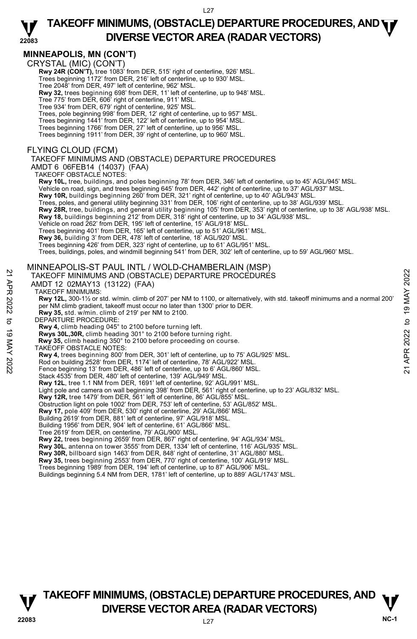### **22083 TAKEOFF MINIMUMS, (OBSTACLE) DEPARTURE PROCEDURES, AND <b>WE**<br>DIVERSE VECTOR AREA (BADAR VECTORS) **DIVERSE VECTOR AREA (RADAR VECTORS)**

## **MINNEAPOLIS, MN (CON'T)**

CRYSTAL (MIC) (CON'T)

 **Rwy 24R (CON'T),** tree 1083' from DER, 515' right of centerline, 926' MSL.

Trees beginning 1172' from DER, 216' left of centerline, up to 930' MSL.

Tree 2048' from DER, 497' left of centerline, 962' MSL.

**Rwy 32,** trees beginning 698' from DER, 11' left of centerline, up to 948' MSL. Tree 775' from DER, 606' right of centerline, 911' MSL.

Tree 934' from DER, 679' right of centerline, 925' MSL.

Trees, pole beginning 998' from DER, 12' right of centerline, up to 957' MSL.

- Trees beginning 1441' from DER, 122' left of centerline, up to 954' MSL. Trees beginning 1766' from DER, 27' left of centerline, up to 956' MSL.
- 
- Trees beginning 1911' from DER, 39' right of centerline, up to 960' MSL.

### FLYING CLOUD (FCM)

### TAKEOFF MINIMUMS AND (OBSTACLE) DEPARTURE PROCEDURES

AMDT 6 06FEB14 (14037) (FAA)

TAKEOFF OBSTACLE NOTES:  **Rwy 10L,** tree, buildings, and poles beginning 78' from DER, 346' left of centerline, up to 45' AGL/945' MSL. Vehicle on road, sign, and trees beginning 645' from DER, 442' right of centerline, up to 37' AGL/937' MSL. **Rwy 10R,** buildings beginning 260' from DER, 321' right of centerline, up to 40' AGL/943' MSL. Trees, poles, and general utility beginning 331' from DER, 106' right of centerline, up to 38' AGL/939' MSL. **Rwy 28R,** tree, buildings, and general utility beginning 105' from DER, 353' right of centerline, up to 38' AGL/938' MSL. **Rwy 18,** buildings beginning 212' from DER, 318' right of centerline, up to 34' AGL/938' MSL.<br>Vehicle on road 262' from DER, 195' left of centerline, 15' AGL/918' MSL. Trees beginning 401' from DER, 165' left of centerline, up to 51' AGL/961' MSL. **Rwy 36,** building 3' from DER, 478' left of centerline, 18' AGL/920' MSL. Trees beginning 426' from DER, 323' right of centerline, up to 61' AGL/951' MSL. Trees, buildings, poles, and windmill beginning 541' from DER, 302' left of centerline, up to 59' AGL/960' MSL. MINNEAPOLIS-ST PAUL INTL / WOLD-CHAMBERLAIN (MSP) TAKEOFF MINIMUMS AND (OBSTACLE) DEPARTURE PROCEDURES AMDT 12 02MAY13 (13122) (FAA) TAKEOFF MINIMUMS: **Rwy 12L,** 300-1½ or std. w/min. climb of 207' per NM to 1100, or alternatively, with std. takeoff minimums and a normal 200' per NM climb gradient, takeoff must occur no later than 1300' prior to DER. Rwy 35, std. w/min. climb of 219' per NM to 2100.<br>DEPARTURE PROCEDURE: **Rwy 4,** climb heading 045° to 2100 before turning left. **Rwys 30L,30R,** climb heading 301° to 2100 before turning right.  **Rwy 35,** climb heading 350° to 2100 before proceeding on course. TAKEOFF OBSTACLE NOTES: **Rwy 4,** trees beginning 800' from DER, 301' left of centerline, up to 75' AGL/925' MSL. Rod on building 2528' from DER, 1174' left of centerline, 78' AGL/922' MSL. Fence beginning 13' from DER, 486' left of centerline, up to 6' AGL/860' MSL. Stack 4535' from DER, 480' left of centerline, 139' AGL/949' MSL. **Rwy 12L**, tree 1.1 NM from DER, 1691' left of centerline, 92' AGL/991' MSL. Light pole and camera on wall beginning 398' from DER, 561' right of centerline, up to 23' AGL/832' MSL. **Rwy 12R,** tree 1479' from DER, 561' left of centerline, 86' AGL/855' MSL. Obstruction light on pole 1002' from DER, 753' left of centerline, 53' AGL/852' MSL. **Rwy 17,** pole 409' from DER, 530' right of centerline, 29' AGL/866' MSL. Building 2619' from DER, 881' left of centerline, 97' AGL/918' MSL. Building 1956' from DER, 904' left of centerline, 61' AGL/866' MSL. Tree 2619' from DER, on centerline, 79' AGL/900' MSL. **Rwy 22,** trees beginning 2659' from DER, 867' right of centerline, 94' AGL/934' MSL. **Rwy 30L**, antenna on tower 3555' from DER, 1334' left of centerline, 116' AGL/935' MSL. **Rwy 30R,** billboard sign 1463' from DER, 848' right of centerline, 31' AGL/880' MSL.<br>**Rwy 35,** trees beginning 2553' from DER, 770' right of centerline, 100' AGL/919' MSL. Trees beginning 1989' from DER, 194' left of centerline, up to 87' AGL/906' MSL. Buildings beginning 5.4 NM from DER, 1781' left of centerline, up to 889' AGL/1743' MSL. 22 TAKEOFF MINIMUMS AND (OBSTACLE) DEPARTURE PROCEDURES<br>
22 TAKEOFF MINIMUMS AND (OBSTACLE) DEPARTURE PROCEDURES<br>
22 TAKEOFF MINIMUMS AND (OBSTACLE) DEPARTURE PROCEDURES<br>
22 TAKEOFF MINIMUMS AND (OBSTACLE) DEPARTURE PROC

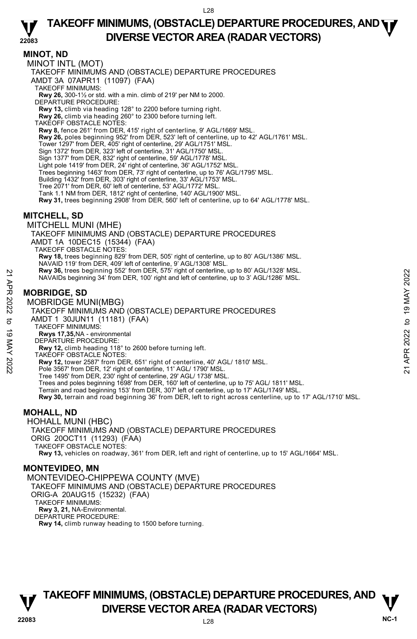MINOT INTL (MOT) TAKEOFF MINIMUMS AND (OBSTACLE) DEPARTURE PROCEDURES AMDT 3A 07APR11 (11097) (FAA) TAKEOFF MINIMUMS: **Rwy 26,** 300-1½ or std. with a min. climb of 219' per NM to 2000. DEPARTURE PROCEDURE: **Rwy 13,** climb via heading 128° to 2200 before turning right. **Rwy 26,** climb via heading 260° to 2300 before turning left. TAKEOFF OBSTACLE NOTES: **Rwy 8,** fence 261' from DER, 415' right of centerline, 9' AGL/1669' MSL. **Rwy 26,** poles beginning 952' from DER, 523' left of centerline, up to 42' AGL/1761' MSL. Tower 1297' from DER, 405' right of centerline, 29' AGL/1751' MSL. Sign 1372' from DER, 323' left of centerline, 31' AGL/1750' MSL. Sign 1377' from DER, 832' right of centerline, 59' AGL/1778' MSL. Light pole 1419' from DER, 24' right of centerline, 36' AGL/1752' MSL. Trees beginning 1463' from DER, 73' right of centerline, up to 76' AGL/1795' MSL. Building 1432' from DER, 303' right of centerline, 33' AGL/1753' MSL. Tree 2071' from DER, 60' left of centerline, 53' AGL/1772' MSL. Tank 1.1 NM from DER, 1812' right of centerline, 140' AGL/1900' MSL. **Rwy 31,** trees beginning 2908' from DER, 560' left of centerline, up to 64' AGL/1778' MSL. **MITCHELL, SD**  MITCHELL MUNI (MHE) TAKEOFF MINIMUMS AND (OBSTACLE) DEPARTURE PROCEDURES AMDT 1A 10DEC15 (15344) (FAA) TAKEOFF OBSTACLE NOTES: **Rwy 18,** trees beginning 829' from DER, 505' right of centerline, up to 80' AGL/1386' MSL. NAVAID 119' from DER, 409' left of centerline, 9' AGL/1308' MSL. **Rwy 36,** trees beginning 552' from DER, 575' right of centerline, up to 80' AGL/1328' MSL. NAVAIDs beginning 34' from DER, 100' right and left of centerline, up to 3' AGL/1286' MSL. **MOBRIDGE, SD**  MOBRIDGE MUNI(MBG) TAKEOFF MINIMUMS AND (OBSTACLE) DEPARTURE PROCEDURES AMDT 1 30JUN11 (11181) (FAA) TAKEOFF MINIMUMS: **Rwys 17,35,**NA - environmental DEPARTURE PROCEDURE: **Rwy 12,** climb heading 118° to 2600 before turning left. TAKEOFF OBSTACLE NOTES: **Rwy 12,** tower 2587' from DER, 651' right of centerline, 40' AGL/ 1810' MSL. Pole 3567' from DER, 12' right of centerline, 11' AGL/ 1790' MSL. Tree 1495' from DER, 230' right of centerline, 29' AGL/ 1738' MSL. Trees and poles beginning 1698' from DER, 160' left of centerline, up to 75' AGL/ 1811' MSL. Terrain and road beginning 153' from DER, 307' left of centerline, up to 17' AGL/1749' MSL. **Rwy 30,** terrain and road beginning 36' from DER, left to right across centerline, up to 17' AGL/1710' MSL. **MOHALL, ND**  HOHALL MUNI (HBC) TAKEOFF MINIMUMS AND (OBSTACLE) DEPARTURE PROCEDURES ORIG 20OCT11 (11293) (FAA) TAKEOFF OBSTACLE NOTES: New 36, trees beginning 552 from DER, 575 right of centerline, up to 37 AGL/1328' MSL.<br>
22<br>
MOBRIDGE, SD<br>
MOBRIDGE MUNI(MBG)<br>
22<br>
MOBRIDGE MUNI(MBG)<br>
22<br>
AMEOFF MINIMUMS AND (OBSTACLE) DEPARTURE PROCEDURES<br>
22<br>
AMEOFF MIN

## **Rwy 13,** vehicles on roadway, 361' from DER, left and right of centerline, up to 15' AGL/1664' MSL.

## **MONTEVIDEO, MN**

**MINOT, ND** 

MONTEVIDEO-CHIPPEWA COUNTY (MVE) TAKEOFF MINIMUMS AND (OBSTACLE) DEPARTURE PROCEDURES ORIG-A 20AUG15 (15232) (FAA) TAKEOFF MINIMUMS: **Rwy 3, 21,** NA-Environmental. DEPARTURE PROCEDURE: **Rwy 14,** climb runway heading to 1500 before turning.

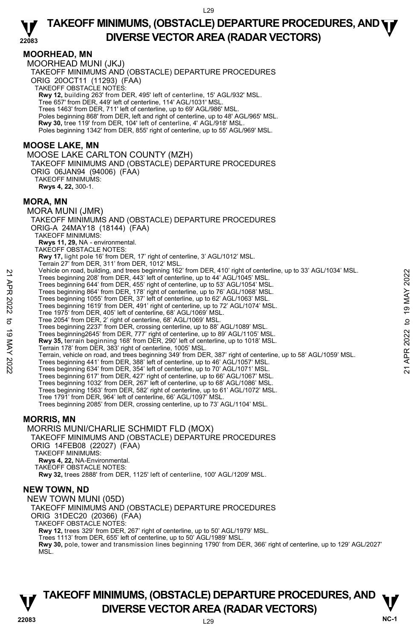## **MOORHEAD, MN**

MOORHEAD MUNI (JKJ) TAKEOFF MINIMUMS AND (OBSTACLE) DEPARTURE PROCEDURES ORIG 20OCT11 (11293) (FAA) TAKEOFF OBSTACLE NOTES: **Rwy 12,** building 263' from DER, 495' left of centerline, 15' AGL/932' MSL. Tree 657' from DER, 449' left of centerline, 114' AGL/1031' MSL. Trees 1463' from DER, 711' left of centerline, up to 69' AGL/986' MSL. Poles beginning 868' from DER, left and right of centerline, up to 48' AGL/965' MSL. **Rwy 30,** tree 119' from DER, 104' left of centerline, 4' AGL/918' MSL. Poles beginning 1342' from DER, 855' right of centerline, up to 55' AGL/969' MSL.

## **MOOSE LAKE, MN**

MOOSE LAKE CARLTON COUNTY (MZH) TAKEOFF MINIMUMS AND (OBSTACLE) DEPARTURE PROCEDURES ORIG 06JAN94 (94006) (FAA) TAKEOFF MINIMUMS: **Rwys 4, 22,** 300-1.

### **MORA, MN**

MORA MUNI (JMR) TAKEOFF MINIMUMS AND (OBSTACLE) DEPARTURE PROCEDURES ORIG-A 24MAY18 (18144) (FAA) TAKEOFF MINIMUMS: **Rwys 11, 29,** NA - environmental. TAKEOFF OBSTACLE NOTES: **Rwy 17,** light pole 16' from DER, 17' right of centerline, 3' AGL/1012' MSL. Terrain 27' from DER, 311' from DER, 1012' MSL. Vehicle on road, building, and trees beginning 162' from DER, 410' right of centerline, up to 33' AGL/1034' MSL. Trees beginning 208' from DER, 443' left of centerline, up to 44' AGL/1045' MSL. Trees beginning 644' from DER, 455' right of centerline, up to 53' AGL/1054' MSL. Trees beginning 864' from DER, 178' right of centerline, up to 76' AGL/1068' MSL. Trees beginning 1055' from DER, 37' left of centerline, up to 62' AGL/1063' MSL. Trees beginning 1619' from DER, 491' right of centerline, up to 72' AGL/1074' MSL. Tree 1975' from DER, 405' left of centerline, 68' AGL/1069' MSL.<br>Tree 2054' from DER, 2' right of centerline, 68' AGL/1069' MSL.<br>Trees beginning 2237' from DER, crossing centerline, up to 88' AGL/1089' MSL. Trees beginning2645' from DER, 777' right of centerline, up to 89' AGL/1105' MSL. **Rwy 35,** terrain beginning 168' from DER, 290' left of centerline, up to 1018' MSL. Terrain 178' from DER, 383' right of centerline, 1005' MSL. Terrain, vehicle on road, and trees beginning 349' from DER, 387' right of centerline, up to 58' AGL/1059' MSL. Trees beginning 441' from DER, 388' left of centerline, up to 46' AGL/1057' MSL. Trees beginning 634' from DER, 354' left of centerline, up to 70' AGL/1071' MSL. Trees beginning 617' from DER, 427' right of centerline, up to 66' AGL/1067' MSL. Trees beginning 1032' from DER, 267' left of centerline, up to 68' AGL/1086' MSL. Trees beginning 1563' from DER, 582' right of centerline, up to 61' AGL/1072' MSL. Tree 1791' from DER, 964' left of centerline, 66' AGL/1097' MSL. Trees beginning 2085' from DER, crossing centerline, up to 73' AGL/1104' MSL. **MORRIS, MN**  MORRIS MUNI/CHARLIE SCHMIDT FLD (MOX) TAKEOFF MINIMUMS AND (OBSTACLE) DEPARTURE PROCEDURES ORIG 14FEB08 (22027) (FAA) TAKEOFF MINIMUMS: 22 Trees beginning and trees of the Beginning 162 from DER, 441 right of centerline, up to 44' AGL/1045' MSL.<br>
Trees beginning 644' from DER, 453' right of centerline, up to 53' AGL/1054' MSL.<br>
Trees beginning 644' from D

**Rwys 4, 22,** NA-Environmental. TAKEOFF OBSTACLE NOTES:

**Rwy 32,** trees 2888' from DER, 1125' left of centerline, 100' AGL/1209' MSL.

## **NEW TOWN, ND**

NEW TOWN MUNI (05D)

TAKEOFF MINIMUMS AND (OBSTACLE) DEPARTURE PROCEDURES ORIG 31DEC20 (20366) (FAA) TAKEOFF OBSTACLE NOTES: **Rwy 12,** trees 329' from DER, 267' right of centerline, up to 50' AGL/1979' MSL. Trees 1113' from DER, 655' left of centerline, up to 50' AGL/1989' MSL.

**Rwy 30,** pole, tower and transmission lines beginning 1790' from DER, 366' right of centerline, up to 129' AGL/2027' MSL.

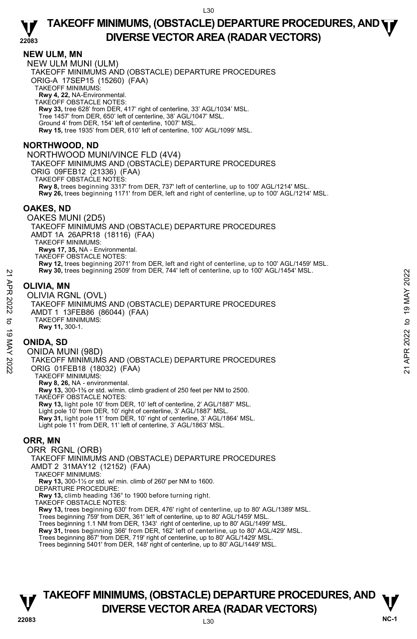## **NEW ULM, MN**

NEW ULM MUNI (ULM) TAKEOFF MINIMUMS AND (OBSTACLE) DEPARTURE PROCEDURES ORIG-A 17SEP15 (15260) (FAA) TAKEOFF MINIMUMS: **Rwy 4, 22,** NA-Environmental. TAKEOFF OBSTACLE NOTES: **Rwy 33,** tree 628' from DER, 417' right of centerline, 33' AGL/1034' MSL. Tree 1457' from DER, 650' left of centerline, 38' AGL/1047' MSL. Ground 4' from DER, 154' left of centerline, 1007' MSL. **Rwy 15,** tree 1935' from DER, 610' left of centerline, 100' AGL/1099' MSL.

## **NORTHWOOD, ND**

NORTHWOOD MUNI/VINCE FLD (4V4) TAKEOFF MINIMUMS AND (OBSTACLE) DEPARTURE PROCEDURES ORIG 09FEB12 (21336) (FAA) TAKEOFF OBSTACLE NOTES: **Rwy 8,** trees beginning 3317' from DER, 737' left of centerline, up to 100' AGL/1214' MSL. **Rwy 26,** trees beginning 1171' from DER, left and right of centerline, up to 100' AGL/1214' MSL.

## **OAKES, ND**

OAKES MUNI (2D5) TAKEOFF MINIMUMS AND (OBSTACLE) DEPARTURE PROCEDURES AMDT 1A 26APR18 (18116) (FAA) TAKEOFF MINIMUMS: **Rwys 17, 35,** NA - Environmental. TAKEOFF OBSTACLE NOTES: **Rwy 12,** trees beginning 2071' from DER, left and right of centerline, up to 100' AGL/1459' MSL. **Rwy 30,** trees beginning 2509' from DER, 744' left of centerline, up to 100' AGL/1454' MSL.

## **OLIVIA, MN**

OLIVIA RGNL (OVL) TAKEOFF MINIMUMS AND (OBSTACLE) DEPARTURE PROCEDURES AMDT 1 13FEB86 (86044) (FAA) TAKEOFF MINIMUMS: **Rwy 11,** 300-1. **EXECUTE AND SUPPRESS DEPARTURE PROCEDURES**<br> **21 APR 2022**<br> **21 ALCONDUARE AND CONTACT AND CONSTACLE) DEPARTURE PROCEDURES**<br>
TAKEOFF MINIMUMS AND (OBSTACLE) DEPARTURE PROCEDURES<br>
TAKEOFF MINIMUMS:<br> **21 APR 2022**<br> **21 AND** 

## **ONIDA, SD**

ONIDA MUNI (98D) TAKEOFF MINIMUMS AND (OBSTACLE) DEPARTURE PROCEDURES ORIG 01FEB18 (18032) (FAA) TAKEOFF MINIMUMS: **Rwy 8, 26,** NA - environmental. **Rwy 13,** 300-1⅜ or std. w/min. climb gradient of 250 feet per NM to 2500. TAKEOFF OBSTACLE NOTES: **Rwy 13,** light pole 10' from DER, 10' left of centerline, 2' AGL/1887' MSL. Light pole 10' from DER, 10' right of centerline, 3' AGL/1887' MSL. **Rwy 31,** light pole 11' from DER, 10' right of centerline, 3' AGL/1864' MSL. Light pole 11' from DER, 11' left of centerline, 3' AGL/1863' MSL.

## **ORR, MN**

ORR RGNL (ORB) TAKEOFF MINIMUMS AND (OBSTACLE) DEPARTURE PROCEDURES AMDT 2 31MAY12 (12152) (FAA) TAKEOFF MINIMUMS: **Rwy 13,** 300-1½ or std. w/ min. climb of 260' per NM to 1600. DEPARTURE PROCEDURE: **Rwy 13,** climb heading 136° to 1900 before turning right. TAKEOFF OBSTACLE NOTES: **Rwy 13,** trees beginning 630' from DER, 476' right of centerline, up to 80' AGL/1389' MSL. Trees beginning 759' from DER, 361' left of centerline, up to 80' AGL/1459' MSL. Trees beginning 1.1 NM from DER, 1343' right of centerline, up to 80' AGL/1499' MSL. **Rwy 31,** trees beginning 366' from DER, 162' left of centerline, up to 80' AGL/429' MSL. Trees beginning 867' from DER, 719' right of centerline, up to 80' AGL/1429' MSL.

Trees beginning 5401' from DER, 148' right of centerline, up to 80' AGL/1449' MSL.

# **TAKEOFF MINIMUMS, (OBSTACLE) DEPARTURE PROCEDURES, AND**  $\mathbf{\nabla}$ **DIVERSE VECTOR AREA (RADAR VECTORS) WELL ASSEMBLE ASSESS**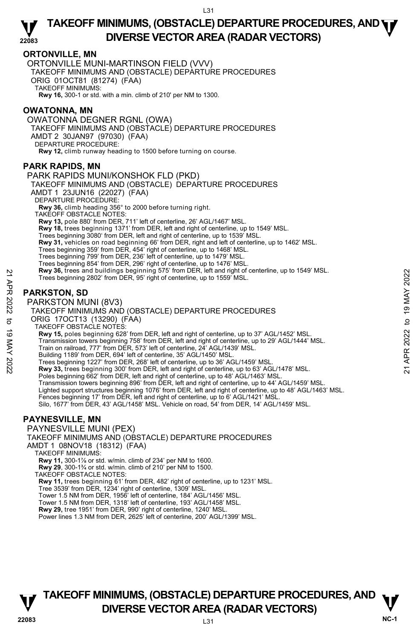## **ORTONVILLE, MN**

ORTONVILLE MUNI-MARTINSON FIELD (VVV)

TAKEOFF MINIMUMS AND (OBSTACLE) DEPARTURE PROCEDURES

ORIG 01OCT81 (81274) (FAA) TAKEOFF MINIMUMS:

**Rwy 16,** 300-1 or std. with a min. climb of 210' per NM to 1300.

## **OWATONNA, MN**

OWATONNA DEGNER RGNL (OWA) TAKEOFF MINIMUMS AND (OBSTACLE) DEPARTURE PROCEDURES AMDT 2 30JAN97 (97030) (FAA) DEPARTURE PROCEDURE: **Rwy 12,** climb runway heading to 1500 before turning on course.

## **PARK RAPIDS, MN**

PARK RAPIDS MUNI/KONSHOK FLD (PKD) TAKEOFF MINIMUMS AND (OBSTACLE) DEPARTURE PROCEDURES AMDT 1 23JUN16 (22027) (FAA) DEPARTURE PROCEDURE: **Rwy 36,** climb heading 356° to 2000 before turning right. TAKEOFF OBSTACLE NOTES: **Rwy 13,** pole 880' from DER, 711' left of centerline, 26' AGL/1467' MSL. **Rwy 18,** trees beginning 1371' from DER, left and right of centerline, up to 1549' MSL. Trees beginning 3080' from DER, left and right of centerline, up to 1539' MSL. **Rwy 31,** vehicles on road beginning 66' from DER, right and left of centerline, up to 1462' MSL.<br>Trees beginning 359' from DER, 454' right of centerline, up to 1468' MSL. Trees beginning 799' from DER, 236' left of centerline, up to 1479' MSL. Trees beginning 854' from DER, 296' right of centerline, up to 1476' MSL. **Rwy 36,** trees and buildings beginning 575' from DER, left and right of centerline, up to 1549' MSL. Trees beginning 2802' from DER, 95' right of centerline, up to 1559' MSL. **PARKSTON, SD**  PARKSTON MUNI (8V3) TAKEOFF MINIMUMS AND (OBSTACLE) DEPARTURE PROCEDURES ORIG 17OCT13 (13290) (FAA) TAKEOFF OBSTACLE NOTES: **Rwy 15,** poles beginning 628' from DER, left and right of centerline, up to 37' AGL/1452' MSL. Transmission towers beginning 758' from DER, left and right of centerline, up to 29' AGL/1444' MSL. Train on railroad, 777' from DER, 573' left of centerline, 24' AGL/1439' MSL. Prices are beginning and buildings beginning 5/5 from DER, left and right of centerline, up to 1549 MSL.<br>
Trees beginning 2802' from DER, 95' right of centerline, up to 1559' MSL.<br>
PARKSTON MUNI (8V3)<br>
TAKEOFF MINIMUMI (8

Building 1189' from DER, 694' left of centerline, 35' AGL/1450' MSL.

Trees beginning 1227' from DER, 268' left of centerline, up to 36' AGL/1459' MSL.<br>**Rwy 33,** trees beginning 300' from DER, left and right of centerline, up to 63' AGL/1478' MSL.

Poles beginning 662' from DER, left and right of centerline, up to 48' AGL/1463' MSL

Transmission towers beginning 896' from DER, left and right of centerline, up to 44' AGL/1459' MSL.<br>Lighted support structures beginning 1076' from DER, left and right of centerline, up to 48' AGL/1463' MSL.

Fences beginning 17' from DER, left and right of centerline, up to 6' AGL/1421' MSL

Silo, 1677' from DER, 43' AGL/1458' MSL. Vehicle on road, 54' from DER, 14' AGL/1459' MSL.

## **PAYNESVILLE, MN**

PAYNESVILLE MUNI (PEX) TAKEOFF MINIMUMS AND (OBSTACLE) DEPARTURE PROCEDURES AMDT 1 08NOV18 (18312) (FAA) TAKEOFF MINIMUMS: **Rwy 11,** 300-1⅞ or std. w/min. climb of 234' per NM to 1600. **Rwy 29**, 300-1¾ or std. w/min. climb of 210' per NM to 1500. TAKEOFF OBSTACLE NOTES: **Rwy 11,** trees beginning 61' from DER, 482' right of centerline, up to 1231' MSL.<br>Tree 3539' from DER, 1234' right of centerline, 1309' MSL. Tower 1.5 NM from DER, 1956' left of centerline, 184' AGL/1456' MSL. Tower 1.5 NM from DER, 1318' left of centerline, 193' AGL/1458' MSL. **Rwy 29,** tree 1951' from DER, 990' right of centerline, 1240' MSL.

Power lines 1.3 NM from DER, 2625' left of centerline, 200' AGL/1399' MSL.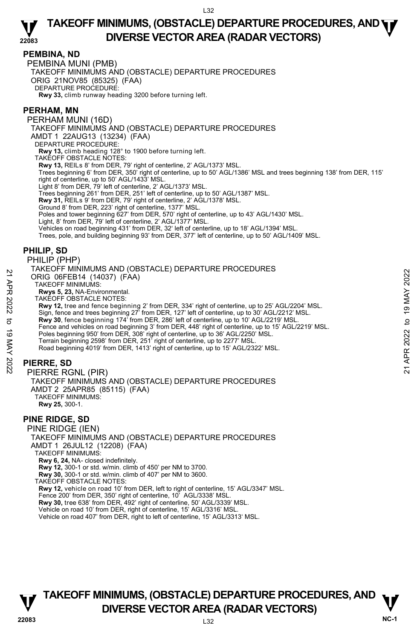## **PEMBINA, ND**

PEMBINA MUNI (PMB)

TAKEOFF MINIMUMS AND (OBSTACLE) DEPARTURE PROCEDURES

ORIG 21NOV85 (85325) (FAA)

DEPARTURE PROCEDURE:

**Rwy 33,** climb runway heading 3200 before turning left.

## **PERHAM, MN**

PERHAM MUNI (16D) TAKEOFF MINIMUMS AND (OBSTACLE) DEPARTURE PROCEDURES AMDT 1 22AUG13 (13234) (FAA) DEPARTURE PROCEDURE **Rwy 13,** climb heading 128° to 1900 before turning left. TAKEOFF OBSTACLE NOTES: **Rwy 13,** REILs 8' from DER, 79' right of centerline, 2' AGL/1373' MSL. Trees beginning 6' from DER, 350' right of centerline, up to 50' AGL/1386' MSL and trees beginning 138' from DER, 115' right of centerline, up to 50' AGL/1433' MSL. Light 8' from DER, 79' left of centerline, 2' AGL/1373' MSL. Trees beginning 261' from DER, 251' left of centerline, up to 50' AGL/1387' MSL. **Rwy 31,** REILs 9' from DER, 79' right of centerline, 2' AGL/1378' MSL. Ground 8' from DER, 223' right of centerline, 1377' MSL. Poles and tower beginning 627' from DER, 570' right of centerline, up to 43' AGL/1430' MSL. Light, 8' from DER, 79' left of centerline, 2' AGL/1377' MSL. Vehicles on road beginning 431' from DER, 32' left of centerline, up to 18' AGL/1394' MSL. Trees, pole, and building beginning 93' from DER, 377' left of centerline, up to 50' AGL/1409' MSL. **PHILIP, SD**  PHILIP (PHP) TAKEOFF MINIMUMS AND (OBSTACLE) DEPARTURE PROCEDURES ORIG 06FEB14 (14037) (FAA) TAKEOFF MINIMUMS: **Rwys 5, 23,** NA-Environmental. TAKEOFF OBSTACLE NOTES: **Rwy 12,** tree and fence beginning 2' from DER, 334' right of centerline, up to 25' AGL/2204' MSL. Sign, fence and trees beginning 27' from DER, 127' left of centerline, up to 30' AGL/2212' MSL. **Rwy 30**, fence beginning 174' from DER, 286' left of centerline, up to 10' AGL/2219' MSL. Fence and vehicles on road beginning 3' from DER, 448' right of centerline, up to 15' AGL/2219' MSL. Poles beginning 950' from DER, 308' right of centerline, up to 36' AGL/2250' MSL. Terrain beginning 2598' from DER, 251' right of centerline, up to 2277' MSL. Road beginning 4019' from DER, 1413' right of centerline, up to 15' AGL/2322' MSL. **PIERRE, SD**  PIERRE RGNL (PIR) TAKEOFF MINIMUMS AND (OBSTACLE) DEPARTURE PROCEDURES AMDT 2 25APR85 (85115) (FAA) TAKEOFF MINIMUMS: **Rwy 25,** 300-1. **PINE RIDGE, SD**  PINE RIDGE (IEN) TAKEOFF MINIMUMS AND (OBSTACLE) DEPARTURE PROCEDURES AMDT 1 26JUL12 (12208) (FAA) TAKEOFF MINIMUMS: **Rwy 6, 24,** NA- closed indefinitely. **Rwy 12,** 300-1 or std. w/min. climb of 450' per NM to 3700. 22 A FINITE DISTRICT INTOXIST THE COLLOCATE COLLOCATES THE TRIS DRIG OF EB14 (14037) (FAA)<br>
TAKEOFF MINIMUMS:<br>
RWY 12, tree and fence beginning 2' from DER, 334' right of centerline, up to 25' AGL/2204' MSL.<br>
Sign, fence

**Rwy 30,** 300-1 or std. w/min. climb of 407' per NM to 3600.

TAKEOFF OBSTACLE NOTES:

**Rwy 12,** vehicle on road 10' from DER, left to right of centerline, 15' AGL/3347' MSL.

Fence 200' from DER, 350' right of centerline, 10' AGL/3338' MSL.

**Rwy 30,** tree 638' from DER, 492' right of centerline, 50' AGL/3339' MSL.<br>Vehicle on road 10' from DER, right of centerline, 15' AGL/3316' MSL.

Vehicle on road 407' from DER, right to left of centerline, 15' AGL/3313' MSL.

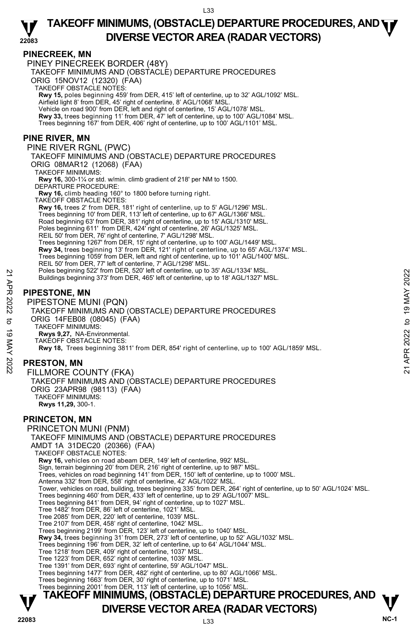## **PINECREEK, MN**

PINEY PINECREEK BORDER (48Y) TAKEOFF MINIMUMS AND (OBSTACLE) DEPARTURE PROCEDURES ORIG 15NOV12 (12320) (FAA) TAKEOFF OBSTACLE NOTES: **Rwy 15,** poles beginning 459' from DER, 415' left of centerline, up to 32' AGL/1092' MSL.<br>Airfield light 8' from DER, 45' right of centerline, 8' AGL/1068' MSL. Vehicle on road 900' from DER, left and right of centerline, 15' AGL/1078' MSL. Rwy 33, trees beginning 11' from DER, 47' left of centerline, up to 100' AGL/1084' MSL. Trees beginning 167' from DER, 406' right of centerline, up to 100' AGL/1101' MSL. **PINE RIVER, MN**  PINE RIVER RGNL (PWC) TAKEOFF MINIMUMS AND (OBSTACLE) DEPARTURE PROCEDURES ORIG 08MAR12 (12068) (FAA) TAKEOFF MINIMUMS: **Rwy 16,** 300-1¼ or std. w/min. climb gradient of 218' per NM to 1500. DEPARTURE PROCEDURE: **Rwy 16,** climb heading 160° to 1800 before turning right. TAKEOFF OBSTACLE NOTES: **Rwy 16,** trees 2' from DER, 181' right of centerline, up to 5' AGL/1296' MSL. Trees beginning 10' from DER, 113' left of centerline, up to 67' AGL/1366' MSL. Road beginning 63' from DER, 381' right of centerline, up to 15' AGL/1310' MSL. Poles beginning 611' from DER, 424' right of centerline, 26' AGL/1325' MSL. REIL 50' from DER, 76' right of centerline, 7' AGL/1298' MSL. Trees beginning 1267' from DER, 15' right of centerline, up to 100' AGL/1449' MSL.<br>**Rwy 34,** trees beginning 13' from DER, 121' right of centerline, up to 65' AGL/1374' MSL. Trees beginning 1059' from DER, left and right of centerline, up to 101' AGL/1400' MSL. REIL 50' from DER, 77' left of centerline, 7' AGL/1298' MSL. Poles beginning 522' from DER, 520' left of centerline, up to 35' AGL/1334' MSL. Buildings beginning 373' from DER, 465' left of centerline, up to 18' AGL/1327' MSL. **PIPESTONE, MN**  PIPESTONE MUNI (PQN) TAKEOFF MINIMUMS AND (OBSTACLE) DEPARTURE PROCEDURES ORIG 14FEB08 (08045) (FAA) TAKEOFF MINIMUMS: **Rwys 9,27,** NA-Environmental. TAKEOFF OBSTACLE NOTES: **Rwy 18,** Trees beginning 3811' from DER, 854' right of centerline, up to 100' AGL/1859' MSL. **PRESTON, MN**  FILLMORE COUNTY (FKA) TAKEOFF MINIMUMS AND (OBSTACLE) DEPARTURE PROCEDURES ORIG 23APR98 (98113) (FAA) TAKEOFF MINIMUMS: **Rwys 11,29,** 300-1. **PRINCETON, MN**  PRINCETON MUNI (PNM) TAKEOFF MINIMUMS AND (OBSTACLE) DEPARTURE PROCEDURES AMDT 1A 31DEC20 (20366) (FAA) TAKEOFF OBSTACLE NOTES: **Rwy 16,** vehicles on road abeam DER, 149' left of centerline, 992' MSL. Sign, terrain beginning 20' from DER, 216' right of centerline, up to 987' MSL. Trees, vehicles on road beginning 141' from DER, 150' left of centerline, up to 1000' MSL. Antenna 332' from DER, 558' right of centerline, 42' AGL/1022' MSL. Tower, vehicles on road, building, trees beginning 335' from DER, 264' right of centerline, up to 50' AGL/1024' MSL. Trees beginning 460' from DER, 433' left of centerline, up to 29' AGL/1007' MSL. Trees beginning 841' from DER, 94' right of centerline, up to 1027' MSL. Tree 1482' from DER, 86' left of centerline, 1021' MSL. Tree 2085' from DER, 220' left of centerline, 1039' MSL. Tree 2107' from DER, 458' right of centerline, 1042' MSL. Trees beginning 2199' from DER, 123' left of centerline, up to 1040' MSL. **Rwy 34,** trees beginning 31' from DER, 273' left of centerline, up to 52' AGL/1032' MSL. Trees beginning 196' from DER, 32' left of centerline, up to 64' AGL/1044' MSL. Tree 1218' from DER, 409' right of centerline, 1037' MSL. Tree 1223' from DER, 652' right of centerline, 1039' MSL. Tree 1391' from DER, 693' right of centerline, 59' AGL/1047' MSL. Trees beginning 1477' from DER, 482' right of centerline, up to 80' AGL/1066' MSL. Trees beginning 1663' from DER, 30' right of centerline, up to 1071' MSL. Trees beginning 2001' from DER, 113' left of centerline, up to 1056' MSL. Poles beginning 522 from DER, 520 left of centerline, up to 35' AGL/1334' MSL.<br>
PIPESTONE, MN<br>
PIPESTONE, MN<br>
PIPESTONE MUNI (PQN)<br>
TAKEOFF MINIMUMS AND (OBSTACLE) DEPARTURE PROCEDURES<br>
ORIG 14FEB08 (08045) (FAA)<br>
TAKEOFF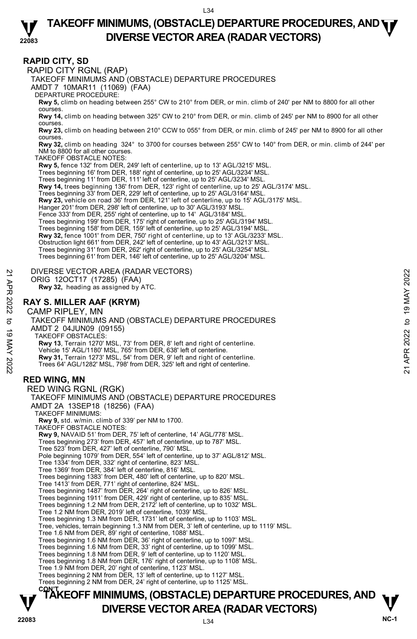## **22083 TAKEOFF MINIMUMS, (OBSTACLE) DEPARTURE PROCEDURES, AND <b>WE**<br>DIVERSE VECTOR AREA (BADAR VECTORS) **DIVERSE VECTOR AREA (RADAR VECTORS)**

## **RAPID CITY, SD**

RAPID CITY RGNL (RAP)

TAKEOFF MINIMUMS AND (OBSTACLE) DEPARTURE PROCEDURES

AMDT 7 10MAR11 (11069) (FAA)

DEPARTURE PROCEDURE:

**Rwy 5,** climb on heading between 255° CW to 210° from DER, or min. climb of 240' per NM to 8800 for all other courses.

**Rwy 14,** climb on heading between 325° CW to 210° from DER, or min. climb of 245' per NM to 8900 for all other courses.

**Rwy 23,** climb on heading between 210° CCW to 055° from DER, or min. climb of 245' per NM to 8900 for all other courses.

**Rwy 32,** climb on heading 324° to 3700 for courses between 255° CW to 140° from DER, or min. climb of 244' per NM to 8800 for all other courses.

TAKEOFF OBSTACLE NOTES:

**Rwy 5,** fence 132' from DER, 249' left of centerline, up to 13' AGL/3215' MSL.

Trees beginning 16' from DER, 188' right of centerline, up to 25' AGL/3234' MSL.

Trees beginning 11' from DER, 111' left of centerline, up to 25' AGL/3234' MSL.

**Rwy 14,** trees beginning 136' from DER, 123' right of centerline, up to 25' AGL/3174' MSL.

Trees beginning 33' from DER, 229' left of centerline, up to 25' AGL/3164' MSL.

**Rwy 23,** vehicle on road 36' from DER, 121' left of centerline, up to 15' AGL/3175' MSL.

Hanger 201' from DER, 298' left of centerline, up to 30' AGL/3193' MSL.

Fence 333' from DER, 255' right of centerline, up to 14' AGL/3184' MSL

Trees beginning 199' from DER, 175' right of centerline, up to 25' AGL/3194' MSL. Trees beginning 158' from DER, 159' left of centerline, up to 25' AGL/3194' MSL.

**Rwy 32,** fence 1001' from DER, 750' right of centerline, up to 13' AGL/3233' MSL.

Obstruction light 661' from DER, 242' left of centerline, up to 43' AGL/3213' MSL. Trees beginning 31' from DER, 262' right of centerline, up to 25' AGL/3254' MSL.

Trees beginning 61' from DER, 146' left of centerline, up to 25' AGL/3204' MSL.

DIVERSE VECTOR AREA (RADAR VECTORS)

ORIG 12OCT17 (17285) (FAA)  **Rwy 32,** heading as assigned by ATC.

## **RAY S. MILLER AAF (KRYM)**

CAMP RIPLEY, MN TAKEOFF MINIMUMS AND (OBSTACLE) DEPARTURE PROCEDURES AMDT 2 04JUN09 (09155) TAKEOFF OBSTACLES: **Rwy 13**, Terrain 1270' MSL, 73' from DER, 8' left and right of centerline. Vehicle 15' AGL/1180' MSL, 765' from DER, 638' left of centerline. **Rwy 31,** Terrain 1273' MSL, 54' from DER, 9' left and right of centerline. Trees 64' AGL/1282' MSL, 798' from DER, 325' left and right of centerline. 21 DIVERSE VECTOR AREA (RADAR VECTORS)<br>
ORIG 1202T17 (17285) (FAA)<br>
RW 32, heading as assigned by ATC.<br>
22 **RAY S. MILLER AAF (KRYM)**<br>
CAMP RIPLEY, MN<br>
CAMP RIPLEY, MN<br>
CAMP RIPLEY, MN<br>
TAKEOFF MINIMUMS AND (OBSTACLE) DEP

## **RED WING, MN**

RED WING RGNL (RGK) TAKEOFF MINIMUMS AND (OBSTACLE) DEPARTURE PROCEDURES AMDT 2A 13SEP18 (18256) (FAA) TAKEOFF MINIMUMS: **Rwy 9,** std. w/min. climb of 339' per NM to 1700. TAKEOFF OBSTACLE NOTES: **Rwy 9,** NAVAID 51' from DER, 75' left of centerline, 14' AGL/778' MSL. Trees beginning 273' from DER, 457' left of centerline, up to 787' MSL. Tree 523' from DER, 427' left of centerline, 790' MSL. Pole beginning 1079' from DER, 554' left of centerline, up to 37' AGL/812' MSL. Tree 1334' from DER, 332' right of centerline, 823' MSL. Tree 1369' from DER, 384' left of centerline, 816' MSL. Trees beginning 1383' from DER, 480' left of centerline, up to 820' MSL. Tree 1413' from DER, 771' right of centerline, 824' MSL. Trees beginning 1487' from DER, 264' right of centerline, up to 826' MSL. Trees beginning 1911' from DER, 429' right of centerline, up to 835' MSL. Trees beginning 1.2 NM from DER, 2172' left of centerline, up to 1032' MSL. Tree 1.2 NM from DER, 2019' left of centerline, 1039' MSL. Trees beginning 1.3 NM from DER, 1731' left of centerline, up to 1103' MSL. Tree, vehicles, terrain beginning 1.3 NM from DER, 3' left of centerline, up to 1119' MSL. Tree 1.6 NM from DER, 89' right of centerline, 1088' MSL. Trees beginning 1.6 NM from DER, 36' right of centerline, up to 1097' MSL. Trees beginning 1.6 NM from DER, 33' right of centerline, up to 1099' MSL. Trees beginning 1.8 NM from DER, 9' left of centerline, up to 1120' MSL. Trees beginning 1.8 NM from DER, 176' right of centerline, up to 1108' MSL. Tree 1.9 NM from DER, 20' right of centerline, 1123' MSL. Trees beginning 2 NM from DER, 13' left of centerline, up to 1127' MSL. Trees beginning 2 NM from DER, 24' right of centerline, up to 1125' MSL.

# **TAKEOFF MINIMUMS, (OBSTACLE) DEPARTURE PROCEDURES, AND <b>W**<br>DIVERSE VECTOR AREA (RADAR VECTORS) **DIVERSE VECTOR AREA (RADAR VECTORS)** V<br>NC-1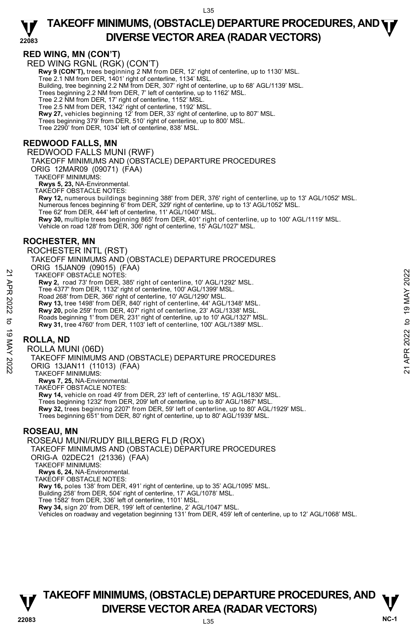## **RED WING, MN (CON'T)**

RED WING RGNL (RGK) (CON'T)  **Rwy 9 (CON'T),** trees beginning 2 NM from DER, 12' right of centerline, up to 1130' MSL. Tree 2.1 NM from DER, 1401' right of centerline, 1134' MSL. Building, tree beginning 2.2 NM from DER, 307' right of centerline, up to 68' AGL/1139' MSL. Trees beginning 2.2 NM from DER, 7' left of centerline, up to 1162' MSL. Tree 2.2 NM from DER, 17' right of centerline, 1152' MSL. Tree 2.5 NM from DER, 1342' right of centerline, 1192' MSL. **Rwy 27,** vehicles beginning 12' from DER, 33' right of centerline, up to 807' MSL. Trees beginning 379' from DER, 510' right of centerline, up to 800' MSL. Tree 2290' from DER, 1034' left of centerline, 838' MSL.

### **REDWOOD FALLS, MN**  REDWOOD FALLS MUNI (RWF)

TAKEOFF MINIMUMS AND (OBSTACLE) DEPARTURE PROCEDURES ORIG 12MAR09 (09071) (FAA) TAKEOFF MINIMUMS: **Rwys 5, 23,** NA-Environmental. TAKEOFF OBSTACLE NOTES: **Rwy 12,** numerous buildings beginning 388' from DER, 376' right of centerline, up to 13' AGL/1052' MSL. Numerous fences beginning 6' from DER, 329' right of centerline, up to 13' AGL/1052' MSL. Tree 62' from DER, 444' left of centerline, 11' AGL/1040' MSL. **Rwy 30,** multiple trees beginning 865' from DER, 401' right of centerline, up to 100' AGL/1119' MSL.<br>Vehicle on road 128' from DER, 306' right of centerline, 15' AGL/1027' MSL.

## **ROCHESTER, MN**

ROCHESTER INTL (RST) TAKEOFF MINIMUMS AND (OBSTACLE) DEPARTURE PROCEDURES ORIG 15JAN09 (09015) (FAA) TAKEOFF OBSTACLE NOTES: **Rwy 2,** road 73' from DER, 385' right of centerline, 10' AGL/1292' MSL. Tree 4377' from DER, 1132' right of centerline, 100' AGL/1399' MSL. Road 268' from DER, 366' right of centerline, 10' AGL/1290' MSL. **Rwy 13,** tree 1498' from DER, 840' right of centerline, 44' AGL/1348' MSL. **Rwy 20,** pole 259' from DER, 407' right of centerline, 23' AGL/1338' MSL. Roads beginning 1' from DER, 231' right of centerline, up to 10' AGL/1327' MSL. **Rwy 31,** tree 4760' from DER, 1103' left of centerline, 100' AGL/1389' MSL. TAKE OFF OBSTACLE NOTES:<br>
THE AVE 2, road 73' from DER, 385' right of centerline, 10' AGL/1292' MSL.<br>
Tree 4377' from DER, 1132' right of centerline, 10' AGL/1290' MSL.<br>
Road 268' from DER, 366' right of centerline, 10' AG

## **ROLLA, ND**

ROLLA MUNI (06D) TAKEOFF MINIMUMS AND (OBSTACLE) DEPARTURE PROCEDURES ORIG 13JAN11 (11013) (FAA) TAKEOFF MINIMUMS: **Rwys 7, 25,** NA-Environmental. TAKEOFF OBSTACLE NOTES: **Rwy 14,** vehicle on road 49' from DER, 23' left of centerline, 15' AGL/1830' MSL. Trees beginning 1232' from DER, 209' left of centerline, up to 80' AGL/1867' MSL. **Rwy 32,** trees beginning 2207' from DER, 59' left of centerline, up to 80' AGL/1929' MSL.<br>Trees beginning 651' from DER, 80' right of centerline, up to 80' AGL/1939' MSL.

## **ROSEAU, MN**

ROSEAU MUNI/RUDY BILLBERG FLD (ROX) TAKEOFF MINIMUMS AND (OBSTACLE) DEPARTURE PROCEDURES ORIG-A 02DEC21 (21336) (FAA) TAKEOFF MINIMUMS: **Rwys 6, 24,** NA-Environmental. TAKEOFF OBSTACLE NOTES: **Rwy 16,** poles 138' from DER, 491' right of centerline, up to 35' AGL/1095' MSL. Building 258' from DER, 504' right of centerline, 17' AGL/1078' MSL. Tree 1582' from DER, 336' left of centerline, 1101' MSL. **Rwy 34,** sign 20' from DER, 199' left of centerline, 2' AGL/1047' MSL.<br>Vehicles on roadway and vegetation beginning 131' from DER, 459' left of centerline, up to 12' AGL/1068' MSL.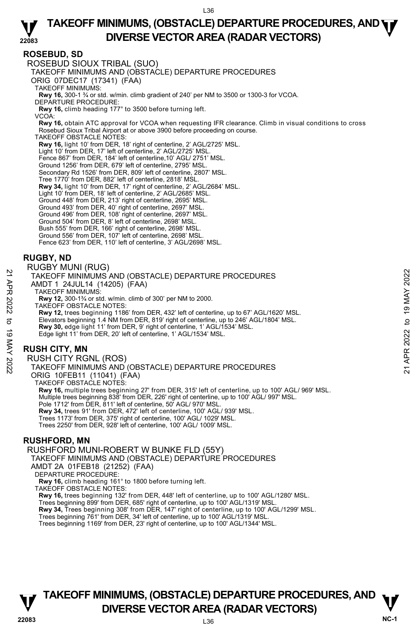## **ROSEBUD, SD**

ROSEBUD SIOUX TRIBAL (SUO) TAKEOFF MINIMUMS AND (OBSTACLE) DEPARTURE PROCEDURES ORIG 07DEC17 (17341) (FAA) TAKEOFF MINIMUMS: **Rwy 16,** 300-1 ¾ or std. w/min. climb gradient of 240' per NM to 3500 or 1300-3 for VCOA. DEPARTURE PROCEDURE: **Rwy 16,** climb heading 177° to 3500 before turning left. VCOA: **Rwy 16,** obtain ATC approval for VCOA when requesting IFR clearance. Climb in visual conditions to cross Rosebud Sioux Tribal Airport at or above 3900 before proceeding on course. TAKEOFF OBSTACLE NOTES: **Rwy 16,** light 10' from DER, 18' right of centerline, 2' AGL/2725' MSL.<br>Light 10' from DER, 17' left of centerline, 2' AGL/2725' MSL. Fence 867' from DER, 184' left of centerline,10' AGL/ 2751' MSL. Ground 1256' from DER, 679' left of centerline, 2795' MSL. Secondary Rd 1526' from DER, 809' left of centerline, 2807' MSL. Tree 1770' from DER, 882' left of centerline, 2818' MSL. **Rwy 34,** light 10' from DER, 17' right of centerline, 2' AGL/2684' MSL. Light 10' from DER, 18' left of centerline, 2' AGL/2685' MSL. Ground 448' from DER, 213' right of centerline, 2695' MSL. Ground 493' from DER, 40' right of centerline, 2697' MSL. Ground 496' from DER, 108' right of centerline, 2697' MSL. Ground 504' from DER, 8' left of centerline, 2698' MSL. Bush 555' from DER, 166' right of centerline, 2698' MSL. Ground 556' from DER, 107' left of centerline, 2698' MSL. Fence 623' from DER, 110' left of centerline, 3' AGL/2698' MSL.

## **RUGBY, ND**

RUGBY MUNI (RUG)

TAKEOFF MINIMUMS AND (OBSTACLE) DEPARTURE PROCEDURES

- AMDT 1 24JUL14 (14205) (FAA)
- TAKEOFF MINIMUMS:

**Rwy 12,** 300-1¾ or std. w/min. climb of 300' per NM to 2000.

TAKEOFF OBSTACLE NOTES: **Rwy 12,** trees beginning 1186' from DER, 432' left of centerline, up to 67' AGL/1620' MSL.<br>Elevators beginning 1.4 NM from DER, 819' right of centerline, up to 246' AGL/1804' MSL. **Rwy 30,** edge light 11' from DER, 9' right of centerline, 1' AGL/1534' MSL. Edge light 11' from DER, 20' left of centerline, 1' AGL/1534' MSL. 21 TAKEOFF MINIMUMS AND (OBSTACLE) DEPARTURE PROCEDURES<br>
22 TAKEOFF MINIMUMS AND (OBSTACLE) DEPARTURE PROCEDURES<br>
22 TAKEOFF MINIMUMS AND (CONSTACT)<br>
22 TAKEOFF OBSTACLE NOTES:<br>
22 TAKEOFF OBSTACLE NOTES:<br>
22 TAKEOFF OBSTA

## **RUSH CITY, MN**

RUSH CITY RGNL (ROS) TAKEOFF MINIMUMS AND (OBSTACLE) DEPARTURE PROCEDURES ORIG 10FEB11 (11041) (FAA) TAKEOFF OBSTACLE NOTES: **Rwy 16,** multiple trees beginning 27' from DER, 315' left of centerline, up to 100' AGL/ 969' MSL. Multiple trees beginning 838' from DER, 226' right of centerline, up to 100' AGL/ 997' MSL. Pole 1712' from DER, 811' left of centerline, 50<sup>'</sup> AGL/ 970' MSL **Rwy 34,** trees 91' from DER, 472' left of centerline, 100' AGL/ 939' MSL. Trees 1173' from DER, 375' right of centerline, 100' AGL/ 1029' MSL. Trees 2250' from DER, 928' left of centerline, 100' AGL/ 1009' MSL.

## **RUSHFORD, MN**

RUSHFORD MUNI-ROBERT W BUNKE FLD (55Y)

TAKEOFF MINIMUMS AND (OBSTACLE) DEPARTURE PROCEDURES AMDT 2A 01FEB18 (21252) (FAA)

DEPARTURE PROCEDURE:

**Rwy 16,** climb heading 161° to 1800 before turning left. TAKEOFF OBSTACLE NOTES:

**Rwy 16,** trees beginning 132' from DER, 448' left of centerline, up to 100' AGL/1280' MSL.

Trees beginning 899' from DER, 685' right of centerline, up to 100' AGL/1319' MSL.<br>**Rwy 34,** Trees beginning 308' from DER, 147' right of centerline, up to 100' AGL/1299' MSL.

Trees beginning 761' from DER, 34' left of centerline, up to 100' AGL/1319' MSL.

Trees beginning 1169' from DER, 23' right of centerline, up to 100' AGL/1344' MSL.

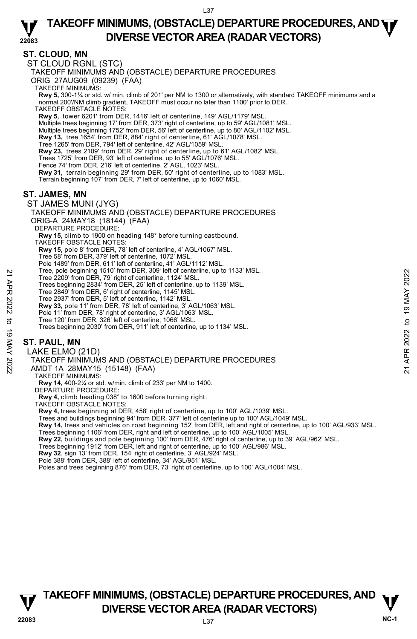## **ST. CLOUD, MN**

ST CLOUD RGNL (STC) TAKEOFF MINIMUMS AND (OBSTACLE) DEPARTURE PROCEDURES ORIG 27AUG09 (09239) (FAA) TAKEOFF MINIMUMS: **Rwy 5,** 300-1¼ or std. w/ min. climb of 201' per NM to 1300 or alternatively, with standard TAKEOFF minimums and a normal 200'/NM climb gradient, TAKEOFF must occur no later than 1100' prior to DER. TAKEOFF OBSTACLE NOTES: **Rwy 5,** tower 6201' from DER, 1416' left of centerline, 149' AGL/1179' MSL. Multiple trees beginning 17' from DER, 373' right of centerline, up to 59' AGL/1081' MSL. Multiple trees beginning 1752' from DER, 56' left of centerline, up to 80' AGL/1102' MSL.  **Rwy 13,** tree 1654' from DER, 884' right of centerline, 61' AGL/1078' MSL. Tree 1265' from DER, 794' left of centerline, 42' AGL/1059' MSL. **Rwy 23,** trees 2109' from DER, 29' right of centerline, up to 61' AGL/1082' MSL. Trees 1725' from DER, 93' left of centerline, up to 55' AGL/1076' MSL. Fence 74' from DER, 216' left of centerline, 2' AGL, 1023' MSL.<br>**Rwy 31**, terrain beginning 29' from DER, 50' right of centerline, up to 1083' MSL. Terrain beginning 107' from DER, 7' left of centerline, up to 1060' MSL. **ST. JAMES, MN**  ST JAMES MUNI (JYG) TAKEOFF MINIMUMS AND (OBSTACLE) DEPARTURE PROCEDURES ORIG-A 24MAY18 (18144) (FAA) DEPARTURE PROCEDURE: **Rwy 15,** climb to 1900 on heading 148° before turning eastbound. TAKEOFF OBSTACLE NOTES: **Rwy 15,** pole 8' from DER, 78' left of centerline, 4' AGL/1067' MSL. Tree 58' from DER, 379' left of centerline, 1072' MSL. Pole 1489' from DER, 611' left of centerline, 41' AGL/1112' MSL. Tree, pole beginning 1510' from DER, 309' left of centerline, up to 1133' MSL. Tree 2209' from DER, 79' right of centerline, 1124' MSL. Trees beginning 2834' from DER, 25' left of centerline, up to 1139' MSL. Tree 2849' from DER, 6' right of centerline, 1145' MSL. Tree 2937' from DER, 5' left of centerline, 1142' MSL. **Rwy 33,** pole 11' from DER, 78' left of centerline, 3' AGL/1063' MSL. Pole 11' from DER, 78' right of centerline, 3' AGL/1063' MSL. Tree 120' from DER, 326' left of centerline, 1066' MSL. Trees beginning 2030' from DER, 911' left of centerline, up to 1134' MSL. **ST. PAUL, MN**  Tree 2009 from DER, 79' right of center and MSL.<br>
Tree 2209' from DER, 79' right of centerline, 1124' MSL.<br>
Tree 2849' from DER, 6' right of centerline, 1142' MSL.<br>
Tree 2849' from DER, 6' right of centerline, 1142' MSL.<br>

## TAKEOFF MINIMUMS AND (OBSTACLE) DEPARTURE PROCEDURES

AMDT 1A 28MAY15 (15148) (FAA)

TAKEOFF MINIMUMS:

**Rwy 14,** 400-2¼ or std. w/min. climb of 233' per NM to 1400.

DEPARTURE PROCEDURE:

**Rwy 4,** climb heading 038° to 1600 before turning right.

TAKEOFF OBSTACLE NOTES:

**Rwy 4,** trees beginning at DER, 458' right of centerline, up to 100' AGL/1039' MSL.

Trees and buildings beginning 94' from DER, 377' left of centerline up to 100' AGL/1049' MSL.

**Rwy 14,** trees and vehicles on road beginning 152' from DER, left and right of centerline, up to 100' AGL/933' MSL.

Trees beginning 1106' from DER, right and left of centerline, up to 100' AGL/1005' MSL.

**Rwy 22,** buildings and pole beginning 100' from DER, 476' right of centerline, up to 39' AGL/962' MSL.

Trees beginning 1912' from DER, left and right of centerline, up to 100' AGL/986' MSL.

**Rwy 32**, sign 13' from DER, 154' right of centerline, 3' AGL/924' MSL.

Pole 388' from DER, 388' left of centerline, 34' AGL/951' MSL.

Poles and trees beginning 876' from DER, 73' right of centerline, up to 100' AGL/1004' MSL.

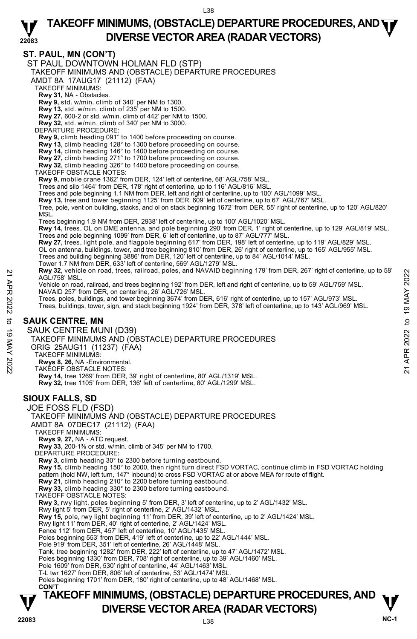## **ST. PAUL, MN (CON'T)**

**TAKEOFF MINIMUMS, (OBSTACLE) DEPARTURE PROCEDURES, AND**  $\mathbf{\nabla}$ ST PAUL DOWNTOWN HOLMAN FLD (STP) TAKEOFF MINIMUMS AND (OBSTACLE) DEPARTURE PROCEDURES AMDT 8A 17AUG17 (21112) (FAA) TAKEOFF MINIMUMS: **Rwy 31,** NA - Obstacles. **Rwy 9,** std. w/min. climb of 340' per NM to 1300. **Rwy 13,** std. w/min. climb of 235' per NM to 1500. **Rwy 27,** 600-2 or std. w/min. climb of 442' per NM to 1500. **Rwy 32,** std. w/min. climb of 340' per NM to 3000. DEPARTURE PROCEDURE: **Rwy 9,** climb heading 091° to 1400 before proceeding on course. **Rwy 13,** climb heading 128° to 1300 before proceeding on course. **Rwy 14,** climb heading 146° to 1400 before proceeding on course. **Rwy 27,** climb heading 271° to 1700 before proceeding on course. **Rwy 32,** climb heading 326° to 1400 before proceeding on course. TAKEOFF OBSTACLE NOTES: **Rwy 9,** mobile crane 1362' from DER, 124' left of centerline, 68' AGL/758' MSL. Trees and silo 1464' from DER, 178' right of centerline, up to 116' AGL/816' MSL. Trees and pole beginning 1.1 NM from DER, left and right of centerline, up to 100' AGL/1099' MSL.<br>**Rwy 13,** tree and tower beginning 1125' from DER, 609' left of centerline, up to 67' AGL/767' MSL. Tree, pole, vent on building, stacks, and ol on stack beginning 1672' from DER, 55' right of centerline, up to 120' AGL/820' MSL. Trees beginning 1.9 NM from DER, 2938' left of centerline, up to 100' AGL/1020' MSL. **Rwy 14,** trees, OL on DME antenna, and pole beginning 290' from DER, 1' right of centerline, up to 129' AGL/819' MSL. Trees and pole beginning 1099' from DER, 6' left of centerline, up to 87' AGL/777' MSL. **Rwy 27,** trees, light pole, and flagpole beginning 617' from DER, 198' left of centerline, up to 119' AGL/829' MSL.<br>OL on antenna, buildings, tower, and tree beginning 810' from DER, 26' right of centerline, up to 165' AG Trees and building beginning 3886' from DER, 120' left of centerline, up to 84' AGL/1014' MSL. Tower 1.7 NM from DER, 633' left of centerline, 569' AGL/1279' MSL.  **Rwy 32,** vehicle on road, trees, railroad, poles, and NAVAID beginning 179' from DER, 267' right of centerline, up to 58' AGL/758' MSL. Vehicle on road, railroad, and trees beginning 192' from DER, left and right of centerline, up to 59' AGL/759' MSL.<br>NAVAID 257' from DER, on centerline, 26' AGL/726' MSL. Trees, poles, buildings, and tower beginning 3674' from DER, 616' right of centerline, up to 157' AGL/973' MSL. Trees, buildings, tower, sign, and stack beginning 1924' from DER, 378' left of centerline, up to 143' AGL/969' MSL. **SAUK CENTRE, MN**  SAUK CENTRE MUNI (D39) TAKEOFF MINIMUMS AND (OBSTACLE) DEPARTURE PROCEDURES ORIG 25AUG11 (11237) (FAA) TAKEOFF MINIMUMS: **Rwys 8, 26,** NA -Environmental. TAKEOFF OBSTACLE NOTES: **Rwy 14,** tree 1269' from DER, 39' right of centerline, 80' AGL/1319' MSL. **Rwy 32,** tree 1105' from DER, 136' left of centerline, 80' AGL/1299' MSL. **SIOUX FALLS, SD**  JOE FOSS FLD (FSD) TAKEOFF MINIMUMS AND (OBSTACLE) DEPARTURE PROCEDURES AMDT 8A 07DEC17 (21112) (FAA) TAKEOFF MINIMUMS: **Rwys 9, 27,** NA - ATC request. **Rwy 33,** 200-1⅜ or std. w/min. climb of 345' per NM to 1700. DEPARTURE PROCEDURE: **Rwy 3,** climb heading 30° to 2300 before turning eastbound. **Rwy 15,** climb heading 150° to 2000, then right turn direct FSD VORTAC, continue climb in FSD VORTAC holding pattern (hold NW, left turn, 147° inbound) to cross FSD VORTAC at or above MEA for route of flight. **Rwy 21,** climb heading 210° to 2200 before turning eastbound. **Rwy 33,** climb heading 330° to 2300 before turning eastbound. TAKEOFF OBSTACLE NOTES: **Rwy 3,** rwy light, poles beginning 5' from DER, 3' left of centerline, up to 2' AGL/1432' MSL.<br>Rwy light 5' from DER, 5' right of centerline, 2' AGL/1432' MSL. **Rwy 15,** pole, rwy light beginning 11' from DER, 39' left of centerline, up to 2' AGL/1424' MSL. Rwy light 11' from DER, 40' right of centerline, 2' AGL/1424' MSL. Fence 112' from DER, 457' left of centerline, 10' AGL/1435' MSL. Poles beginning 553' from DER, 419' left of centerline, up to 22' AGL/1444' MSL. Pole 919' from DER, 351' left of centerline, 26' AGL/1448' MSL. Tank, tree beginning 1282' from DER, 222' left of centerline, up to 47' AGL/1472' MSL. Poles beginning 1330' from DER, 708' right of centerline, up to 39' AGL/1460' MSL. Pole 1609' from DER, 530' right of centerline, 44' AGL/1463' MSL. T-L twr 1627' from DER, 806' left of centerline, 53' AGL/1474' MSL. Poles beginning 1701' from DER, 180' right of centerline, up to 48' AGL/1468' MSL.  **CON'T** New 32, venice on road, trees, railroad, poies, and NAVAID beginning 1/9 from DER, 267 right of centerline, up to 58<br>
Vehicle on road, railroad, and trees beginning 192 from DER, left and right of centerline, up to 59' AG

# **22083** L38 **DIVERSE VECTOR AREA (RADAR VECTORS)** V<br>NC-1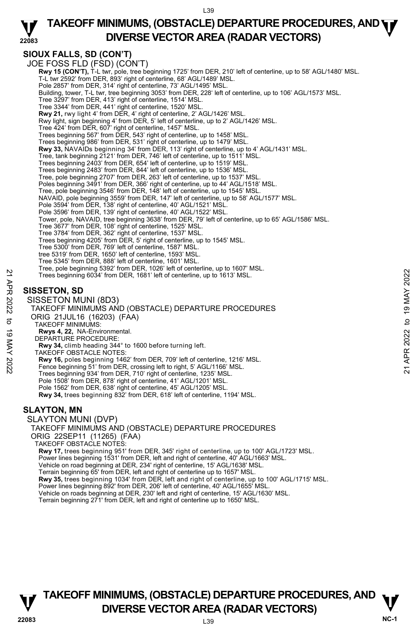### **22083 TAKEOFF MINIMUMS, (OBSTACLE) DEPARTURE PROCEDURES, AND <b>WE**<br>DIVERSE VECTOR AREA (BADAR VECTORS) **DIVERSE VECTOR AREA (RADAR VECTORS)**

## **SIOUX FALLS, SD (CON'T)**

JOE FOSS FLD (FSD) (CON'T) **Rwy 15 (CON'T),** T-L twr, pole, tree beginning 1725' from DER, 210' left of centerline, up to 58' AGL/1480' MSL.<br>T-L twr 2592' from DER, 893' right of centerline, 68' AGL/1489' MSL. Pole 2857' from DER, 314' right of centerline, 73' AGL/1495' MSL. Building, tower, T-L twr, tree beginning 3053' from DER, 228' left of centerline, up to 106' AGL/1573' MSL. Tree 3297' from DER, 413' right of centerline, 1514' MSL. Tree 3344' from DER, 441' right of centerline, 1520' MSL. **Rwy 21,** rwy light 4' from DER, 4' right of centerline, 2' AGL/1426' MSL. Rwy light, sign beginning 4' from DER, 5' left of centerline, up to 2' AGL/1426' MSL. Tree 424' from DER, 607' right of centerline, 1457' MSL. Trees beginning 567' from DER, 543' right of centerline, up to 1458' MSL. Trees beginning 986' from DER, 531' right of centerline, up to 1479' MSL.<br>**Rwy 33,** NAVAIDs beginning 34' from DER, 113' right of centerline, up to 4' AGL/1431' MSL. Tree, tank beginning 2121' from DER, 746' left of centerline, up to 1511' MSL. Trees beginning 2403' from DER, 654' left of centerline, up to 1519' MSL. Trees beginning 2483' from DER, 844' left of centerline, up to 1536' MSL. Tree, pole beginning 2707' from DER, 263' left of centerline, up to 1537' MSL. Poles beginning 3491' from DER, 366' right of centerline, up to 44' AGL/1518' MSL. Tree, pole beginning 3546' from DER, 148' left of centerline, up to 1545' MSL. NAVAID, pole beginning 3559' from DER, 147' left of centerline, up to 58' AGL/1577' MSL. Pole 3594' from DER, 138' right of centerline, 40' AGL/1521' MSL. Pole 3596' from DER, 139' right of centerline, 40' AGL/1522' MSL. Tower, pole, NAVAID, tree beginning 3638' from DER, 79' left of centerline, up to 65' AGL/1586' MSL. Tree 3677' from DER, 108' right of centerline, 1525' MSL. Tree 3784' from DER, 362' right of centerline, 1537' MSL. Trees beginning 4205' from DER, 5' right of centerline, up to 1545' MSL. Tree 5300' from DER, 769' left of centerline, 1587' MSL. tree 5319' from DER, 1650' left of centerline, 1593' MSL. Tree 5345' from DER, 888' left of centerline, 1601' MSL. Tree, pole beginning 5392' from DER, 1026' left of centerline, up to 1607' MSL. Trees beginning 6034' from DER, 1681' left of centerline, up to 1613' MSL. **SISSETON, SD**  SISSETON MUNI (8D3) TAKEOFF MINIMUMS AND (OBSTACLE) DEPARTURE PROCEDURES ORIG 21JUL16 (16203) (FAA) Trees beginning 6034' from DER, 1881' left of centerline, up to 1613' MSL.<br>
21 Trees beginning 6034' from DER, 1881' left of centerline, up to 1613' MSL.<br>
21 SISSETON, SD<br>
21 SISSETON MUNI (8D3)<br>
22 NAKEOFF MINIMUMS AND (O

- TAKEOFF MINIMUMS:
- **Rwys 4, 22,** NA-Environmental.
- DEPARTURE PROCEDURE:
- **Rwy 34,** climb heading 344° to 1600 before turning left.
- TAKEOFF OBSTACLE NOTES:
- **Rwy 16,** poles beginning 1462' from DER, 709' left of centerline, 1216' MSL. Fence beginning 51' from DER, crossing left to right, 5' AGL/1166' MSL.
- 
- Trees beginning 934' from DER, 710' right of centerline, 1235' MSL.
- Pole 1508' from DER, 878' right of centerline, 41' AGL/1201' MSL.
- Pole 1562' from DER, 638' right of centerline, 45' AGL/1205' MSL. **Rwy 34,** trees beginning 832' from DER, 618' left of centerline, 1194' MSL.

## **SLAYTON, MN**

SLAYTON MUNI (DVP)

TAKEOFF MINIMUMS AND (OBSTACLE) DEPARTURE PROCEDURES ORIG 22SEP11 (11265) (FAA)

TAKEOFF OBSTACLE NOTES:

**Rwy 17,** trees beginning 951' from DER, 345' right of centerline, up to 100' AGL/1723' MSL.

Power lines beginning 1531' from DER, left and right of centerline, 40' AGL/1663' MSL.

Vehicle on road beginning at DER, 234' right of centerline, 15' AGL/1638' MSL.

Terrain beginning 65' from DER, left and right of centerline up to 1657' MSL.

**Rwy 35,** trees beginning 1034' from DER, left and right of centerline, up to 100' AGL/1715' MSL.<br>Power lines beginning 892' from DER, 206' left of centerline, 40' AGL/1655' MSL.

Vehicle on roads beginning at DER, 230' left and right of centerline, 15' AGL/1630' MSL.

Terrain beginning 271' from DER, left and right of centerline up to 1650' MSL.

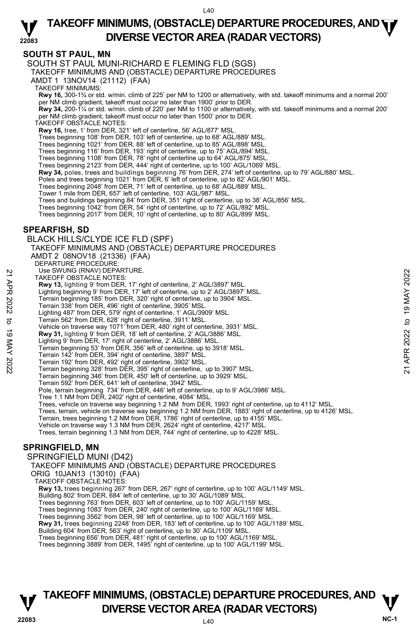### **22083 TAKEOFF MINIMUMS, (OBSTACLE) DEPARTURE PROCEDURES, AND <b>WE**<br>DIVERSE VECTOR AREA (BADAR VECTORS) **DIVERSE VECTOR AREA (RADAR VECTORS)**

## **SOUTH ST PAUL, MN**

SOUTH ST PAUL MUNI-RICHARD E FLEMING FLD (SGS)

TAKEOFF MINIMUMS AND (OBSTACLE) DEPARTURE PROCEDURES

AMDT 1 13NOV14 (21112) (FAA)

TAKEOFF MINIMUMS:

**Rwy 16,** 300-1¾ or std. w/min. climb of 225' per NM to 1200 or alternatively, with std. takeoff minimums and a normal 200' per NM climb gradient, takeoff must occur no later than 1900' prior to DER.

**Rwy 34,** 200-1¼ or std. w/min. climb of 220' per NM to 1100 or alternatively, with std. takeoff minimums and a normal 200' per NM climb gradient, takeoff must occur no later than 1500' prior to DER.

TAKEOFF OBSTACLE NOTES:

**Rwy 16,** tree, 1' from DER, 321' left of centerline, 56' AGL/877' MSL.

Trees beginning 108' from DER, 103' left of centerline, up to 68' AGL/889' MSL.

Trees beginning 1021' from DER, 88' left of centerline, up to 85' AGL/898' MSL.

Trees beginning 116' from DER, 193' right of centerline, up to 75' AGL/894' MSL.

Trees beginning 1108' from DER, 78' right of centerline up to 64' AGL/875' MSL.

Trees beginning 2123' from DER, 444' right of centerline, up to 100' AGL/1069' MSL.

**Rwy 34,** poles, trees and buildings beginning 76' from DER, 274' left of centerline, up to 79' AGL/880' MSL.

Poles and trees beginning 1021' from DER, 6' left of centerline, up to 82' AGL/901' MSL.

Trees beginning 2048' from DER, 71' left of centerline, up to 68' AGL/889' MSL.

Tower 1 mile from DER, 657' left of centerline, 103' AGL/987' MSL.

Trees and buildings beginning 84' from DER, 351' right of centerline, up to 38' AGL/856' MSL.

Trees beginning 1042' from DER, 54' right of centerline, up to 72' AGL/892' MSL.

Trees beginning 2017' from DER, 10' right of centerline, up to 80' AGL/899' MSL.

### **SPEARFISH, SD**

BLACK HILLS/CLYDE ICE FLD (SPF) TAKEOFF MINIMUMS AND (OBSTACLE) DEPARTURE PROCEDURES AMDT 2 08NOV18 (21336) (FAA) DEPARTURE PROCEDURE Use SWUNG (RNAV) DEPARTURE. TAKEOFF OBSTACLE NOTES: **Rwy 13,** lighting 9' from DER, 17' right of centerline, 2' AGL/3897' MSL. Lighting beginning 9' from DER, 17' left of centerline, up to 2' AGL/3897' MSL. Terrain beginning 185' from DER, 320' right of centerline, up to 3904' MSL. Terrain 338' from DER, 496' right of centerline, 3905' MSL. Lighting 487' from DER, 579' right of centerline, 1' AGL/3909' MSL. Terrain 562' from DER, 628' right of centerline, 3911' MSL. Vehicle on traverse way 1071' from DER, 480' right of centerline, 3931' MSL. **Rwy 31,** lighting 9' from DER, 18' left of centerline, 2' AGL/3886' MSL. Lighting 9' from DER, 17' right of centerline, 2' AGL/3886' MSL. Terrain beginning 53' from DER, 356' left of centerline, up to 3918' MSL. Terrain 142' from DER, 394' right of centerline, 3897' MSL. Terrain 192' from DER, 492' right of centerline, 3902' MSL. Terrain beginning 328' from DER, 395' right of centerline, up to 3907' MSL. Terrain beginning 346' from DER, 450' left of centerline, up to 3929' MSL. Terrain 592' from DER, 641' left of centerline, 3942' MSL. Pole, terrain beginning 734' from DER, 446' left of centerline, up to 9' AGL/3986' MSL. Tree 1.1 NM from DER, 2402' right of centerline, 4084' MSL. Trees, vehicle on traverse way beginning 1.2 NM from DER, 1993' right of centerline, up to 4112' MSL. Trees, terrain, vehicle on traverse way beginning 1.2 NM from DER, 1883' right of centerline, up to 4126' MSL.<br>Terrain, trees beginning 1.2 NM from DER, 1786' right of centerline, up to 4155' MSL. Vehicle on traverse way 1.3 NM from DER, 2624' right of centerline, 4217' MSL. Trees, terrain beginning 1.3 NM from DER, 744' right of centerline, up to 4228' MSL. **SPRINGFIELD, MN**  SPRINGFIELD MUNI (D42) TAKEOFF MINIMUMS AND (OBSTACLE) DEPARTURE PROCEDURES ORIG 10JAN13 (13010) (FAA) TAKEOFF OBSTACLE NOTES: **Rwy 13,** trees beginning 267' from DER, 267' right of centerline, up to 100' AGL/1149' MSL. Building 802' from DER, 684' left of centerline, up to 30' AGL/1089' MSL. Trees beginning 763' from DER, 603' left of centerline, up to 100' AGL/1159' MSL. 22 SWUNG (KNAV) DEPARTURE.<br>
22 AMAY 13, lighting 9' from DER, 17' right of centerline, 2' AGL/3897' MSL.<br>
22 Lighting 9ejinning 9' from DER, 17' right of centerline, up to 3904' MSL.<br>
22 Terrain beginning 18 5' from DER,

Trees beginning 1083' from DER, 240' right of centerline, up to 100' AGL/1169' MSL.

Trees beginning 3562' from DER, 98' left of centerline, up to 100' AGL/1169' MSL.

**Rwy 31,** trees beginning 2248' from DER, 183' left of centerline, up to 100' AGL/1189' MSL.

Building 604' from DER, 563' right of centerline, up to 30' AGL/1109' MSL. Trees beginning 656' from DER, 481' right of centerline, up to 100' AGL/1169' MSL.

Trees beginning 3889' from DER, 1495' right of centerline, up to 100' AGL/1199' MSL.

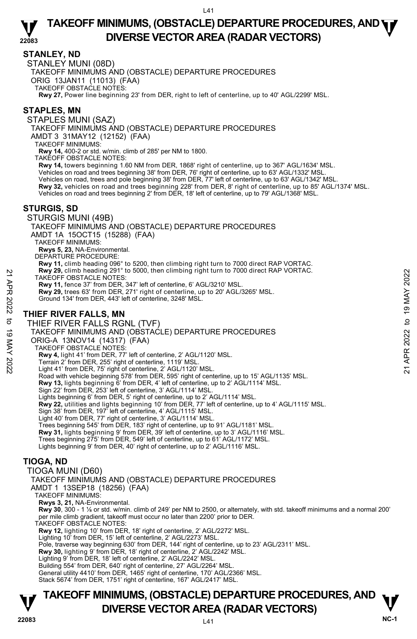## **STANLEY, ND**

STANLEY MUNI (08D)

TAKEOFF MINIMUMS AND (OBSTACLE) DEPARTURE PROCEDURES

ORIG 13JAN11 (11013) (FAA) TAKEOFF OBSTACLE NOTES:

**Rwy 27,** Power line beginning 23' from DER, right to left of centerline, up to 40' AGL/2299' MSL.

## **STAPLES, MN**

STAPLES MUNI (SAZ) TAKEOFF MINIMUMS AND (OBSTACLE) DEPARTURE PROCEDURES

AMDT 3 31MAY12 (12152) (FAA)

TAKEOFF MINIMUMS:

**Rwy 14,** 400-2 or std. w/min. climb of 285' per NM to 1800.

TAKEOFF OBSTACLE NOTES:

**Rwy 14,** towers beginning 1.60 NM from DER, 1868' right of centerline, up to 367' AGL/1634' MSL.

Vehicles on road and trees beginning 38' from DER, 76' right of centerline, up to 63' AGL/1332' MSL.

Vehicles on road, trees and pole beginning 38' from DER, 77' left of centerline, up to 63' AGL/1342' MSL.

**Rwy 32,** vehicles on road and trees beginning 228' from DER, 8' right of centerline, up to 85' AGL/1374' MSL.

Vehicles on road and trees beginning 2' from DER, 18' left of centerline, up to 79' AGL/1368' MSL.

## **STURGIS, SD**

STURGIS MUNI (49B)

TAKEOFF MINIMUMS AND (OBSTACLE) DEPARTURE PROCEDURES

AMDT 1A 15OCT15 (15288) (FAA)

TAKEOFF MINIMUMS:

**Rwys 5, 23,** NA-Environmental.

DEPARTURE PROCEDURE:

**Rwy 11,** climb heading 096° to 5200, then climbing right turn to 7000 direct RAP VORTAC. **Rwy 29,** climb heading 291° to 5000, then climbing right turn to 7000 direct RAP VORTAC.

TAKEOFF OBSTACLE NOTES:

**Rwy 11,** fence 37' from DER, 347' left of centerline, 6' AGL/3210' MSL. **Rwy 29,** trees 63' from DER, 271' right of centerline, up to 20' AGL/3265' MSL.

Ground 134' from DER, 443' left of centerline, 3248' MSL.

## **THIEF RIVER FALLS, MN**

THIEF RIVER FALLS RGNL (TVF) TAKEOFF MINIMUMS AND (OBSTACLE) DEPARTURE PROCEDURES ORIG-A 13NOV14 (14317) (FAA) TAKEOFF OBSTACLE NOTES: **Rwy 4,** light 41' from DER, 77' left of centerline, 2' AGL/1120' MSL. Terrain 2' from DER, 255' right of centerline, 1119' MSL. Light 41' from DER, 75' right of centerline, 2' AGL/1120' MSL. Road with vehicle beginning 578' from DER, 595' right of centerline, up to 15' AGL/1135' MSL. **Rwy 13,** lights beginning 6' from DER, 4' left of centerline, up to 2' AGL/1114' MSL.<br>Sign 22' from DER, 253' left of centerline, 3' AGL/1114' MSL. Lights beginning 6' from DER, 5' right of centerline, up to 2' AGL/1114' MSL. **Rwy 22,** utilities and lights beginning 10' from DER, 77' left of centerline, up to 4' AGL/1115' MSL. Sign 38' from DER, 197' left of centerline, 4' AGL/1115' MSL. Light 40' from DER, 77' right of centerline, 3' AGL/1114' MSL. Trees beginning 545' from DER, 183' right of centerline, up to 91' AGL/1181' MSL. **Rwy 31,** lights beginning 9' from DER, 39' left of centerline, up to 3' AGL/1116' MSL.<br>Trees beginning 275' from DER, 549' left of centerline, up to 61' AGL/1172' MSL. Lights beginning 9' from DER, 40' right of centerline, up to 2' AGL/1116' MSL. **TIOGA, ND**  TIOGA MUNI (D60) TAKEOFF MINIMUMS AND (OBSTACLE) DEPARTURE PROCEDURES AMDT 1 13SEP18 (18256) (FAA) TAKEOFF MINIMUMS: **Rwys 3, 21,** NA-Environmental. **Rwy 30**, 300 - 1 ⅛ or std. w/min. climb of 249' per NM to 2500, or alternately, with std. takeoff minimums and a normal 200' per mile climb gradient, takeoff must occur no later than 2200' prior to DER. TAKEOFF OBSTACLE NOTES: MAY 29, climin heading 291<sup>-1</sup> to 5000, then climbing right turn to 7000 direct KAP VORTAC.<br>
TAKEOFF OBSTACLE NOTES:<br> **Rwy 11**, fence 37 from DER, 347' left of centerline, 6' AGL/3200' MSL.<br> **Rwy 29**, trees 63' from DER, 4

**Rwy 12,** lighting 10' from DER, 18' right of centerline, 2' AGL/2272' MSL. Lighting 10' from DER, 15' left of centerline, 2' AGL/2273' MSL.

Pole, traverse way beginning 630' from DER, 144' right of centerline, up to 23' AGL/2311' MSL.

**Rwy 30,** lighting 9' from DER, 18' right of centerline, 2' AGL/2242' MSL.

Lighting 9' from DER, 18' left of centerline, 2' AGL/2242' MSL.

Building 554' from DER, 640' right of centerline, 27' AGL/2264' MSL.

General utility 4410' from DER, 1465' right of centerline, 170' AGL/2366' MSL. Stack 5674' from DER, 1751' right of centerline, 167' AGL/2417' MSL.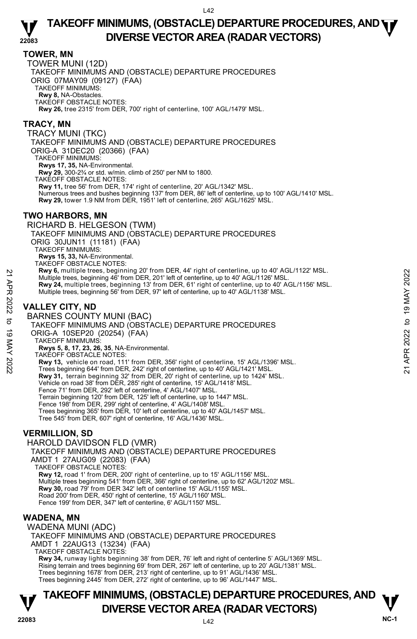### **TOWER, MN**

TOWER MUNI (12D) TAKEOFF MINIMUMS AND (OBSTACLE) DEPARTURE PROCEDURES ORIG 07MAY09 (09127) (FAA) TAKEOFF MINIMUMS: **Rwy 8,** NA-Obstacles. TAKEOFF OBSTACLE NOTES: **Rwy 26,** tree 2315' from DER, 700' right of centerline, 100' AGL/1479' MSL.

### **TRACY, MN**

TRACY MUNI (TKC)

TAKEOFF MINIMUMS AND (OBSTACLE) DEPARTURE PROCEDURES

ORIG-A 31DEC20 (20366) (FAA)

TAKEOFF MINIMUMS:

**Rwys 17, 35,** NA-Environmental.<br>**Rwy 29,** 300-2¾ or std. w/min. climb of 250' per NM to 1800.

TAKEOFF OBSTACLE NOTES:

**Rwy 11,** tree 56' from DER, 174' right of centerline, 20' AGL/1342' MSL.

Numerous trees and bushes beginning 137' from DER, 86' left of centerline, up to 100' AGL/1410' MSL.<br>**Rwy 29,** tower 1.9 NM from DER, 1951' left of centerline, 265' AGL/1625' MSL.

## **TWO HARBORS, MN**

RICHARD B. HELGESON (TWM) TAKEOFF MINIMUMS AND (OBSTACLE) DEPARTURE PROCEDURES ORIG 30JUN11 (11181) (FAA) TAKEOFF MINIMUMS: **Rwys 15, 33,** NA-Environmental. TAKEOFF OBSTACLE NOTES: **Rwy 6,** multiple trees, beginning 20' from DER, 44' right of centerline, up to 40' AGL/1122' MSL. Multiple trees, beginning 46' from DER, 201' left of centerline, up to 40' AGL/1126' MSL. **Rwy 24,** multiple trees, beginning 13' from DER, 61' right of centerline, up to 40' AGL/1156' MSL. Multiple trees, beginning 56' from DER, 97' left of centerline, up to 40' AGL/1138' MSL. **VALLEY CITY, ND**  BARNES COUNTY MUNI (BAC) TAKEOFF MINIMUMS AND (OBSTACLE) DEPARTURE PROCEDURES ORIG-A 10SEP20 (20254) (FAA) TAKEOFF MINIMUMS: **Rwys 5, 8, 17, 23, 26, 35**, NA-Environmental. TAKEOFF OBSTACLE NOTES: **Rwy 13,** vehicle on road, 111' from DER, 356' right of centerline, 15' AGL/1396' MSL. Trees beginning 644' from DER, 242' right of centerline, up to 40' AGL/1421' MSL. **Rwy 31,** terrain beginning 32' from DER, 20' right of centerline, up to 1424' MSL. Vehicle on road 38' from DER, 285' right of centerline, 15' AGL/1418' MSL. Fence 71' from DER, 292' left of centerline, 4' AGL/1407' MSL. Terrain beginning 120' from DER, 125' left of centerline, up to 1447' MSL. Fence 198' from DER, 299' right of centerline, 4' AGL/1408' MSL. Trees beginning 365' from DER, 10' left of centerline, up to 40' AGL/1457' MSL. Tree 545' from DER, 607' right of centerline, 16' AGL/1436' MSL. 22 MW 6, multiple trees, beginning 20 'rom DER, 201' left of centerline, up to 40' AGL/1126' MSL.<br>
22 Multiple trees, beginning 46' from DER, 201' left of centerline, up to 40' AGL/1126' MSL.<br>
22 Multiple trees, beginning

## **VERMILLION, SD**

HAROLD DAVIDSON FLD (VMR) TAKEOFF MINIMUMS AND (OBSTACLE) DEPARTURE PROCEDURES AMDT 1 27AUG09 (22083) (FAA) TAKEOFF OBSTACLE NOTES: **Rwy 12,** road 1' from DER, 200' right of centerline, up to 15' AGL/1156' MSL. Multiple trees beginning 541' from DER, 366' right of centerline, up to 62' AGL/1202' MSL.<br>**Rwy 30,** road 79' from DER 342' left of centerline 15' AGL/1155' MSL. Road 200' from DER, 450' right of centerline, 15' AGL/1160' MSL. Fence 199' from DER, 347' left of centerline, 6' AGL/1150' MSL.

## **WADENA, MN**

WADENA MUNI (ADC)

TAKEOFF MINIMUMS AND (OBSTACLE) DEPARTURE PROCEDURES AMDT 1 22AUG13 (13234) (FAA) TAKEOFF OBSTACLE NOTES:

**Rwy 34,** runway lights beginning 38' from DER, 76' left and right of centerline 5' AGL/1369' MSL. Rising terrain and trees beginning 69' from DER, 267' left of centerline, up to 20' AGL/1381' MSL. Trees beginning 1678' from DER, 213' right of centerline, up to 91' AGL/1436' MSL. Trees beginning 2445' from DER, 272' right of centerline, up to 96' AGL/1447' MSL.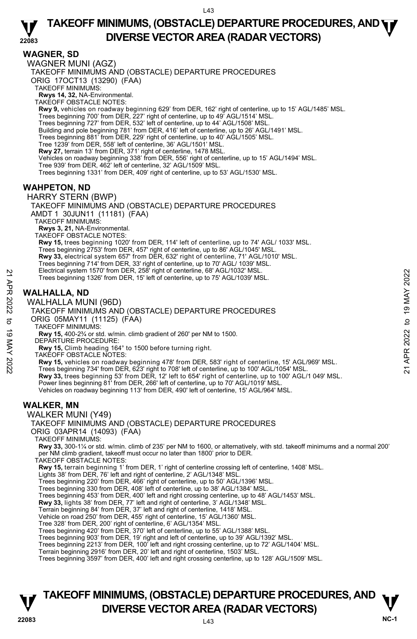## **WAGNER, SD**

WAGNER MUNI (AGZ) TAKEOFF MINIMUMS AND (OBSTACLE) DEPARTURE PROCEDURES ORIG 17OCT13 (13290) (FAA) TAKEOFF MINIMUMS: **Rwys 14, 32,** NA-Environmental. TAKEOFF OBSTACLE NOTES: **Rwy 9,** vehicles on roadway beginning 629' from DER, 162' right of centerline, up to 15' AGL/1485' MSL. Trees beginning 700' from DER, 227' right of centerline, up to 49' AGL/1514' MSL. Trees beginning 727' from DER, 532' left of centerline, up to 44' AGL/1508' MSL.<br>Building and pole beginning 781' from DER, 416' left of centerline, up to 26' AGL/1491' MSL. Trees beginning 881' from DER, 229' right of centerline, up to 40' AGL/1505' MSL. Tree 1239' from DER, 558' left of centerline, 36' AGL/1501' MSL. **Rwy 27,** terrain 13' from DER, 371' right of centerline, 1478 MSL. Vehicles on roadway beginning 338' from DER, 556' right of centerline, up to 15' AGL/1494' MSL. Tree 939' from DER, 462' left of centerline, 32' AGL/1509' MSL. Trees beginning 1331' from DER, 409' right of centerline, up to 53' AGL/1530' MSL. **WAHPETON, ND**  HARRY STERN (BWP) TAKEOFF MINIMUMS AND (OBSTACLE) DEPARTURE PROCEDURES AMDT 1 30JUN11 (11181) (FAA) TAKEOFF MINIMUMS: **Rwys 3, 21,** NA-Environmental. TAKEOFF OBSTACLE NOTES: **Rwy 15,** trees beginning 1020' from DER, 114' left of centerline, up to 74' AGL/ 1033' MSL.<br>Trees beginning 2753' from DER, 457' right of centerline, up to 86' AGL/1045' MSL. **Rwy 33,** electrical system 657' from DER, 632' right of centerline, 71' AGL/1010' MSL. Trees beginning 714' from DER, 33' right of centerline, up to 70' AGL/ 1039' MSL. Electrical system 1570' from DER, 258' right of centerline, 68' AGL/1032' MSL. Trees beginning 1326' from DER, 15' left of centerline, up to 75' AGL/1039' MSL. Trees beginning 1326' from DER, 258' right of centerline, by 'AGL/1032' MSL.<br>
Trees beginning 1326' from DER, 15' left of centerline, up to 75' AGL/1039' MSL.<br>
WALHALLA, ND<br>
WALHALLA MUNI (96D)<br>
TAKEOFF MINIMUMS AND (OBSTA

## **WALHALLA, ND**

WALHALLA MUNI (96D)

TAKEOFF MINIMUMS AND (OBSTACLE) DEPARTURE PROCEDURES ORIG 05MAY11 (11125) (FAA) TAKEOFF MINIMUMS: **Rwy 15,** 400-2¾ or std. w/min. climb gradient of 260' per NM to 1500. DEPARTURE PROCEDURE:

**Rwy 15,** Climb heading 164° to 1500 before turning right.

TAKEOFF OBSTACLE NOTES:

**Rwy 33,** trees beginning 53' from DER, 12' left to 654' right of centerline, up to 100' AGL/1 049' MSL. Power lines beginning 81' from DER, 266' left of centerline, up to 70' AGL/1019' MSL Vehicles on roadway beginning 113' from DER, 490' left of centerline, 15' AGL/964' MSL.

## **WALKER, MN**

WALKER MUNI (Y49)

## TAKEOFF MINIMUMS AND (OBSTACLE) DEPARTURE PROCEDURES

ORIG 03APR14 (14093) (FAA)

TAKEOFF MINIMUMS:

**Rwy 33,** 300-1¼ or std. w/min. climb of 235' per NM to 1600, or alternatively, with std. takeoff minimums and a normal 200' per NM climb gradient, takeoff must occur no later than 1800' prior to DER.

TAKEOFF OBSTACLE NOTES:

**Rwy 15,** terrain beginning 1' from DER, 1' right of centerline crossing left of centerline, 1408' MSL.

Lights 38' from DER, 76' left and right of centerline, 2' AGL/1348' MSL.

Trees beginning 220' from DER, 466' right of centerline, up to 50' AGL/1396' MSL. Trees beginning 330 from DER, 408' left of centerline, up to 38' AGL/1384' MSL.

Trees beginning 453' from DER, 400' left and right crossing centerline, up to 48' AGL/1453' MSL.

**Rwy 33,** lights 38' from DER, 77' left and right of centerline, 3' AGL/1348' MSL. Terrain beginning 84' from DER, 37' left and right of centerline, 1418' MSL.

Vehicle on road 250' from DER, 455' right of centerline, 15' AGL/1360' MSL.

Tree 328' from DER, 200' right of centerline, 6' AGL/1354' MSL.

Trees beginning 420' from DER, 370' left of centerline, up to 55' AGL/1388' MSL. Trees beginning 903' from DER, 19' right and left of centerline, up to 39' AGL/1392' MSL.

Trees beginning 2213' from DER, 100' left and right crossing centerline, up to 72' AGL/1404' MSL.

Terrain beginning 2916' from DER, 20' left and right of centerline, 1503' MSL. Trees beginning 3597' from DER, 400' left and right crossing centerline, up to 128' AGL/1509' MSL.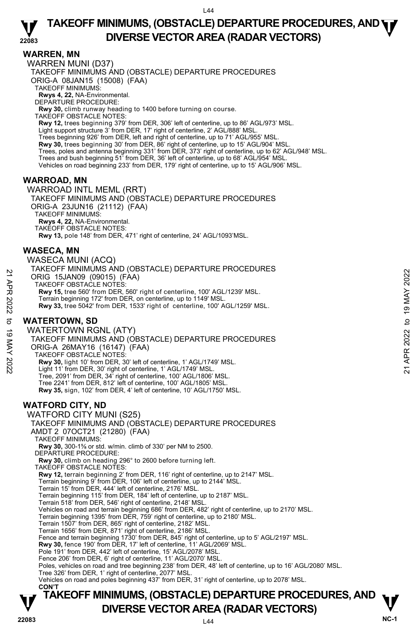## **WARREN, MN**

WARREN MUNI (D37) TAKEOFF MINIMUMS AND (OBSTACLE) DEPARTURE PROCEDURES ORIG-A 08JAN15 (15008) (FAA) TAKEOFF MINIMUMS: **Rwys 4, 22,** NA-Environmental. DEPARTURE PROCEDURE: **Rwy 30,** climb runway heading to 1400 before turning on course. TAKEOFF OBSTACLE NOTES: **Rwy 12,** trees beginning 379' from DER, 306' left of centerline, up to 86' AGL/973' MSL.<br>Light support structure 3' from DER, 17' right of centerline, 2' AGL/888' MSL. Trees beginning 926' from DER, left and right of centerline, up to 71' AGL/955' MSL. **Rwy 30,** trees beginning 30' from DER, 86' right of centerline, up to 15' AGL/904' MSL.<br>Trees, poles and antenna beginning 331' from DER, 373' right of centerline, up to 62' AGL/948' MSL. Trees and bush beginning 51' from DER, 36' left of centerline, up to 68' AGL/954' MSL. Vehicles on road beginning 233' from DER, 179' right of centerline, up to 15' AGL/906' MSL.

## **WARROAD, MN**

WARROAD INTL MEML (RRT) TAKEOFF MINIMUMS AND (OBSTACLE) DEPARTURE PROCEDURES ORIG-A 23JUN16 (21112) (FAA) TAKEOFF MINIMUMS: **Rwys 4, 22,** NA-Environmental. TAKEOFF OBSTACLE NOTES: **Rwy 13,** pole 148' from DER, 471' right of centerline, 24' AGL/1093'MSL.

## **WASECA, MN**

WASECA MUNI (ACQ) TAKEOFF MINIMUMS AND (OBSTACLE) DEPARTURE PROCEDURES ORIG 15JAN09 (09015) (FAA) TAKEOFF OBSTACLE NOTES: **Rwy 15,** tree 560' from DER, 560' right of centerline, 100' AGL/1239' MSL. Terrain beginning 172' from DER, on centerline, up to 1149' MSL.

**Rwy 33,** tree 5042' from DER, 1533' right of centerline, 100' AGL/1259' MSL.

## **WATERTOWN, SD**

WATERTOWN RGNL (ATY) TAKEOFF MINIMUMS AND (OBSTACLE) DEPARTURE PROCEDURES ORIG-A 26MAY16 (16147) (FAA) TAKEOFF OBSTACLE NOTES: **Rwy 30,** light 10' from DER, 30' left of centerline, 1' AGL/1749' MSL.<br>Light 11' from DER, 30' right of centerline, 1' AGL/1749' MSL. Tree, 2091' from DER, 34' right of centerline, 100' AGL/1806' MSL. Tree 2241' from DER, 812' left of centerline, 100' AGL/1805' MSL **Rwy 35,** sign, 102' from DER, 4' left of centerline, 10' AGL/1750' MSL. 22 A FRIC 15JAN09 (09015) (FAA)<br>
22 TRIKEOFF OBSTACLE NOTES:<br>
22 TRIKEOFF OBSTACLE NOTES, 560' right of centerline, 100' AGL/1239' MSL.<br>
22 Terrain beginning 172' from DER, 560' right of centerline, 100' AGL/1259' MSL.<br>
2

## **WATFORD CITY, ND**

WATFORD CITY MUNI (S25)

**TAKEOFF MINIMUMS, (OBSTACLE) DEPARTURE PROCEDURES, AND**  $\mathbf{\nabla}$ **DIVERSE VECTOR AREA (RADAR VECTORS)** V<br>NC-1 TAKEOFF MINIMUMS AND (OBSTACLE) DEPARTURE PROCEDURES AMDT 2 07OCT21 (21280) (FAA) TAKEOFF MINIMUMS: **Rwy 30,** 300-1⅝ or std. w/min. climb of 330' per NM to 2500. DEPARTURE PROCEDURE: **Rwy 30,** climb on heading 296° to 2600 before turning left. TAKEOFF OBSTACLE NOTES: **Rwy 12,** terrain beginning 2' from DER, 116' right of centerline, up to 2147' MSL. Terrain beginning 9' from DER, 106' left of centerline, up to 2144' MSL. Terrain 15' from DER, 444' left of centerline, 2176' MSL. Terrain beginning 115' from DER, 184' left of centerline, up to 2187' MSL. Terrain 518' from DER, 546' right of centerline, 2148' MSL. Vehicles on road and terrain beginning 686' from DER, 482' right of centerline, up to 2170' MSL. Terrain beginning 1395' from DER, 759' right of centerline, up to 2180' MSL. Terrain 1507' from DER, 865' right of centerline, 2182' MSL. Terrain 1656' from DER, 871' right of centerline, 2186' MSL. Fence and terrain beginning 1730' from DER, 845' right of centerline, up to 5' AGL/2197' MSL. **Rwy 30,** fence 190' from DER, 17' left of centerline, 11' AGL/2069' MSL. Pole 191' from DER, 442' left of centerline, 15' AGL/2078' MSL. Fence 206' from DER, 6' right of centerline, 11' AGL/2070' MSL. Poles, vehicles on road and tree beginning 238' from DER, 48' left of centerline, up to 16' AGL/2080' MSL. Tree 326' from DER, 1' right of centerline, 2077' MSL. Vehicles on road and poles beginning 437' from DER, 31' right of centerline, up to 2078' MSL. **CON'T**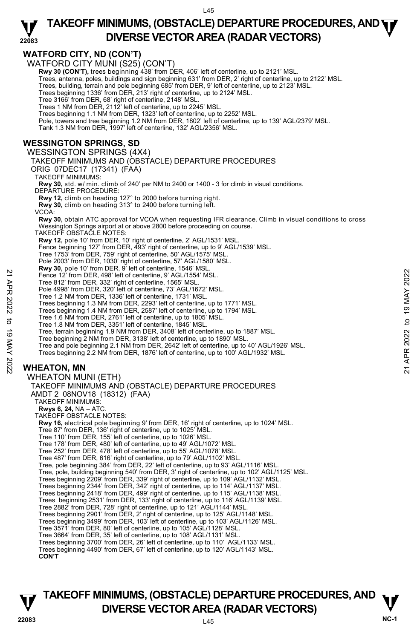**WATFORD CITY, ND (CON'T)**  WATFORD CITY MUNI (S25) (CON'T) **Rwy 30 (CON'T),** trees beginning 438' from DER, 406' left of centerline, up to 2121' MSL. Trees, antenna, poles, buildings and sign beginning 631' from DER, 2' right of centerline, up to 2122' MSL. Trees, building, terrain and pole beginning 685' from DER, 9' left of centerline, up to 2123' MSL. Trees beginning 1336' from DER, 213' right of centerline, up to 2124' MSL. Tree 3166' from DER, 68' right of centerline, 2148' MSL. Trees 1 NM from DER, 2112' left of centerline, up to 2245' MSL. Trees beginning 1.1 NM from DER, 1323' left of centerline, up to 2252' MSL. Pole, towers and tree beginning 1.2 NM from DER, 1802' left of centerline, up to 139' AGL/2379' MSL. Tank 1.3 NM from DER, 1997' left of centerline, 132' AGL/2356' MSL. **WESSINGTON SPRINGS, SD**  WESSINGTON SPRINGS (4X4) TAKEOFF MINIMUMS AND (OBSTACLE) DEPARTURE PROCEDURES ORIG 07DEC17 (17341) (FAA) TAKEOFF MINIMUMS: **Rwy 30,** std. w/ min. climb of 240' per NM to 2400 or 1400 - 3 for climb in visual conditions. DEPARTURE PROCEDURE: **Rwy 12,** climb on heading 127° to 2000 before turning right. **Rwy 30,** climb on heading 313° to 2400 before turning left. VCOA: **Rwy 30,** obtain ATC approval for VCOA when requesting IFR clearance. Climb in visual conditions to cross Wessington Springs airport at or above 2800 before proceeding on course. TAKEOFF OBSTACLE NOTES: **Rwy 12,** pole 10' from DER, 10' right of centerline, 2' AGL/1531' MSL.<br>Fence beginning 127' from DER, 493' right of centerline, up to 9' AGL/1539' MSL. Tree 1753' from DER, 759' right of centerline, 50' AGL/1575' MSL. Pole 2003' from DER, 1030' right of centerline, 57' AGL/1580' MSL. **Rwy 30,** pole 10' from DER, 9' left of centerline, 1546' MSL. Fence 12' from DER, 498' left of centerline, 9' AGL/1554' MSL. Tree 812' from DER, 332' right of centerline, 1565' MSL. Pole 4998' from DER, 320' left of centerline, 73' AGL/1672' MSL. Tree 1.2 NM from DER, 1336' left of centerline, 1731' MSL. Trees beginning 1.3 NM from DER, 2293' left of centerline, up to 1771' MSL. Trees beginning 1.4 NM from DER, 2587' left of centerline, up to 1794' MSL. Tree 1.6 NM from DER, 2761' left of centerline, up to 1805' MSL. Tree 1.8 NM from DER, 3351' left of centerline, 1845' MSL. Tree, terrain beginning 1.9 NM from DER, 3408' left of centerline, up to 1887' MSL. Tree beginning 2 NM from DER, 3138' left of centerline, up to 1890' MSL. Tree and pole beginning 2.1 NM from DER, 2642' left of centerline, up to 40' AGL/1926' MSL. Trees beginning 2.2 NM from DER, 1876' left of centerline, up to 100' AGL/1932' MSL. **WHEATON, MN**  WHEATON MUNI (ETH) TAKEOFF MINIMUMS AND (OBSTACLE) DEPARTURE PROCEDURES AMDT 2 08NOV18 (18312) (FAA) TAKEOFF MINIMUMS: **Rwys 6, 24,** NA – ATC. TAKEOFF OBSTACLE NOTES: **Rwy 16,** electrical pole beginning 9' from DER, 16' right of centerline, up to 1024' MSL. Tree 87' from DER, 136' right of centerline, up to 1025' MSL. Tree 110' from DER, 155' left of centerline, up to 1026' MSL. Tree 178' from DER, 480' left of centerline, up to 49' AGL/1072' MSL. Tree 252' from DER, 478' left of centerline, up to 55' AGL/1078' MSL. Tree 487' from DER, 616' right of centerline, up to 79' AGL/1102' MSL. Tree, pole beginning 384' from DER, 22' left of centerline, up to 93' AGL/1116' MSL. Tree, pole, building beginning 540' from DER, 3' right of centerline, up to 102' AGL/1125' MSL. Trees beginning 2209' from DER, 339' right of centerline, up to 109' AGL/1132' MSL.<br>Trees beginning 2344' from DER, 342' right of centerline, up to 114' AGL/1137' MSL.<br>Trees beginning 2418' from DER, 499' right of centerli Trees beginning 2531' from DER, 133' right of centerline, up to 116' AGL/1139' MSL. Tree 2882' from DER, 728' right of centerline, up to 121' AGL/1144' MSL. Trees beginning 2901' from DER, 2' right of centerline, up to 125' AGL/1148' MSL. Trees beginning 3499' from DER, 103' left of centerline, up to 103' AGL/1126' MSL. Tree 3571' from DER, 80' left of centerline, up to 105' AGL/1128' MSL. Tree 3664' from DER, 35' left of centerline, up to 108' AGL/1131' MSL. Trees beginning 3700' from DER, 26' left of centerline, up to 110' AGL/1133' MSL. Trees beginning 4490' from DER, 67' left of centerline, up to 120' AGL/1143' MSL. **CON'T** 21 Fence 12' from DER, 498' left of centerline, 9' AGL/1554' MSL.<br>
Tree 812' from DER, 498' left of centerline, 9' AGL/1554' MSL.<br>
Tree 812' from DER, 320' left of centerline, 73' AGL/1672' MSL.<br>
Tree beginning 1.3 NM fro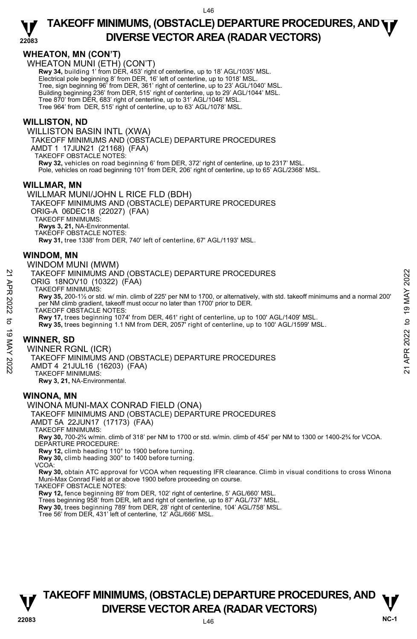### **22083 TAKEOFF MINIMUMS, (OBSTACLE) DEPARTURE PROCEDURES, AND <b>WE**<br>DIVERSE VECTOR AREA (BADAR VECTORS) **DIVERSE VECTOR AREA (RADAR VECTORS)**

## **WHEATON, MN (CON'T)**

WHEATON MUNI (ETH) (CON'T)

**Rwy 34,** building 1' from DER, 453' right of centerline, up to 18' AGL/1035' MSL. Electrical pole beginning 8' from DER, 16' left of centerline, up to 1018' MSL. Tree, sign beginning 96' from DER, 361' right of centerline, up to 23' AGL/1040' MSL. Building beginning 236' from DER, 515' right of centerline, up to 29' AGL/1044' MSL. Tree 870' from DER, 683' right of centerline, up to 31' AGL/1046' MSL. Tree 964' from DER, 515' right of centerline, up to 63' AGL/1078' MSL.

## **WILLISTON, ND**

WILLISTON BASIN INTL (XWA) TAKEOFF MINIMUMS AND (OBSTACLE) DEPARTURE PROCEDURES AMDT 1 17JUN21 (21168) (FAA) TAKEOFF OBSTACLE NOTES: **Rwy 32,** vehicles on road beginning 6' from DER, 372' right of centerline, up to 2317' MSL. Pole, vehicles on road beginning 101' from DER, 206' right of centerline, up to 65' AGL/2368' MSL.

### **WILLMAR, MN**

WILLMAR MUNI/JOHN L RICE FLD (BDH) TAKEOFF MINIMUMS AND (OBSTACLE) DEPARTURE PROCEDURES ORIG-A 06DEC18 (22027) (FAA) TAKEOFF MINIMUMS: **Rwys 3, 21,** NA-Environmental.

TAKEOFF OBSTACLE NOTES:

**Rwy 31,** tree 1338' from DER, 740' left of centerline, 67' AGL/1193' MSL.

### **WINDOM, MN**

### WINDOM MUNI (MWM)

TAKEOFF MINIMUMS AND (OBSTACLE) DEPARTURE PROCEDURES

ORIG 18NOV10 (10322) (FAA)

TAKEOFF MINIMUMS:

**Rwy 35,** 200-1½ or std. w/ min. climb of 225' per NM to 1700, or alternatively, with std. takeoff minimums and a normal 200' per NM climb gradient, takeoff must occur no later than 1700' prior to DER. TAKEOFF MINIMUMS AND (OBSTACLE) DEPARTURE PROCEDURES<br>
21 ORIG 18NOV10 (10322) (FAA)<br>
TAKEOFF MINIMUMS:<br>
TAKEOFF MINIMUMS:<br>
22 Rwy 35, 200-1½ or std. w/ min. climb of 225' per NM to 1700, or alternatively, with std. takeoff

TAKEOFF OBSTACLE NOTES:

**Rwy 17,** trees beginning 1074' from DER, 461' right of centerline, up to 100' AGL/1409' MSL. **Rwy 35,** trees beginning 1.1 NM from DER, 2057' right of centerline, up to 100' AGL/1599' MSL.

## **WINNER, SD**

WINNER RGNL (ICR)

TAKEOFF MINIMUMS AND (OBSTACLE) DEPARTURE PROCEDURES

AMDT 4 21JUL16 (16203) (FAA)

TAKEOFF MINIMUMS:

**Rwy 3, 21,** NA-Environmental.

## **WINONA, MN**

### WINONA MUNI-MAX CONRAD FIELD (ONA)

### TAKEOFF MINIMUMS AND (OBSTACLE) DEPARTURE PROCEDURES

AMDT 5A 22JUN17 (17173) (FAA)

TAKEOFF MINIMUMS:

**Rwy 30,** 700-2¾ w/min. climb of 318' per NM to 1700 or std. w/min. climb of 454' per NM to 1300 or 1400-2¾ for VCOA. DEPARTURE PROCEDURE:

**Rwy 12,** climb heading 110° to 1900 before turning.

**Rwy 30,** climb heading 300° to 1400 before turning.

VCOA:

**Rwy 30,** obtain ATC approval for VCOA when requesting IFR clearance. Climb in visual conditions to cross Winona Muni-Max Conrad Field at or above 1900 before proceeding on course.

TAKEOFF OBSTACLE NOTES:

**Rwy 12,** fence beginning 89' from DER, 102' right of centerline, 5' AGL/660' MSL.

Trees beginning 958' from DER, left and right of centerline, up to 87' AGL/737' MSL.

**Rwy 30,** trees beginning 789' from DER, 28' right of centerline, 104' AGL/758' MSL.<br>Tree 56' from DER, 431' left of centerline, 12' AGL/666' MSL.